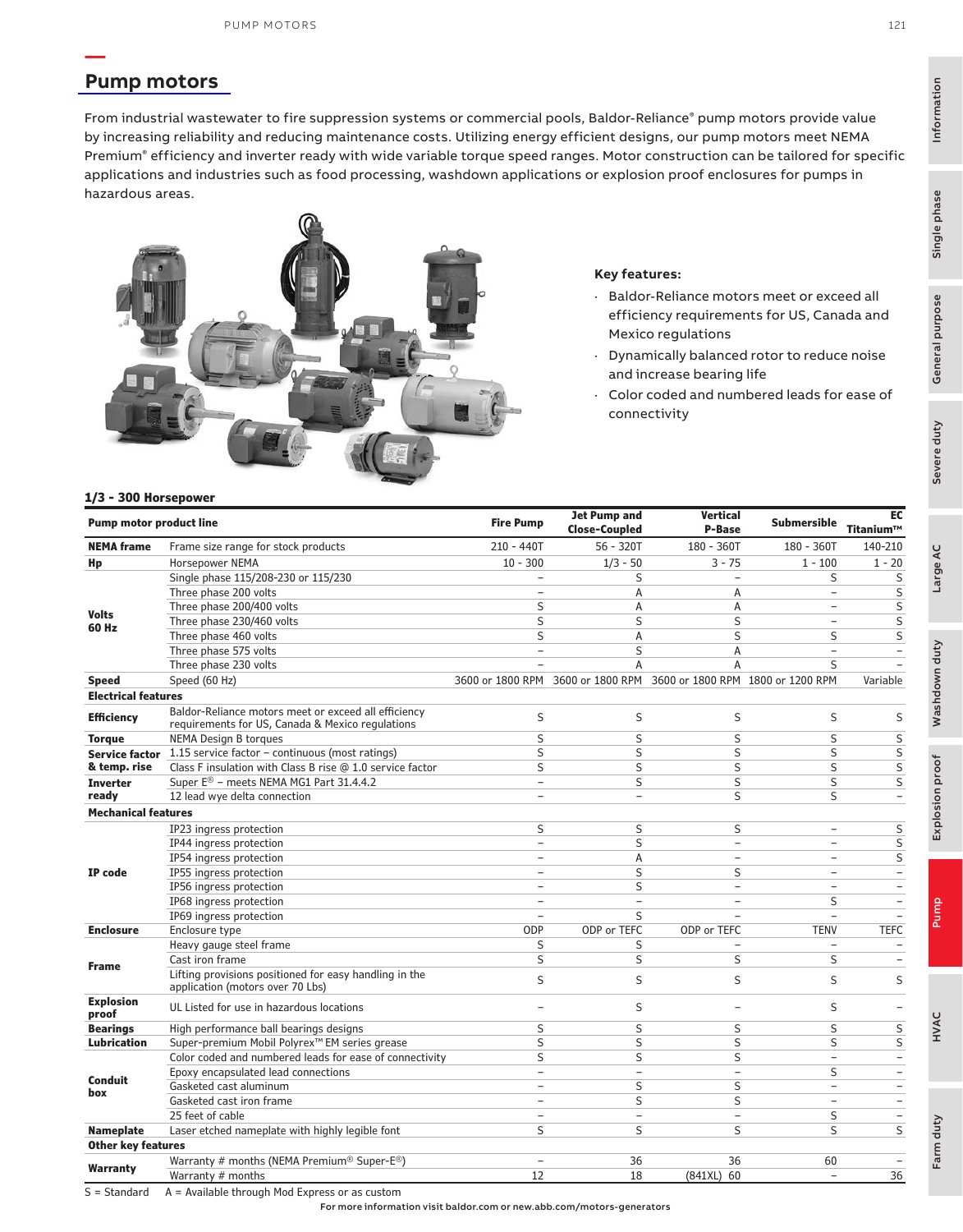### **[Pump motors](https://www.baldor.com/brands/baldor-reliance/products/motors/ac-motors/pump)**

**—**

From industrial wastewater to fire suppression systems or commercial pools, Baldor-Reliance® pump motors provide value by increasing reliability and reducing maintenance costs. Utilizing energy efficient designs, our pump motors meet NEMA Premium® efficiency and inverter ready with wide variable torque speed ranges. Motor construction can be tailored for specific applications and industries such as food processing, washdown applications or explosion proof enclosures for pumps in hazardous areas.



#### **Key features:**

- Baldor-Reliance motors meet or exceed all efficiency requirements for US, Canada and Mexico regulations
- · Dynamically balanced rotor to reduce noise and increase bearing life
- Color coded and numbered leads for ease of connectivity

#### **1[/3 - 300 Horsepower](https://www.baldor.com/brands/baldor-reliance/products/motors/ac-motors/pump)**

| <b>Pump motor product line</b> |                                                                                                          | <b>Fire Pump</b>         | <b>Jet Pump and</b><br><b>Close-Coupled</b> | <b>Vertical</b><br>P-Base         | <b>Submersible</b>       | EC<br>Titanium™          |
|--------------------------------|----------------------------------------------------------------------------------------------------------|--------------------------|---------------------------------------------|-----------------------------------|--------------------------|--------------------------|
| <b>NEMA frame</b>              | Frame size range for stock products                                                                      | $210 - 440T$             | $56 - 320T$                                 | 180 - 360T                        | $180 - 360T$             | 140-210                  |
| Hp                             | <b>Horsepower NEMA</b>                                                                                   | $10 - 300$               | $1/3 - 50$                                  | $3 - 75$                          | $1 - 100$                | $1 - 20$                 |
|                                | Single phase 115/208-230 or 115/230                                                                      | $\equiv$                 | S                                           | ÷                                 | S                        | S                        |
|                                | Three phase 200 volts                                                                                    | ÷.                       | A                                           | Α                                 | $\overline{a}$           | S                        |
|                                | Three phase 200/400 volts                                                                                | S                        | A                                           | A                                 | $\overline{\phantom{0}}$ | S                        |
| <b>Volts</b>                   | Three phase 230/460 volts                                                                                | S                        | S                                           | S                                 | $\overline{\phantom{0}}$ | S                        |
| 60 Hz                          | Three phase 460 volts                                                                                    | S                        | A                                           | S                                 | S                        | S                        |
|                                | Three phase 575 volts                                                                                    | $\overline{\phantom{a}}$ | S                                           | Α                                 | $\equiv$                 |                          |
|                                | Three phase 230 volts                                                                                    |                          | A                                           | A                                 | S                        |                          |
| <b>Speed</b>                   | Speed (60 Hz)                                                                                            |                          | 3600 or 1800 RPM 3600 or 1800 RPM           | 3600 or 1800 RPM 1800 or 1200 RPM |                          | Variable                 |
| <b>Electrical features</b>     |                                                                                                          |                          |                                             |                                   |                          |                          |
| <b>Efficiency</b>              | Baldor-Reliance motors meet or exceed all efficiency<br>requirements for US, Canada & Mexico regulations | S                        | S                                           | S                                 | S                        | S                        |
| <b>Torque</b>                  | <b>NEMA Design B torques</b>                                                                             | S                        | S                                           | S                                 | S                        | S                        |
| <b>Service factor</b>          | 1.15 service factor - continuous (most ratings)                                                          | S                        | S                                           | S                                 | S                        | S                        |
| & temp. rise                   | Class F insulation with Class B rise @ 1.0 service factor                                                | S                        | S                                           | S                                 | S                        | $\sf S$                  |
| <b>Inverter</b>                | Super E® - meets NEMA MG1 Part 31.4.4.2                                                                  | $\overline{a}$           | S                                           | S                                 | S                        | S                        |
| ready                          | 12 lead wye delta connection                                                                             | $\equiv$                 | $\equiv$                                    | S                                 | S                        | $\overline{\phantom{0}}$ |
| <b>Mechanical features</b>     |                                                                                                          |                          |                                             |                                   |                          |                          |
|                                | IP23 ingress protection                                                                                  | S                        | S                                           | S                                 | ÷                        | S                        |
|                                | IP44 ingress protection                                                                                  | $\overline{\phantom{a}}$ | S                                           | $\overline{\phantom{a}}$          | $\qquad \qquad -$        | S                        |
|                                | IP54 ingress protection                                                                                  | $\equiv$                 | Α                                           | $\equiv$                          | ٠                        | S                        |
| IP code                        | IP55 ingress protection                                                                                  | $\overline{\phantom{a}}$ | S                                           | S                                 | $\overline{\phantom{0}}$ |                          |
|                                | IP56 ingress protection                                                                                  | $\overline{\phantom{0}}$ | S                                           | ÷                                 | ÷                        | $\overline{\phantom{0}}$ |
|                                | IP68 ingress protection                                                                                  | ÷                        | ÷                                           | $\overline{\phantom{0}}$          | S                        | $\overline{\phantom{0}}$ |
|                                | IP69 ingress protection                                                                                  | ÷                        | S                                           |                                   | $\qquad \qquad -$        |                          |
| <b>Enclosure</b>               | Enclosure type                                                                                           | ODP                      | ODP or TEFC                                 | ODP or TEFC                       | <b>TENV</b>              | <b>TEFC</b>              |
|                                | Heavy gauge steel frame                                                                                  | S                        | S                                           |                                   | $\overline{\phantom{0}}$ | $\equiv$                 |
| <b>Frame</b>                   | Cast iron frame                                                                                          | S                        | S                                           | S                                 | S                        | $\sim$                   |
|                                | Lifting provisions positioned for easy handling in the<br>application (motors over 70 Lbs)               | S                        | S                                           | S                                 | S                        | S                        |
| <b>Explosion</b><br>proof      | UL Listed for use in hazardous locations                                                                 | $\equiv$                 | S                                           | ۰                                 | S                        |                          |
| <b>Bearings</b>                | High performance ball bearings designs                                                                   | S                        | S                                           | S                                 | S                        | S                        |
| <b>Lubrication</b>             | Super-premium Mobil Polyrex <sup>™</sup> EM series grease                                                | S                        | S                                           | S                                 | S                        | S                        |
|                                | Color coded and numbered leads for ease of connectivity                                                  | S                        | S                                           | S                                 | $\overline{\phantom{0}}$ | $\overline{\phantom{a}}$ |
|                                | Epoxy encapsulated lead connections                                                                      | $\overline{\phantom{a}}$ | $\overline{\phantom{0}}$                    | $\overline{\phantom{a}}$          | S                        | $\overline{\phantom{a}}$ |
| <b>Conduit</b><br>box          | Gasketed cast aluminum                                                                                   | $\overline{\phantom{a}}$ | S                                           | S                                 | $\overline{\phantom{0}}$ | $\overline{\phantom{a}}$ |
|                                | Gasketed cast iron frame                                                                                 | $\overline{\phantom{a}}$ | S                                           | S                                 | $\overline{\phantom{0}}$ | $\overline{\phantom{0}}$ |
|                                | 25 feet of cable                                                                                         | $\overline{\phantom{m}}$ | $\overline{\phantom{a}}$                    | $\overline{\phantom{a}}$          | S                        | $\overline{\phantom{m}}$ |
| <b>Nameplate</b>               | Laser etched nameplate with highly legible font                                                          | S                        | S                                           | S                                 | S                        | S                        |
| <b>Other key features</b>      |                                                                                                          |                          |                                             |                                   |                          |                          |
|                                | Warranty # months (NEMA Premium® Super-E®)                                                               | $\overline{\phantom{a}}$ | 36                                          | 36                                | 60                       | $\overline{\phantom{a}}$ |
| Warranty                       | Warranty # months                                                                                        | 12                       | 18                                          | (841XL) 60                        | $\equiv$                 | 36                       |

S = Standard A = Available through Mod Express or as custom

For more information visit baldor.com or new.abb.com/motors-generators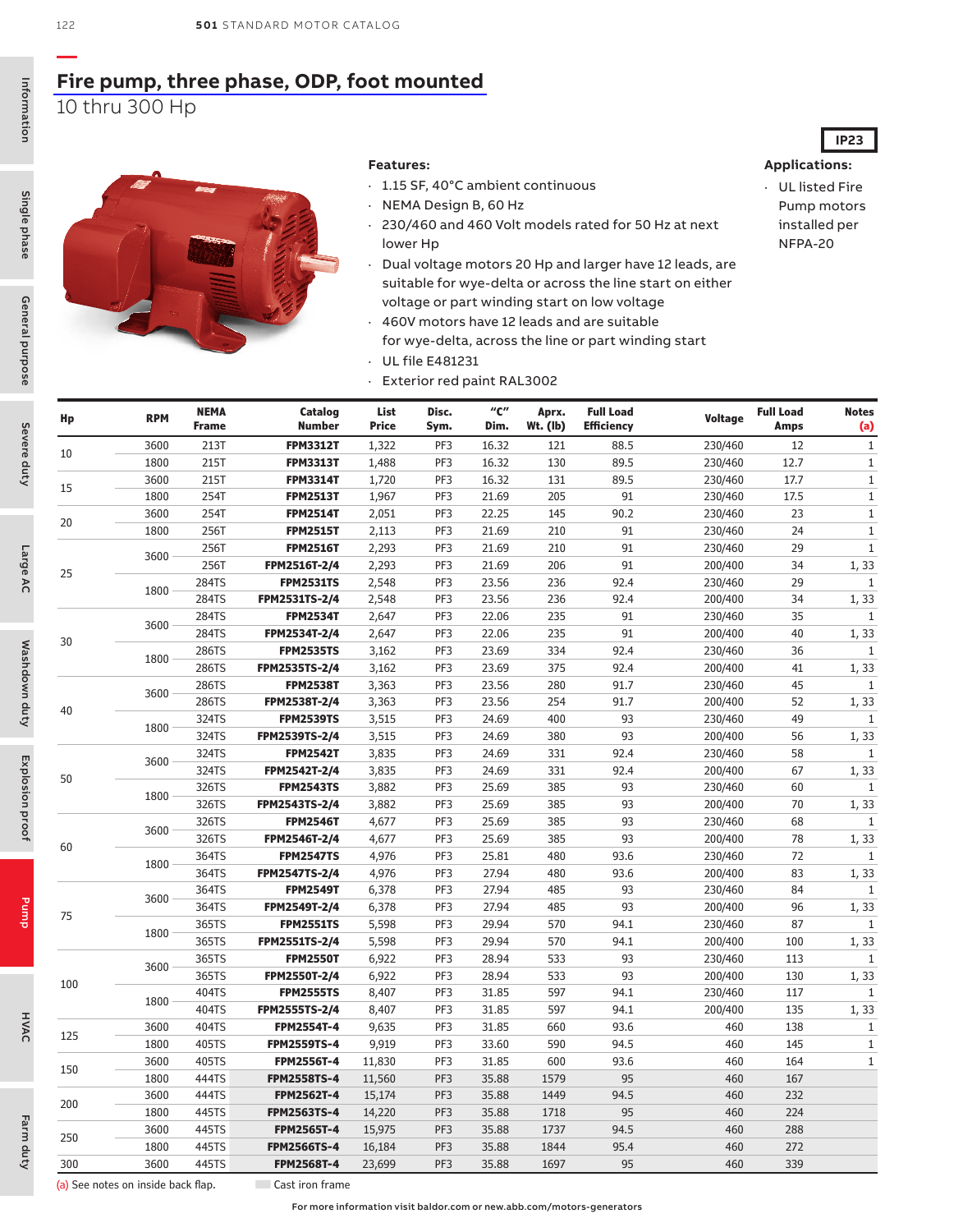### **[Fire pump, three phase, ODP, foot mounted](https://www.baldor.com/brands/baldor-reliance/products/motors/ac-motors/pump/fire-pump)** 10 thru 300 Hp

#### **Features:**

- · 1.15 SF, 40°C ambient continuous
- · NEMA Design B, 60 Hz
- · 230/460 and 460 Volt models rated for 50 Hz at next lower Hp
- · Dual voltage motors 20 Hp and larger have 12 leads, are suitable for wye-delta or across the line start on either voltage or part winding start on low voltage
- · 460V motors have 12 leads and are suitable for wye-delta, across the line or part winding start · UL file E481231
- · Exterior red paint RAL3002

· UL listed Fire Pump motors installed per NFPA-20

**IP23**

| Hp  | <b>RPM</b> | <b>NEMA</b><br><b>Frame</b> | Catalog<br><b>Number</b> | List<br><b>Price</b> | Disc.<br>Sym. | $^{\prime\prime}$ C $^{\prime\prime}$<br>Dim. | Aprx.<br>$Wt.$ (lb) | <b>Full Load</b><br><b>Efficiency</b> | <b>Voltage</b> | <b>Full Load</b><br><b>Amps</b> | <b>Notes</b><br>(a) |
|-----|------------|-----------------------------|--------------------------|----------------------|---------------|-----------------------------------------------|---------------------|---------------------------------------|----------------|---------------------------------|---------------------|
|     | 3600       | 213T                        | <b>FPM3312T</b>          | 1,322                | PF3           | 16.32                                         | 121                 | 88.5                                  | 230/460        | 12                              | $\mathbf 1$         |
| 10  | 1800       | 215T                        | <b>FPM3313T</b>          | 1,488                | PF3           | 16.32                                         | 130                 | 89.5                                  | 230/460        | 12.7                            | $\mathbf{1}$        |
|     | 3600       | 215T                        | <b>FPM3314T</b>          | 1,720                | PF3           | 16.32                                         | 131                 | 89.5                                  | 230/460        | 17.7                            | $\mathbf{1}$        |
| 15  | 1800       | 254T                        | <b>FPM2513T</b>          | 1,967                | PF3           | 21.69                                         | 205                 | 91                                    | 230/460        | 17.5                            | $\mathbf{1}$        |
|     | 3600       | 254T                        | <b>FPM2514T</b>          | 2,051                | PF3           | 22.25                                         | 145                 | 90.2                                  | 230/460        | 23                              | $1\,$               |
| 20  | 1800       | 256T                        | <b>FPM2515T</b>          | 2,113                | PF3           | 21.69                                         | 210                 | 91                                    | 230/460        | 24                              | $1\,$               |
|     | 3600       | 256T                        | <b>FPM2516T</b>          | 2,293                | PF3           | 21.69                                         | 210                 | 91                                    | 230/460        | 29                              | $\mathbf 1$         |
| 25  |            | 256T                        | FPM2516T-2/4             | 2,293                | PF3           | 21.69                                         | 206                 | 91                                    | 200/400        | 34                              | 1, 33               |
|     | 1800       | 284TS                       | <b>FPM2531TS</b>         | 2,548                | PF3           | 23.56                                         | 236                 | 92.4                                  | 230/460        | 29                              | $\mathbf{1}$        |
|     |            | 284TS                       | FPM2531TS-2/4            | 2,548                | PF3           | 23.56                                         | 236                 | 92.4                                  | 200/400        | 34                              | 1, 33               |
|     | 3600       | 284TS                       | <b>FPM2534T</b>          | 2,647                | PF3           | 22.06                                         | 235                 | 91                                    | 230/460        | 35                              | $\mathbf{1}$        |
| 30  |            | 284TS                       | FPM2534T-2/4             | 2,647                | PF3           | 22.06                                         | 235                 | 91                                    | 200/400        | 40                              | 1, 33               |
|     | 1800       | 286TS                       | <b>FPM2535TS</b>         | 3,162                | PF3           | 23.69                                         | 334                 | 92.4                                  | 230/460        | 36                              | $1\,$               |
|     |            | 286TS                       | FPM2535TS-2/4            | 3,162                | PF3           | 23.69                                         | 375                 | 92.4                                  | 200/400        | 41                              | 1, 33               |
|     | 3600       | 286TS                       | <b>FPM2538T</b>          | 3,363                | PF3           | 23.56                                         | 280                 | 91.7                                  | 230/460        | 45                              | $\mathbf{1}$        |
|     |            | 286TS                       | FPM2538T-2/4             | 3,363                | PF3           | 23.56                                         | 254                 | 91.7                                  | 200/400        | 52                              | 1, 33               |
| 40  | 1800       | 324TS                       | <b>FPM2539TS</b>         | 3,515                | PF3           | 24.69                                         | 400                 | 93                                    | 230/460        | 49                              | 1                   |
|     |            | 324TS                       | FPM2539TS-2/4            | 3,515                | PF3           | 24.69                                         | 380                 | 93                                    | 200/400        | 56                              | 1, 33               |
|     | 3600       | 324TS                       | <b>FPM2542T</b>          | 3,835                | PF3           | 24.69                                         | 331                 | 92.4                                  | 230/460        | 58                              | $\mathbf{1}$        |
| 50  |            | 324TS                       | FPM2542T-2/4             | 3,835                | PF3           | 24.69                                         | 331                 | 92.4                                  | 200/400        | 67                              | 1, 33               |
|     | 1800       | 326TS                       | <b>FPM2543TS</b>         | 3,882                | PF3           | 25.69                                         | 385                 | 93                                    | 230/460        | 60                              | $1\,$               |
|     |            | 326TS                       | FPM2543TS-2/4            | 3,882                | PF3           | 25.69                                         | 385                 | 93                                    | 200/400        | 70                              | 1, 33               |
|     | 3600       | 326TS                       | <b>FPM2546T</b>          | 4,677                | PF3           | 25.69                                         | 385                 | 93                                    | 230/460        | 68                              | $\mathbf{1}$        |
| 60  |            | 326TS                       | FPM2546T-2/4             | 4,677                | PF3           | 25.69                                         | 385                 | 93                                    | 200/400        | 78                              | 1, 33               |
|     | 1800       | 364TS                       | <b>FPM2547TS</b>         | 4,976                | PF3           | 25.81                                         | 480                 | 93.6                                  | 230/460        | 72                              | $1\,$               |
|     |            | 364TS                       | FPM2547TS-2/4            | 4,976                | PF3           | 27.94                                         | 480                 | 93.6                                  | 200/400        | 83                              | 1, 33               |
|     | 3600       | 364TS                       | <b>FPM2549T</b>          | 6,378                | PF3           | 27.94                                         | 485                 | 93                                    | 230/460        | 84                              | $\mathbf{1}$        |
| 75  |            | 364TS                       | FPM2549T-2/4             | 6,378                | PF3           | 27.94                                         | 485                 | 93                                    | 200/400        | 96                              | 1, 33               |
|     | 1800       | 365TS                       | <b>FPM2551TS</b>         | 5,598                | PF3           | 29.94                                         | 570                 | 94.1                                  | 230/460        | 87                              | $\mathbf{1}$        |
|     |            | 365TS                       | FPM2551TS-2/4            | 5,598                | PF3           | 29.94                                         | 570                 | 94.1                                  | 200/400        | 100                             | 1, 33               |
|     | 3600       | 365TS                       | <b>FPM2550T</b>          | 6,922                | PF3           | 28.94                                         | 533                 | 93                                    | 230/460        | 113                             | $\mathbf{1}$        |
| 100 |            | 365TS                       | FPM2550T-2/4             | 6,922                | PF3           | 28.94                                         | 533                 | 93                                    | 200/400        | 130                             | 1, 33               |
|     | 1800       | 404TS                       | <b>FPM2555TS</b>         | 8,407                | PF3           | 31.85                                         | 597                 | 94.1                                  | 230/460        | 117                             | $\mathbf{1}$        |
|     |            | 404TS                       | FPM2555TS-2/4            | 8,407                | PF3           | 31.85                                         | 597                 | 94.1                                  | 200/400        | 135                             | 1, 33               |
| 125 | 3600       | 404TS                       | <b>FPM2554T-4</b>        | 9,635                | PF3           | 31.85                                         | 660                 | 93.6                                  | 460            | 138                             | $\mathbf{1}$        |
|     | 1800       | 405TS                       | <b>FPM2559TS-4</b>       | 9,919                | PF3           | 33.60                                         | 590                 | 94.5                                  | 460            | 145                             | $\mathbf{1}$        |
| 150 | 3600       | 405TS                       | <b>FPM2556T-4</b>        | 11,830               | PF3           | 31.85                                         | 600                 | 93.6                                  | 460            | 164                             | $\mathbf{1}$        |
|     | 1800       | 444TS                       | <b>FPM2558TS-4</b>       | 11,560               | PF3           | 35.88                                         | 1579                | 95                                    | 460            | 167                             |                     |
|     | 3600       | 444TS                       | <b>FPM2562T-4</b>        | 15,174               | PF3           | 35.88                                         | 1449                | 94.5                                  | 460            | 232                             |                     |
| 200 | 1800       | 445TS                       | <b>FPM2563TS-4</b>       | 14,220               | PF3           | 35.88                                         | 1718                | 95                                    | 460            | 224                             |                     |
| 250 | 3600       | 445TS                       | <b>FPM2565T-4</b>        | 15,975               | PF3           | 35.88                                         | 1737                | 94.5                                  | 460            | 288                             |                     |
|     | 1800       | 445TS                       | <b>FPM2566TS-4</b>       | 16,184               | PF3           | 35.88                                         | 1844                | 95.4                                  | 460            | 272                             |                     |
| 300 | 3600       | 445TS                       | <b>FPM2568T-4</b>        | 23,699               | PF3           | 35.88                                         | 1697                | 95                                    | 460            | 339                             |                     |

HVAC

(a) See notes on inside back flap. <br>
The Cast iron frame

**—**

Information

Information

Single phase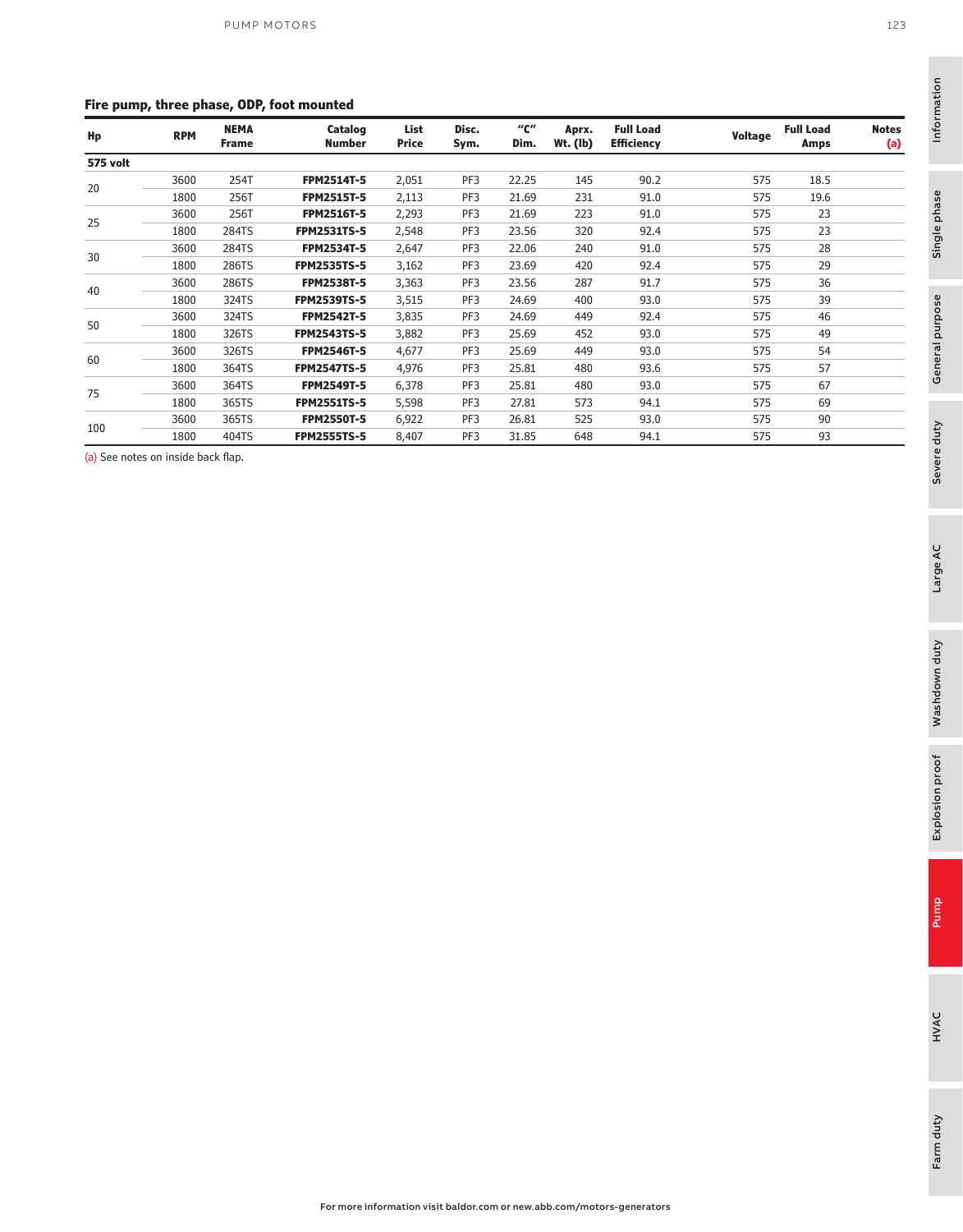#### **Fire pump, three phase, ODP, foot mounted**

| . .             |            |                             |                    |                      |               |             |                     |                                       |                |                          |                     |
|-----------------|------------|-----------------------------|--------------------|----------------------|---------------|-------------|---------------------|---------------------------------------|----------------|--------------------------|---------------------|
| Hp              | <b>RPM</b> | <b>NEMA</b><br><b>Frame</b> | Catalog<br>Number  | List<br><b>Price</b> | Disc.<br>Sym. | "с"<br>Dim. | Aprx.<br>$Wt.$ (lb) | <b>Full Load</b><br><b>Efficiency</b> | <b>Voltage</b> | <b>Full Load</b><br>Amps | <b>Notes</b><br>(a) |
| <b>575 volt</b> |            |                             |                    |                      |               |             |                     |                                       |                |                          |                     |
| 20              | 3600       | 254T                        | <b>FPM2514T-5</b>  | 2,051                | PF3           | 22.25       | 145                 | 90.2                                  | 575            | 18.5                     |                     |
|                 | 1800       | 256T                        | <b>FPM2515T-5</b>  | 2,113                | PF3           | 21.69       | 231                 | 91.0                                  | 575            | 19.6                     |                     |
|                 | 3600       | 256T                        | <b>FPM2516T-5</b>  | 2,293                | PF3           | 21.69       | 223                 | 91.0                                  | 575            | 23                       |                     |
| 25              | 1800       | 284TS                       | <b>FPM2531TS-5</b> | 2,548                | PF3           | 23.56       | 320                 | 92.4                                  | 575            | 23                       |                     |
|                 | 3600       | 284TS                       | <b>FPM2534T-5</b>  | 2,647                | PF3           | 22.06       | 240                 | 91.0                                  | 575            | 28                       |                     |
| 30              | 1800       | 286TS                       | <b>FPM2535TS-5</b> | 3,162                | PF3           | 23.69       | 420                 | 92.4                                  | 575            | 29                       |                     |
|                 | 3600       | 286TS                       | <b>FPM2538T-5</b>  | 3,363                | PF3           | 23.56       | 287                 | 91.7                                  | 575            | 36                       |                     |
| 40              | 1800       | 324TS                       | <b>FPM2539TS-5</b> | 3,515                | PF3           | 24.69       | 400                 | 93.0                                  | 575            | 39                       |                     |
|                 | 3600       | 324TS                       | <b>FPM2542T-5</b>  | 3,835                | PF3           | 24.69       | 449                 | 92.4                                  | 575            | 46                       |                     |
| 50              | 1800       | 326TS                       | <b>FPM2543TS-5</b> | 3,882                | PF3           | 25.69       | 452                 | 93.0                                  | 575            | 49                       |                     |
|                 | 3600       | 326TS                       | <b>FPM2546T-5</b>  | 4,677                | PF3           | 25.69       | 449                 | 93.0                                  | 575            | 54                       |                     |
| 60              | 1800       | 364TS                       | <b>FPM2547TS-5</b> | 4,976                | PF3           | 25.81       | 480                 | 93.6                                  | 575            | 57                       |                     |
|                 | 3600       | 364TS                       | <b>FPM2549T-5</b>  | 6,378                | PF3           | 25.81       | 480                 | 93.0                                  | 575            | 67                       |                     |
| 75              | 1800       | 365TS                       | <b>FPM2551TS-5</b> | 5,598                | PF3           | 27.81       | 573                 | 94.1                                  | 575            | 69                       |                     |
|                 | 3600       | 365TS                       | <b>FPM2550T-5</b>  | 6,922                | PF3           | 26.81       | 525                 | 93.0                                  | 575            | 90                       |                     |
| 100             | 1800       | 404TS                       | <b>FPM2555TS-5</b> | 8,407                | PF3           | 31.85       | 648                 | 94.1                                  | 575            | 93                       |                     |

(a) See notes on inside back flap.

Single phase

Single phase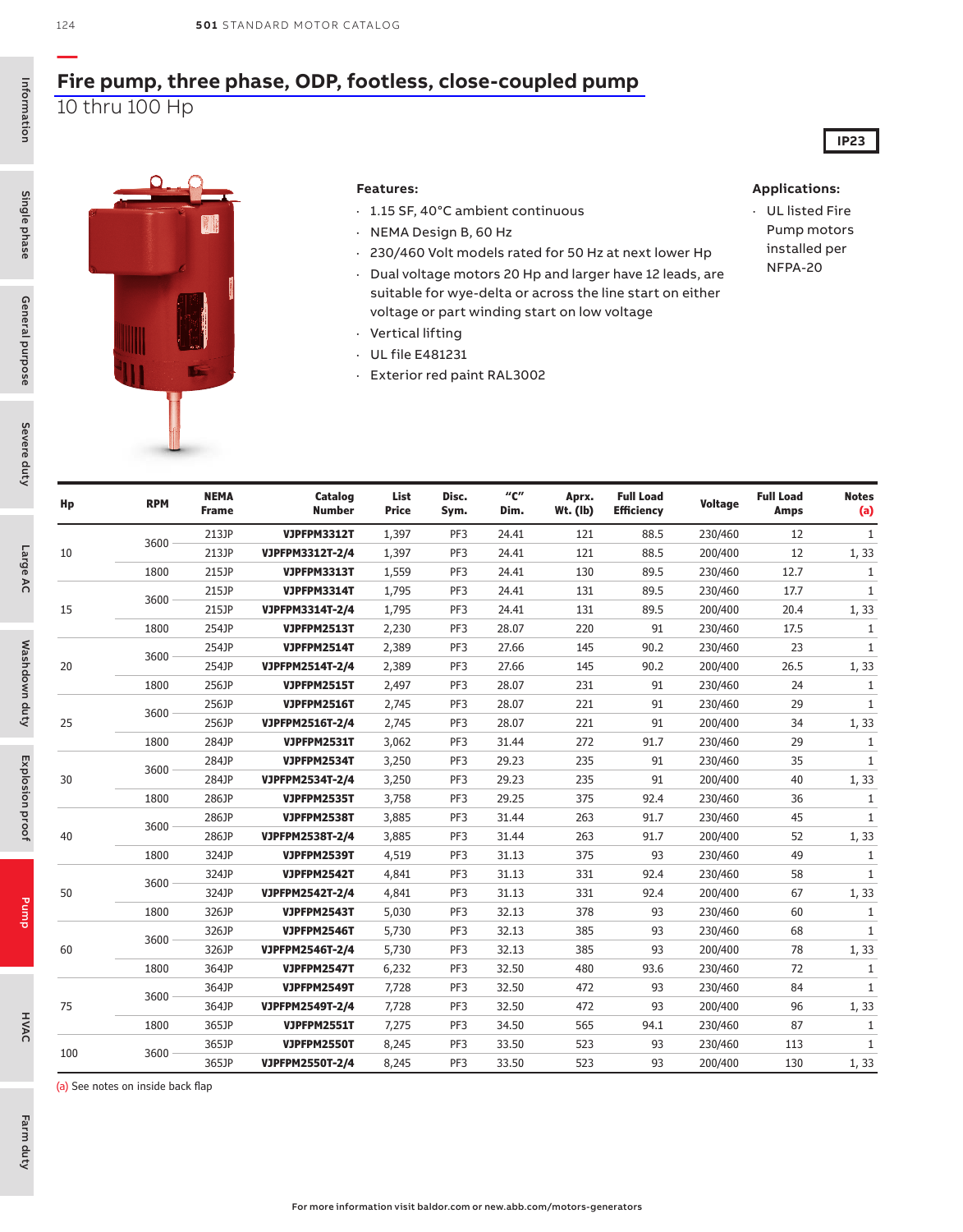### **— [Fire pump, three phase, ODP, footless, close-coupled pump](https://www.baldor.com/brands/baldor-reliance/products/motors/ac-motors/pump/fire-pump)** 10 thru 100 Hp



#### **Features:**

- · 1.15 SF, 40°C ambient continuous
- · NEMA Design B, 60 Hz
- · 230/460 Volt models rated for 50 Hz at next lower Hp
- · Dual voltage motors 20 Hp and larger have 12 leads, are suitable for wye-delta or across the line start on either voltage or part winding start on low voltage
- · Vertical lifting
- · UL file E481231
- · Exterior red paint RAL3002

#### **Applications:**

· UL listed Fire Pump motors installed per NFPA-20

**IP23**

| Hp  | <b>RPM</b> | <b>NEMA</b><br><b>Frame</b> | Catalog<br><b>Number</b> | List<br><b>Price</b> | Disc.<br>Sym. | $^{\prime\prime}$ C $^{\prime\prime}$<br>Dim. | Aprx.<br>$Wt.$ (lb) | <b>Full Load</b><br><b>Efficiency</b> | <b>Voltage</b> | <b>Full Load</b><br><b>Amps</b> | <b>Notes</b><br>(a) |
|-----|------------|-----------------------------|--------------------------|----------------------|---------------|-----------------------------------------------|---------------------|---------------------------------------|----------------|---------------------------------|---------------------|
|     | 3600       | 213JP                       | <b>VJPFPM3312T</b>       | 1,397                | PF3           | 24.41                                         | 121                 | 88.5                                  | 230/460        | 12                              | $\mathbf{1}$        |
| 10  |            | 213JP                       | VJPFPM3312T-2/4          | 1,397                | PF3           | 24.41                                         | 121                 | 88.5                                  | 200/400        | 12                              | 1,33                |
|     | 1800       | 215JP                       | <b>VJPFPM3313T</b>       | 1,559                | PF3           | 24.41                                         | 130                 | 89.5                                  | 230/460        | 12.7                            | $\mathbf{1}$        |
|     | 3600       | 215JP                       | <b>VJPFPM3314T</b>       | 1,795                | PF3           | 24.41                                         | 131                 | 89.5                                  | 230/460        | 17.7                            | $\mathbf{1}$        |
| 15  |            | 215JP                       | VJPFPM3314T-2/4          | 1,795                | PF3           | 24.41                                         | 131                 | 89.5                                  | 200/400        | 20.4                            | 1,33                |
|     | 1800       | 254JP                       | <b>VJPFPM2513T</b>       | 2,230                | PF3           | 28.07                                         | 220                 | 91                                    | 230/460        | 17.5                            | $\mathbf{1}$        |
|     | 3600       | 254JP                       | <b>VJPFPM2514T</b>       | 2,389                | PF3           | 27.66                                         | 145                 | 90.2                                  | 230/460        | 23                              | $\mathbf{1}$        |
| 20  |            | 254JP                       | VJPFPM2514T-2/4          | 2,389                | PF3           | 27.66                                         | 145                 | 90.2                                  | 200/400        | 26.5                            | 1,33                |
|     | 1800       | 256JP                       | <b>VJPFPM2515T</b>       | 2,497                | PF3           | 28.07                                         | 231                 | 91                                    | 230/460        | 24                              | $\mathbf{1}$        |
|     | 3600       | 256JP                       | <b>VJPFPM2516T</b>       | 2,745                | PF3           | 28.07                                         | 221                 | 91                                    | 230/460        | 29                              | $\mathbf{1}$        |
| 25  |            | 256JP                       | VJPFPM2516T-2/4          | 2,745                | PF3           | 28.07                                         | 221                 | 91                                    | 200/400        | 34                              | 1, 33               |
|     | 1800       | 284JP                       | <b>VJPFPM2531T</b>       | 3,062                | PF3           | 31.44                                         | 272                 | 91.7                                  | 230/460        | 29                              | $\mathbf{1}$        |
|     | 3600       | 284JP                       | <b>VJPFPM2534T</b>       | 3,250                | PF3           | 29.23                                         | 235                 | 91                                    | 230/460        | 35                              | $\mathbf{1}$        |
| 30  |            | 284JP                       | VJPFPM2534T-2/4          | 3,250                | PF3           | 29.23                                         | 235                 | 91                                    | 200/400        | 40                              | 1,33                |
|     | 1800       | 286JP                       | <b>VJPFPM2535T</b>       | 3,758                | PF3           | 29.25                                         | 375                 | 92.4                                  | 230/460        | 36                              | $\mathbf{1}$        |
|     | 3600       | 286JP                       | <b>VJPFPM2538T</b>       | 3,885                | PF3           | 31.44                                         | 263                 | 91.7                                  | 230/460        | 45                              | $\mathbf{1}$        |
| 40  |            | 286JP                       | VJPFPM2538T-2/4          | 3,885                | PF3           | 31.44                                         | 263                 | 91.7                                  | 200/400        | 52                              | 1,33                |
|     | 1800       | 324JP                       | <b>VJPFPM2539T</b>       | 4,519                | PF3           | 31.13                                         | 375                 | 93                                    | 230/460        | 49                              | $\mathbf{1}$        |
|     | 3600       | 324JP                       | <b>VJPFPM2542T</b>       | 4,841                | PF3           | 31.13                                         | 331                 | 92.4                                  | 230/460        | 58                              | $\mathbf{1}$        |
| 50  |            | 324JP                       | VJPFPM2542T-2/4          | 4,841                | PF3           | 31.13                                         | 331                 | 92.4                                  | 200/400        | 67                              | 1,33                |
|     | 1800       | 326JP                       | <b>VJPFPM2543T</b>       | 5,030                | PF3           | 32.13                                         | 378                 | 93                                    | 230/460        | 60                              | $\mathbf{1}$        |
|     | 3600       | 326JP                       | <b>VJPFPM2546T</b>       | 5,730                | PF3           | 32.13                                         | 385                 | 93                                    | 230/460        | 68                              | $\mathbf{1}$        |
| 60  |            | 326JP                       | VJPFPM2546T-2/4          | 5,730                | PF3           | 32.13                                         | 385                 | 93                                    | 200/400        | 78                              | 1,33                |
|     | 1800       | 364JP                       | <b>VJPFPM2547T</b>       | 6,232                | PF3           | 32.50                                         | 480                 | 93.6                                  | 230/460        | 72                              | $\mathbf{1}$        |
|     | 3600       | 364JP                       | <b>VJPFPM2549T</b>       | 7,728                | PF3           | 32.50                                         | 472                 | 93                                    | 230/460        | 84                              | $\mathbf{1}$        |
| 75  |            | 364JP                       | VJPFPM2549T-2/4          | 7,728                | PF3           | 32.50                                         | 472                 | 93                                    | 200/400        | 96                              | 1, 33               |
|     | 1800       | 365JP                       | <b>VJPFPM2551T</b>       | 7,275                | PF3           | 34.50                                         | 565                 | 94.1                                  | 230/460        | 87                              | 1                   |
| 100 | 3600       | 365JP                       | VJPFPM2550T              | 8,245                | PF3           | 33.50                                         | 523                 | 93                                    | 230/460        | 113                             | $\mathbf{1}$        |
|     |            | 365JP                       | VJPFPM2550T-2/4          | 8,245                | PF3           | 33.50                                         | 523                 | 93                                    | 200/400        | 130                             | 1, 33               |

124

Farm duty

Farm duty

HVAC

(a) See notes on inside back flap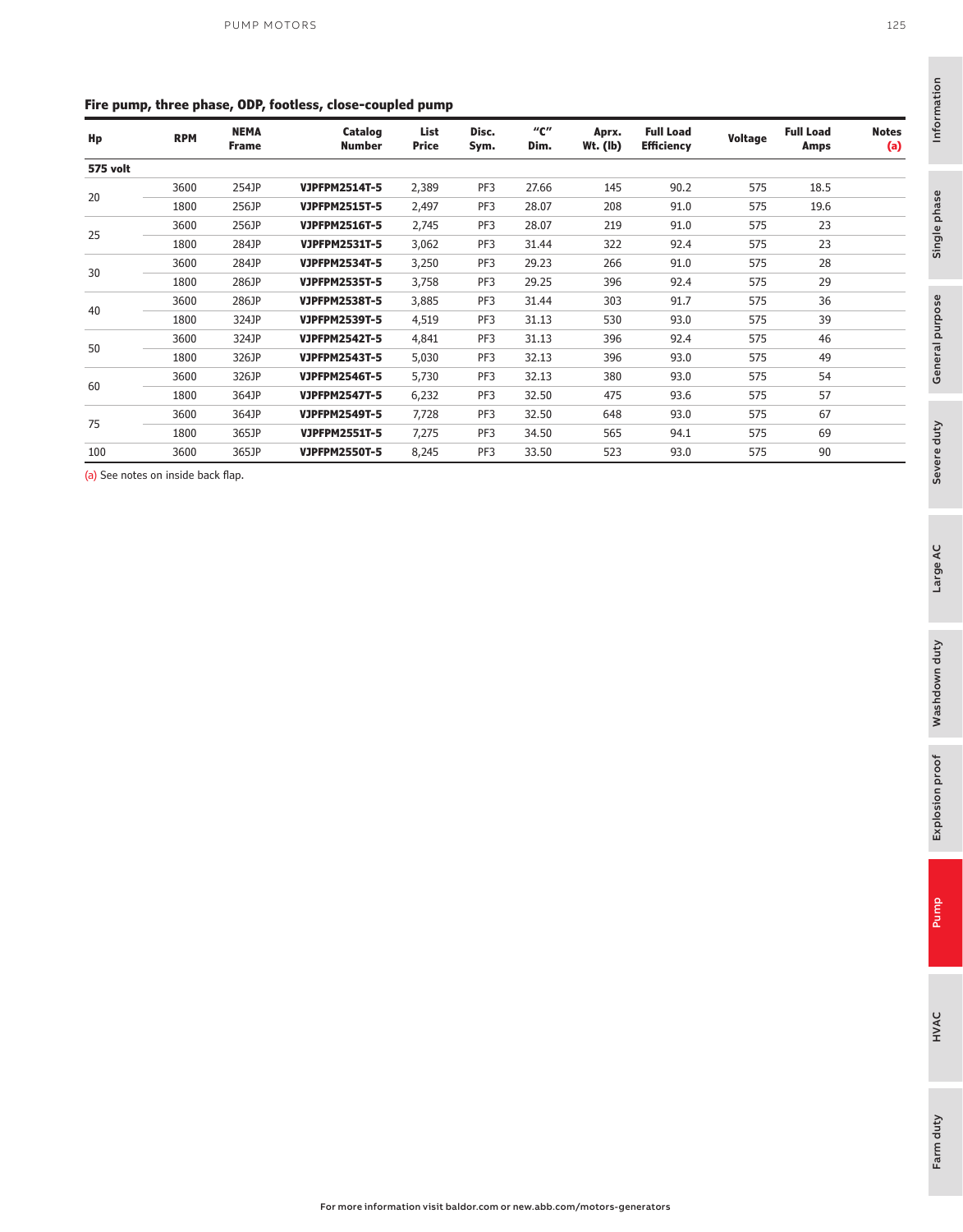#### **Fire pump, three phase, ODP, footless, close-coupled pump**

| <b>RPM</b> | <b>NEMA</b><br><b>Frame</b> | Catalog<br><b>Number</b> | List<br>Price | Disc.<br>Sym. | "C"<br>Dim. | Aprx.<br>Wt. (lb) | <b>Full Load</b><br><b>Efficiency</b> | Voltage | <b>Full Load</b><br>Amps | <b>Notes</b><br>(a) |
|------------|-----------------------------|--------------------------|---------------|---------------|-------------|-------------------|---------------------------------------|---------|--------------------------|---------------------|
|            |                             |                          |               |               |             |                   |                                       |         |                          |                     |
| 3600       | 254JP                       | <b>VJPFPM2514T-5</b>     | 2,389         | PF3           | 27.66       | 145               | 90.2                                  | 575     | 18.5                     |                     |
| 1800       | 256JP                       | <b>VJPFPM2515T-5</b>     | 2,497         | PF3           | 28.07       | 208               | 91.0                                  | 575     | 19.6                     |                     |
| 3600       | 256JP                       | <b>VJPFPM2516T-5</b>     | 2,745         | PF3           | 28.07       | 219               | 91.0                                  | 575     | 23                       |                     |
| 1800       | 284JP                       | <b>VJPFPM2531T-5</b>     | 3,062         | PF3           | 31.44       | 322               | 92.4                                  | 575     | 23                       |                     |
| 3600       | 284JP                       | <b>VJPFPM2534T-5</b>     | 3,250         | PF3           | 29.23       | 266               | 91.0                                  | 575     | 28                       |                     |
| 1800       | 286JP                       | <b>VJPFPM2535T-5</b>     | 3,758         | PF3           | 29.25       | 396               | 92.4                                  | 575     | 29                       |                     |
| 3600       | 286JP                       | <b>VJPFPM2538T-5</b>     | 3,885         | PF3           | 31.44       | 303               | 91.7                                  | 575     | 36                       |                     |
| 1800       | 324JP                       | <b>VJPFPM2539T-5</b>     | 4,519         | PF3           | 31.13       | 530               | 93.0                                  | 575     | 39                       |                     |
| 3600       | 324JP                       | <b>VJPFPM2542T-5</b>     | 4,841         | PF3           | 31.13       | 396               | 92.4                                  | 575     | 46                       |                     |
| 1800       | 326JP                       | <b>VJPFPM2543T-5</b>     | 5,030         | PF3           | 32.13       | 396               | 93.0                                  | 575     | 49                       |                     |
| 3600       | 326JP                       | <b>VJPFPM2546T-5</b>     | 5,730         | PF3           | 32.13       | 380               | 93.0                                  | 575     | 54                       |                     |
| 1800       | 364JP                       | <b>VJPFPM2547T-5</b>     | 6,232         | PF3           | 32.50       | 475               | 93.6                                  | 575     | 57                       |                     |
| 3600       | 364JP                       | <b>VJPFPM2549T-5</b>     | 7,728         | PF3           | 32.50       | 648               | 93.0                                  | 575     | 67                       |                     |
| 1800       | 365JP                       | <b>VJPFPM2551T-5</b>     | 7,275         | PF3           | 34.50       | 565               | 94.1                                  | 575     | 69                       |                     |
| 3600       | 365JP                       | <b>VJPFPM2550T-5</b>     | 8,245         | PF3           | 33.50       | 523               | 93.0                                  | 575     | 90                       |                     |
|            |                             |                          |               |               |             |                   |                                       |         |                          |                     |

(a) See notes on inside back flap.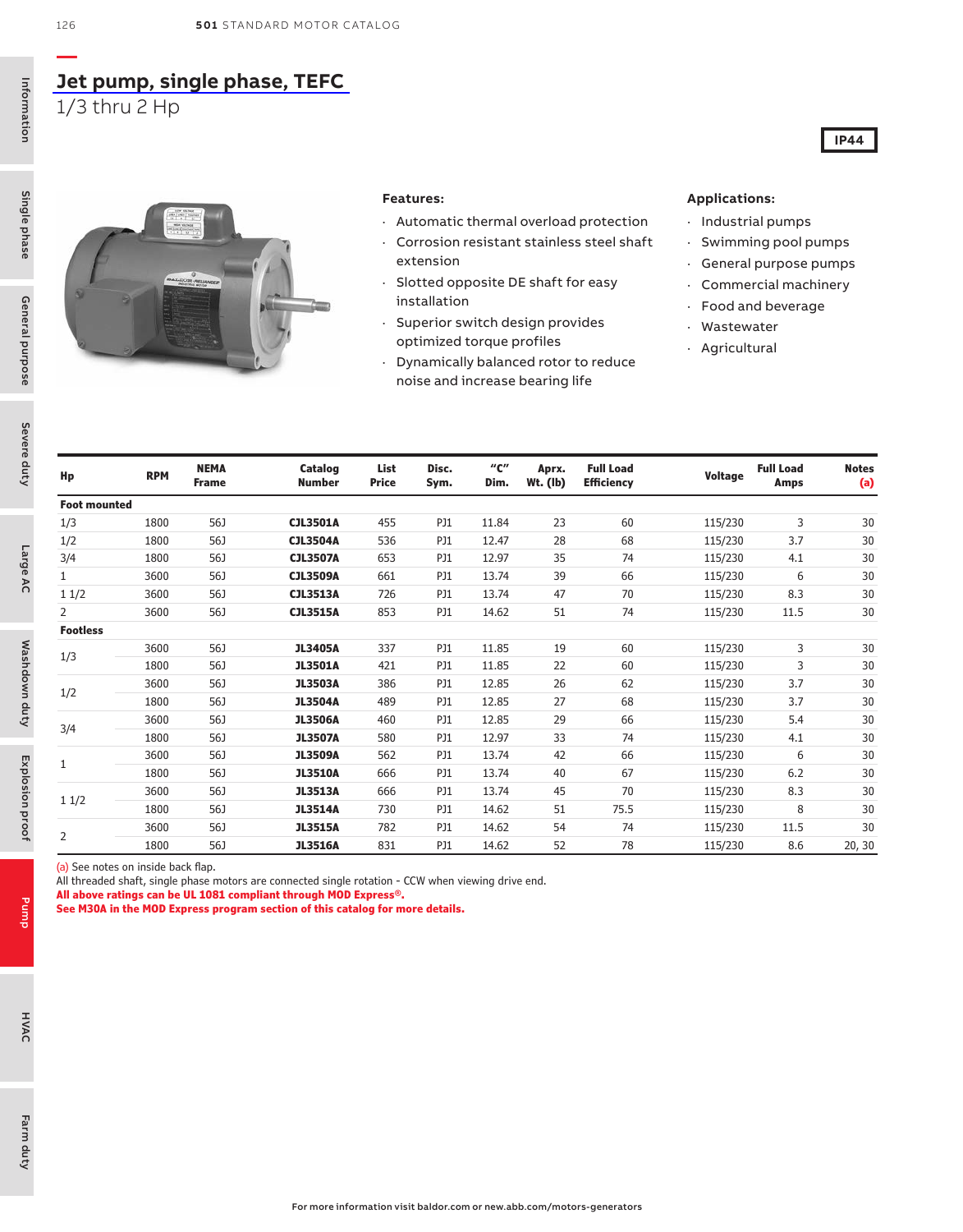### **[Jet pump, single phase, TEFC](https://www.baldor.com/brands/baldor-reliance/products/motors/ac-motors/pump/56j-jet-pump-motors)** 1/3 thru 2 Hp



#### **Features:**

- · Automatic thermal overload protection
- Corrosion resistant stainless steel shaft extension
- · Slotted opposite DE shaft for easy installation
- · Superior switch design provides optimized torque profiles
- · Dynamically balanced rotor to reduce noise and increase bearing life

#### **Applications:**

- · Industrial pumps
- · Swimming pool pumps

**IP44**

- · General purpose pumps
- · Commercial machinery
- · Food and beverage
- · Wastewater
- · Agricultural

| Hp                  | <b>RPM</b> | <b>NEMA</b><br><b>Frame</b> | Catalog<br><b>Number</b> | List<br>Price | Disc.<br>Sym. | "с"<br>Dim. | Aprx.<br>Wt. (lb) | <b>Full Load</b><br><b>Efficiency</b> | Voltage | <b>Full Load</b><br>Amps | <b>Notes</b><br>(a) |
|---------------------|------------|-----------------------------|--------------------------|---------------|---------------|-------------|-------------------|---------------------------------------|---------|--------------------------|---------------------|
| <b>Foot mounted</b> |            |                             |                          |               |               |             |                   |                                       |         |                          |                     |
| 1/3                 | 1800       | 56J                         | <b>CJL3501A</b>          | 455           | PJ1           | 11.84       | 23                | 60                                    | 115/230 | 3                        | 30                  |
| 1/2                 | 1800       | 56J                         | <b>CJL3504A</b>          | 536           | PJ1           | 12.47       | 28                | 68                                    | 115/230 | 3.7                      | 30                  |
| 3/4                 | 1800       | 56J                         | <b>CJL3507A</b>          | 653           | PJ1           | 12.97       | 35                | 74                                    | 115/230 | 4.1                      | 30                  |
| $\mathbf{1}$        | 3600       | 56J                         | <b>CJL3509A</b>          | 661           | PJ1           | 13.74       | 39                | 66                                    | 115/230 | 6                        | 30                  |
| 11/2                | 3600       | 56J                         | <b>CJL3513A</b>          | 726           | PJ1           | 13.74       | 47                | 70                                    | 115/230 | 8.3                      | 30                  |
| 2                   | 3600       | 56J                         | <b>CJL3515A</b>          | 853           | PJ1           | 14.62       | 51                | 74                                    | 115/230 | 11.5                     | 30                  |
| <b>Footless</b>     |            |                             |                          |               |               |             |                   |                                       |         |                          |                     |
| 1/3                 | 3600       | 56J                         | <b>JL3405A</b>           | 337           | PJ1           | 11.85       | 19                | 60                                    | 115/230 | 3                        | 30                  |
|                     | 1800       | 56J                         | <b>JL3501A</b>           | 421           | PJ1           | 11.85       | 22                | 60                                    | 115/230 | 3                        | 30                  |
| 1/2                 | 3600       | 56J                         | <b>JL3503A</b>           | 386           | PJ1           | 12.85       | 26                | 62                                    | 115/230 | 3.7                      | 30                  |
|                     | 1800       | 56J                         | <b>JL3504A</b>           | 489           | PJ1           | 12.85       | 27                | 68                                    | 115/230 | 3.7                      | 30                  |
| 3/4                 | 3600       | 56J                         | <b>JL3506A</b>           | 460           | PJ1           | 12.85       | 29                | 66                                    | 115/230 | 5.4                      | 30                  |
|                     | 1800       | 56J                         | <b>JL3507A</b>           | 580           | PJ1           | 12.97       | 33                | 74                                    | 115/230 | 4.1                      | 30                  |
|                     | 3600       | 56J                         | <b>JL3509A</b>           | 562           | PJ1           | 13.74       | 42                | 66                                    | 115/230 | 6                        | 30                  |
| 1                   | 1800       | 56J                         | <b>JL3510A</b>           | 666           | PJ1           | 13.74       | 40                | 67                                    | 115/230 | 6.2                      | 30                  |
|                     | 3600       | 56J                         | <b>JL3513A</b>           | 666           | PJ1           | 13.74       | 45                | 70                                    | 115/230 | 8.3                      | 30                  |
| 11/2                | 1800       | 56J                         | <b>JL3514A</b>           | 730           | PJ1           | 14.62       | 51                | 75.5                                  | 115/230 | 8                        | 30                  |
|                     | 3600       | 56J                         | <b>JL3515A</b>           | 782           | PJ1           | 14.62       | 54                | 74                                    | 115/230 | 11.5                     | 30                  |
| 2                   | 1800       | 56J                         | <b>JL3516A</b>           | 831           | PJ1           | 14.62       | 52                | 78                                    | 115/230 | 8.6                      | 20, 30              |

(a) See notes on inside back flap.

All threaded shaft, single phase motors are connected single rotation - CCW when viewing drive end.

**All above ratings can be UL 1081 compliant through MOD Express®.**

**See M30A in the MOD Express program section of this catalog for more details.**

Pump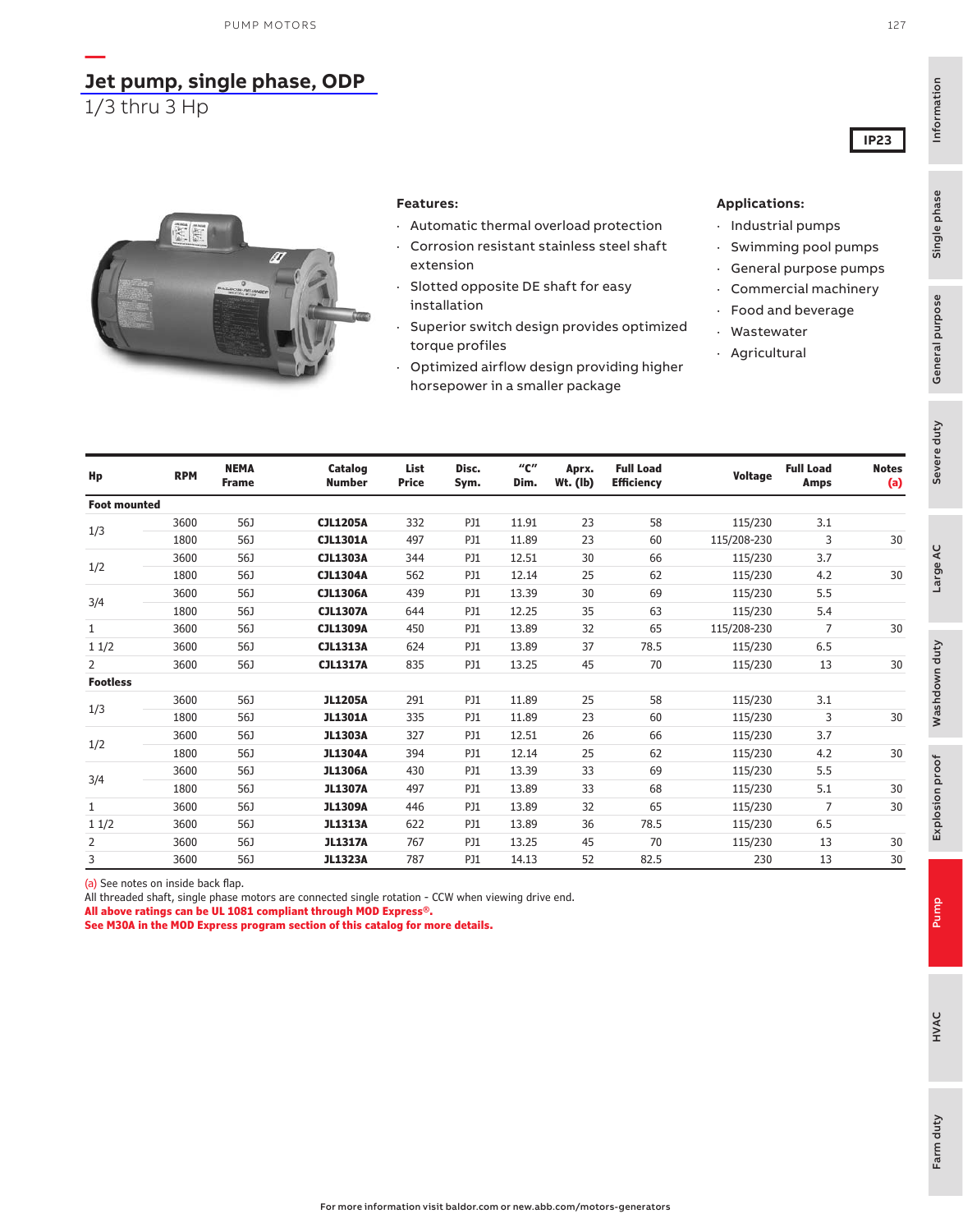### **[Jet pump, single phase, ODP](https://www.baldor.com/brands/baldor-reliance/products/motors/ac-motors/pump/56j-jet-pump-motors)**

1/3 thru 3 Hp

**—**



#### **Features:**

- · Automatic thermal overload protection
- Corrosion resistant stainless steel shaft extension
- · Slotted opposite DE shaft for easy installation
- Superior switch design provides optimized torque profiles
- · Optimized airflow design providing higher horsepower in a smaller package

#### **Applications:**

- · Industrial pumps
- · Swimming pool pumps
- · General purpose pumps
- · Commercial machinery
- Food and beverage
- **Wastewater**
- · Agricultural

| Hp                  | <b>RPM</b> | <b>NEMA</b><br><b>Frame</b> | Catalog<br><b>Number</b> | List<br><b>Price</b> | Disc.<br>Sym. | $^{\prime\prime}$ C $^{\prime\prime}$<br>Dim. | Aprx.<br>Wt. (lb) | <b>Full Load</b><br><b>Efficiency</b> | Voltage     | <b>Full Load</b><br><b>Amps</b> | <b>Notes</b><br>(a) |
|---------------------|------------|-----------------------------|--------------------------|----------------------|---------------|-----------------------------------------------|-------------------|---------------------------------------|-------------|---------------------------------|---------------------|
| <b>Foot mounted</b> |            |                             |                          |                      |               |                                               |                   |                                       |             |                                 |                     |
|                     | 3600       | 56J                         | <b>CJL1205A</b>          | 332                  | <b>PJ1</b>    | 11.91                                         | 23                | 58                                    | 115/230     | 3.1                             |                     |
| 1/3                 | 1800       | 56J                         | <b>CJL1301A</b>          | 497                  | PJ1           | 11.89                                         | 23                | 60                                    | 115/208-230 | 3                               | 30                  |
|                     | 3600       | 56J                         | <b>CJL1303A</b>          | 344                  | <b>PJ1</b>    | 12.51                                         | 30                | 66                                    | 115/230     | 3.7                             |                     |
| 1/2                 | 1800       | 56J                         | <b>CJL1304A</b>          | 562                  | PJ1           | 12.14                                         | 25                | 62                                    | 115/230     | 4.2                             | 30                  |
|                     | 3600       | 56J                         | <b>CJL1306A</b>          | 439                  | PJ1           | 13.39                                         | 30                | 69                                    | 115/230     | 5.5                             |                     |
| 3/4                 | 1800       | 56J                         | <b>CJL1307A</b>          | 644                  | PJ1           | 12.25                                         | 35                | 63                                    | 115/230     | 5.4                             |                     |
| 1                   | 3600       | 56J                         | <b>CJL1309A</b>          | 450                  | PJ1           | 13.89                                         | 32                | 65                                    | 115/208-230 | 7                               | 30                  |
| 11/2                | 3600       | 56J                         | <b>CJL1313A</b>          | 624                  | <b>PJ1</b>    | 13.89                                         | 37                | 78.5                                  | 115/230     | 6.5                             |                     |
| 2                   | 3600       | 56J                         | <b>CJL1317A</b>          | 835                  | PJ1           | 13.25                                         | 45                | 70                                    | 115/230     | 13                              | 30                  |
| <b>Footless</b>     |            |                             |                          |                      |               |                                               |                   |                                       |             |                                 |                     |
|                     | 3600       | 56J                         | <b>JL1205A</b>           | 291                  | PJ1           | 11.89                                         | 25                | 58                                    | 115/230     | 3.1                             |                     |
| 1/3                 | 1800       | 56J                         | <b>JL1301A</b>           | 335                  | PJ1           | 11.89                                         | 23                | 60                                    | 115/230     | 3                               | 30                  |
|                     | 3600       | 56J                         | <b>JL1303A</b>           | 327                  | PJ1           | 12.51                                         | 26                | 66                                    | 115/230     | 3.7                             |                     |
| 1/2                 | 1800       | 56J                         | <b>JL1304A</b>           | 394                  | PJ1           | 12.14                                         | 25                | 62                                    | 115/230     | 4.2                             | 30                  |
|                     | 3600       | 56J                         | <b>JL1306A</b>           | 430                  | <b>PJ1</b>    | 13.39                                         | 33                | 69                                    | 115/230     | 5.5                             |                     |
| 3/4                 | 1800       | 56J                         | <b>JL1307A</b>           | 497                  | PJ1           | 13.89                                         | 33                | 68                                    | 115/230     | 5.1                             | 30                  |
| 1                   | 3600       | 56J                         | <b>JL1309A</b>           | 446                  | PJ1           | 13.89                                         | 32                | 65                                    | 115/230     | 7                               | 30                  |
| 11/2                | 3600       | 56J                         | <b>JL1313A</b>           | 622                  | PJ1           | 13.89                                         | 36                | 78.5                                  | 115/230     | 6.5                             |                     |
| 2                   | 3600       | 56J                         | <b>JL1317A</b>           | 767                  | PJ1           | 13.25                                         | 45                | 70                                    | 115/230     | 13                              | 30                  |
| 3                   | 3600       | 56J                         | <b>JL1323A</b>           | 787                  | PJ1           | 14.13                                         | 52                | 82.5                                  | 230         | 13                              | 30                  |

(a) See notes on inside back flap.

All threaded shaft, single phase motors are connected single rotation - CCW when viewing drive end.

**All above ratings can be UL 1081 compliant through MOD Express®.**

**See M30A in the MOD Express program section of this catalog for more details.**

**IP23**

Single phase

Information

Information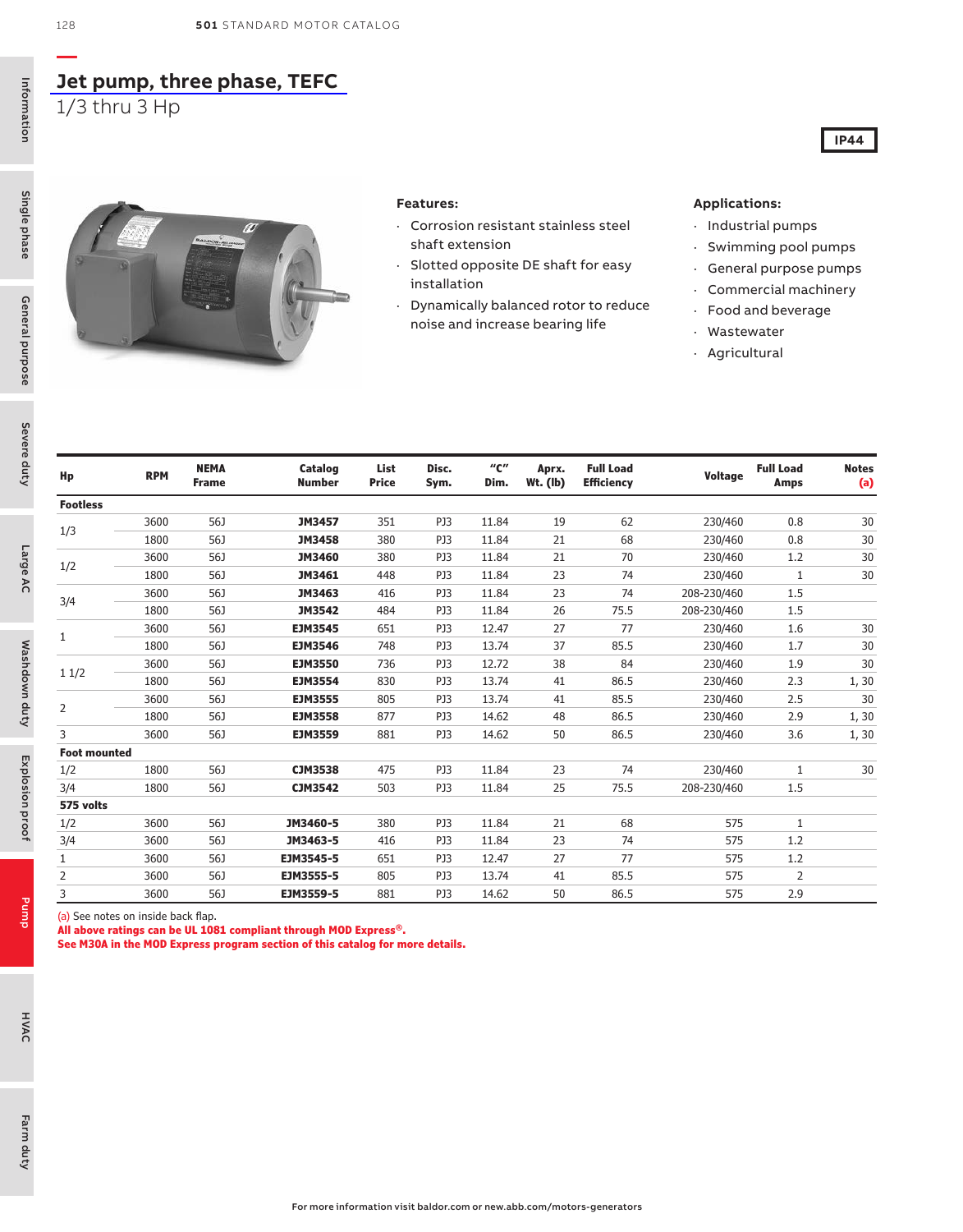### **[Jet pump, three phase, TEFC](https://www.baldor.com/brands/baldor-reliance/products/motors/ac-motors/pump/56j-jet-pump-motors)** 1/3 thru 3 Hp

Information Information

Pump

HVAC



#### **Features:**

- · Corrosion resistant stainless steel shaft extension
- · Slotted opposite DE shaft for easy installation
- · Dynamically balanced rotor to reduce noise and increase bearing life

#### **Applications:**

- · Industrial pumps
- Swimming pool pumps

**IP44**

- · General purpose pumps
- · Commercial machinery
- · Food and beverage
- · Wastewater
- · Agricultural

| Hp                  | <b>RPM</b> | <b>NEMA</b><br><b>Frame</b> | Catalog<br><b>Number</b> | List<br><b>Price</b> | Disc.<br>Sym. | "с"<br>Dim. | Aprx.<br>$Wt.$ (lb) | <b>Full Load</b><br><b>Efficiency</b> | Voltage     | <b>Full Load</b><br>Amps | <b>Notes</b><br>(a) |
|---------------------|------------|-----------------------------|--------------------------|----------------------|---------------|-------------|---------------------|---------------------------------------|-------------|--------------------------|---------------------|
| <b>Footless</b>     |            |                             |                          |                      |               |             |                     |                                       |             |                          |                     |
|                     | 3600       | 56J                         | JM3457                   | 351                  | PJ3           | 11.84       | 19                  | 62                                    | 230/460     | 0.8                      | 30                  |
| 1/3                 | 1800       | 56J                         | <b>JM3458</b>            | 380                  | PJ3           | 11.84       | 21                  | 68                                    | 230/460     | 0.8                      | 30                  |
|                     | 3600       | 56J                         | <b>JM3460</b>            | 380                  | PJ3           | 11.84       | 21                  | 70                                    | 230/460     | 1.2                      | 30                  |
| 1/2                 | 1800       | 56J                         | JM3461                   | 448                  | PJ3           | 11.84       | 23                  | 74                                    | 230/460     | 1                        | 30                  |
|                     | 3600       | 56J                         | JM3463                   | 416                  | PJ3           | 11.84       | 23                  | 74                                    | 208-230/460 | 1.5                      |                     |
| 3/4                 | 1800       | 56J                         | JM3542                   | 484                  | PJ3           | 11.84       | 26                  | 75.5                                  | 208-230/460 | 1.5                      |                     |
|                     | 3600       | 56J                         | <b>EJM3545</b>           | 651                  | PJ3           | 12.47       | 27                  | 77                                    | 230/460     | 1.6                      | 30                  |
| 1                   | 1800       | 56J                         | <b>EJM3546</b>           | 748                  | PJ3           | 13.74       | 37                  | 85.5                                  | 230/460     | 1.7                      | 30                  |
|                     | 3600       | 56J                         | <b>EJM3550</b>           | 736                  | PJ3           | 12.72       | 38                  | 84                                    | 230/460     | 1.9                      | 30                  |
| 11/2                | 1800       | 56J                         | <b>EJM3554</b>           | 830                  | PJ3           | 13.74       | 41                  | 86.5                                  | 230/460     | 2.3                      | 1, 30               |
| 2                   | 3600       | 56J                         | <b>EJM3555</b>           | 805                  | PJ3           | 13.74       | 41                  | 85.5                                  | 230/460     | 2.5                      | 30                  |
|                     | 1800       | 56J                         | <b>EJM3558</b>           | 877                  | PJ3           | 14.62       | 48                  | 86.5                                  | 230/460     | 2.9                      | 1, 30               |
| 3                   | 3600       | 56J                         | <b>EJM3559</b>           | 881                  | PJ3           | 14.62       | 50                  | 86.5                                  | 230/460     | 3.6                      | 1, 30               |
| <b>Foot mounted</b> |            |                             |                          |                      |               |             |                     |                                       |             |                          |                     |
| 1/2                 | 1800       | 56J                         | <b>CJM3538</b>           | 475                  | PJ3           | 11.84       | 23                  | 74                                    | 230/460     | 1                        | 30                  |
| 3/4                 | 1800       | 56J                         | <b>CJM3542</b>           | 503                  | PJ3           | 11.84       | 25                  | 75.5                                  | 208-230/460 | 1.5                      |                     |
| 575 volts           |            |                             |                          |                      |               |             |                     |                                       |             |                          |                     |
| 1/2                 | 3600       | 56J                         | JM3460-5                 | 380                  | PJ3           | 11.84       | 21                  | 68                                    | 575         | 1                        |                     |
| 3/4                 | 3600       | 56J                         | JM3463-5                 | 416                  | PJ3           | 11.84       | 23                  | 74                                    | 575         | 1.2                      |                     |
| 1                   | 3600       | 56J                         | EJM3545-5                | 651                  | PJ3           | 12.47       | 27                  | 77                                    | 575         | 1.2                      |                     |
| 2                   | 3600       | 56J                         | EJM3555-5                | 805                  | PJ3           | 13.74       | 41                  | 85.5                                  | 575         | 2                        |                     |
| 3                   | 3600       | 56J                         | EJM3559-5                | 881                  | PJ3           | 14.62       | 50                  | 86.5                                  | 575         | 2.9                      |                     |

(a) See notes on inside back flap.

**All above ratings can be UL 1081 compliant through MOD Express®.**

**See M30A in the MOD Express program section of this catalog for more details.**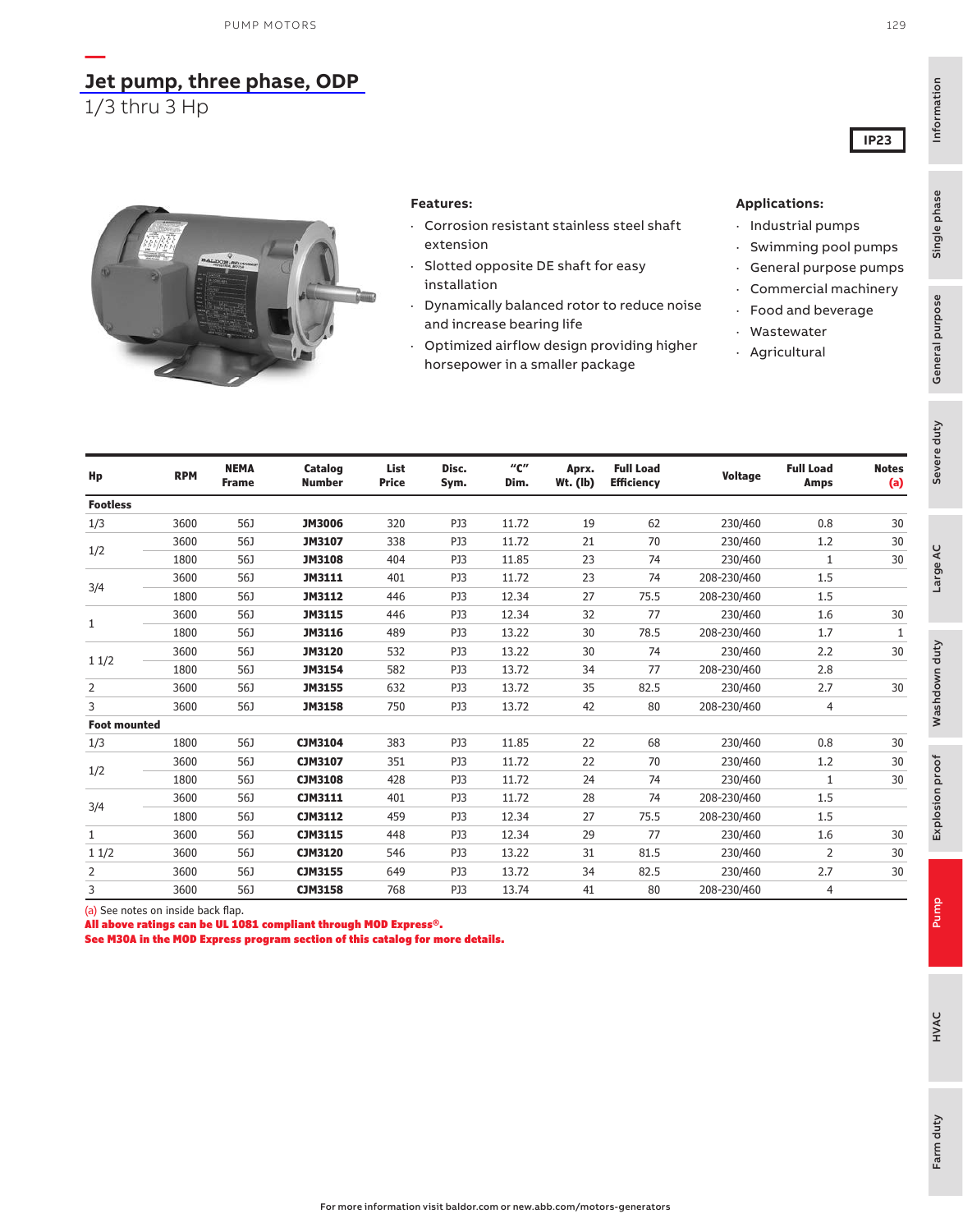## **[Jet pump, three phase, ODP](https://www.baldor.com/brands/baldor-reliance/products/motors/ac-motors/pump/56j-jet-pump-motors)**

1/3 thru 3 Hp

**—**



#### **Features:**

- · Corrosion resistant stainless steel shaft extension
- Slotted opposite DE shaft for easy installation
- · Dynamically balanced rotor to reduce noise and increase bearing life
- · Optimized airflow design providing higher horsepower in a smaller package

#### **Applications:**

- · Industrial pumps
- · Swimming pool pumps
- · General purpose pumps
- · Commercial machinery
- · Food and beverage
- · Wastewater
- · Agricultural

| Hp                  | <b>RPM</b> | <b>NEMA</b><br><b>Frame</b> | <b>Catalog</b><br><b>Number</b> | List<br><b>Price</b> | Disc.<br>Sym. | "с"<br>Dim. | Aprx.<br><b>Wt.</b> (lb) | <b>Full Load</b><br><b>Efficiency</b> | Voltage     | <b>Full Load</b><br><b>Amps</b> | <b>Notes</b><br>(a) |
|---------------------|------------|-----------------------------|---------------------------------|----------------------|---------------|-------------|--------------------------|---------------------------------------|-------------|---------------------------------|---------------------|
| <b>Footless</b>     |            |                             |                                 |                      |               |             |                          |                                       |             |                                 |                     |
| 1/3                 | 3600       | 56J                         | <b>JM3006</b>                   | 320                  | PJ3           | 11.72       | 19                       | 62                                    | 230/460     | 0.8                             | 30                  |
|                     | 3600       | 56J                         | <b>JM3107</b>                   | 338                  | PJ3           | 11.72       | 21                       | 70                                    | 230/460     | 1.2                             | 30                  |
| 1/2                 | 1800       | 56J                         | <b>JM3108</b>                   | 404                  | PJ3           | 11.85       | 23                       | 74                                    | 230/460     | 1                               | 30                  |
|                     | 3600       | 56J                         | <b>JM3111</b>                   | 401                  | PJ3           | 11.72       | 23                       | 74                                    | 208-230/460 | 1.5                             |                     |
| 3/4                 | 1800       | 56J                         | JM3112                          | 446                  | PJ3           | 12.34       | 27                       | 75.5                                  | 208-230/460 | 1.5                             |                     |
|                     | 3600       | 56J                         | <b>JM3115</b>                   | 446                  | PJ3           | 12.34       | 32                       | 77                                    | 230/460     | 1.6                             | 30                  |
| 1                   | 1800       | 56J                         | JM3116                          | 489                  | PJ3           | 13.22       | 30                       | 78.5                                  | 208-230/460 | 1.7                             | $\mathbf{1}$        |
|                     | 3600       | 56J                         | <b>JM3120</b>                   | 532                  | PJ3           | 13.22       | 30                       | 74                                    | 230/460     | 2.2                             | 30                  |
| 11/2                | 1800       | 56J                         | JM3154                          | 582                  | PJ3           | 13.72       | 34                       | 77                                    | 208-230/460 | 2.8                             |                     |
| 2                   | 3600       | 56J                         | <b>JM3155</b>                   | 632                  | PJ3           | 13.72       | 35                       | 82.5                                  | 230/460     | 2.7                             | 30                  |
| 3                   | 3600       | 56J                         | <b>JM3158</b>                   | 750                  | PJ3           | 13.72       | 42                       | 80                                    | 208-230/460 | 4                               |                     |
| <b>Foot mounted</b> |            |                             |                                 |                      |               |             |                          |                                       |             |                                 |                     |
| 1/3                 | 1800       | 56J                         | CJM3104                         | 383                  | PJ3           | 11.85       | 22                       | 68                                    | 230/460     | 0.8                             | 30                  |
|                     | 3600       | 56J                         | CJM3107                         | 351                  | PJ3           | 11.72       | 22                       | 70                                    | 230/460     | 1.2                             | 30                  |
| 1/2                 | 1800       | 56J                         | <b>CJM3108</b>                  | 428                  | PJ3           | 11.72       | 24                       | 74                                    | 230/460     | 1                               | 30                  |
|                     | 3600       | 56J                         | CJM3111                         | 401                  | PJ3           | 11.72       | 28                       | 74                                    | 208-230/460 | 1.5                             |                     |
| 3/4                 | 1800       | 56J                         | CJM3112                         | 459                  | PJ3           | 12.34       | 27                       | 75.5                                  | 208-230/460 | 1.5                             |                     |
| $\mathbf{1}$        | 3600       | 56J                         | <b>CJM3115</b>                  | 448                  | PJ3           | 12.34       | 29                       | 77                                    | 230/460     | 1.6                             | 30                  |
| 11/2                | 3600       | 56J                         | <b>CJM3120</b>                  | 546                  | PJ3           | 13.22       | 31                       | 81.5                                  | 230/460     | 2                               | 30                  |
| $\overline{2}$      | 3600       | 56J                         | <b>CJM3155</b>                  | 649                  | PJ3           | 13.72       | 34                       | 82.5                                  | 230/460     | 2.7                             | 30                  |
| 3                   | 3600       | 56J                         | <b>CJM3158</b>                  | 768                  | PJ3           | 13.74       | 41                       | 80                                    | 208-230/460 | 4                               |                     |

(a) See notes on inside back flap.

All above ratings can be UL 1081 compliant through MOD Express®.

See M30A in the MOD Express program section of this catalog for more details.

**IP23**

Information

Information

General purpose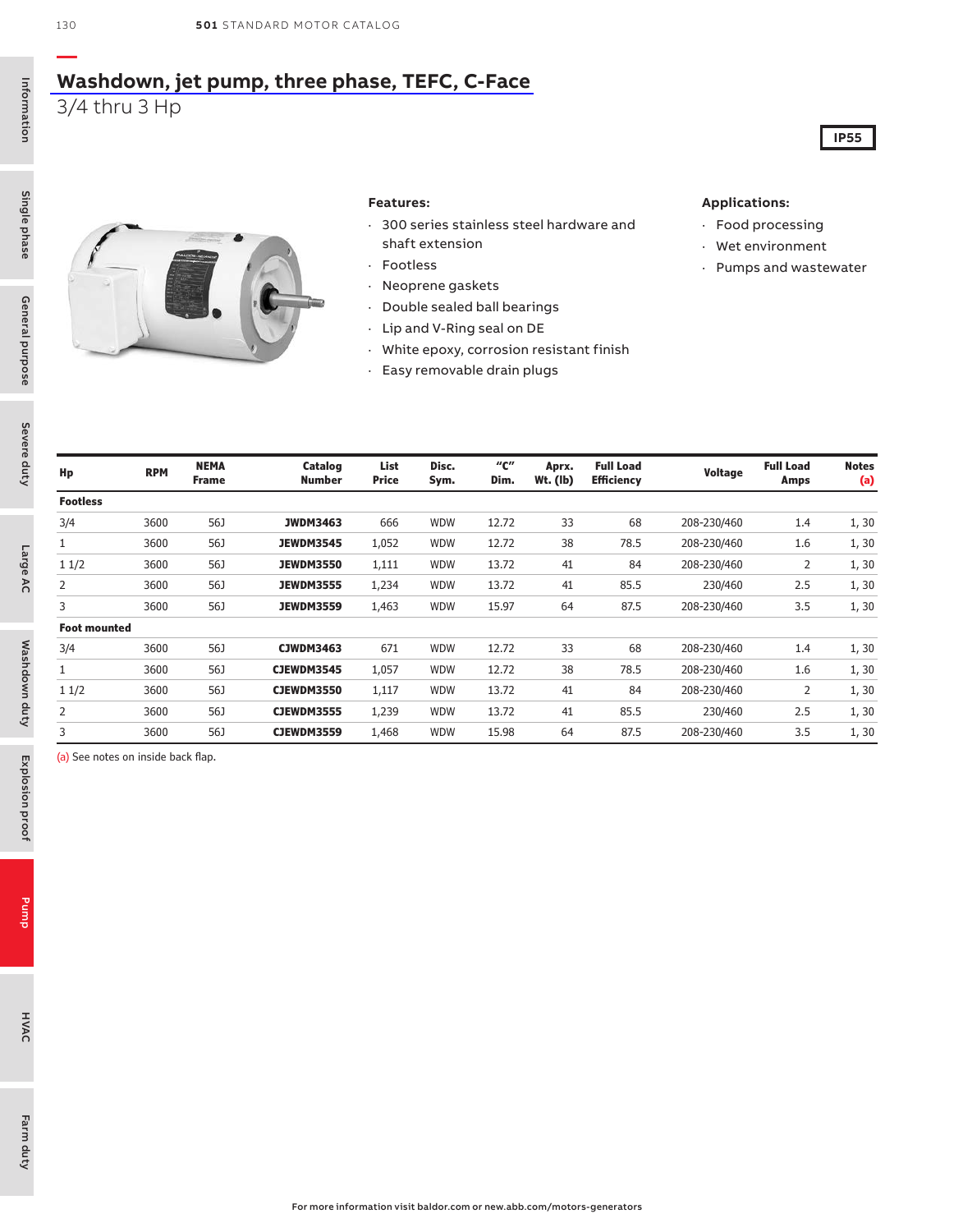### **[Washdown, jet pump, three phase, TEFC, C-Face](https://www.baldor.com/brands/baldor-reliance/products/motors/ac-motors/washdown-duty/56j-jet-pump-motors)** 3/4 thru 3 Hp

**—**

Single phase General purpose

General purpose

Single phase

Severe duty

Severe duty

Large AC

Washdown duty

Washdown duty



#### **Features:**

- · 300 series stainless steel hardware and shaft extension
- · Footless
- · Neoprene gaskets
- · Double sealed ball bearings
- · Lip and V-Ring seal on DE
- · White epoxy, corrosion resistant finish
- · Easy removable drain plugs

#### **Applications:**

- · Food processing
- · Wet environment
- · Pumps and wastewater

**IP55**

| Hp                  | <b>RPM</b> | <b>NEMA</b><br><b>Frame</b> | Catalog<br><b>Number</b> | List<br><b>Price</b> | Disc.<br>Sym. | "с"<br>Dim. | Aprx.<br>Wt. (lb) | <b>Full Load</b><br><b>Efficiency</b> | Voltage     | <b>Full Load</b><br>Amps | <b>Notes</b><br>(a) |
|---------------------|------------|-----------------------------|--------------------------|----------------------|---------------|-------------|-------------------|---------------------------------------|-------------|--------------------------|---------------------|
| <b>Footless</b>     |            |                             |                          |                      |               |             |                   |                                       |             |                          |                     |
| 3/4                 | 3600       | 56J                         | <b>JWDM3463</b>          | 666                  | <b>WDW</b>    | 12.72       | 33                | 68                                    | 208-230/460 | 1.4                      | 1, 30               |
| $\mathbf{1}$        | 3600       | 56J                         | <b>JEWDM3545</b>         | 1,052                | <b>WDW</b>    | 12.72       | 38                | 78.5                                  | 208-230/460 | 1.6                      | 1, 30               |
| 11/2                | 3600       | 56J                         | <b>JEWDM3550</b>         | 1,111                | <b>WDW</b>    | 13.72       | 41                | 84                                    | 208-230/460 | 2                        | 1, 30               |
| 2                   | 3600       | 56J                         | <b>JEWDM3555</b>         | 1,234                | WDW           | 13.72       | 41                | 85.5                                  | 230/460     | 2.5                      | 1, 30               |
| 3                   | 3600       | 56J                         | <b>JEWDM3559</b>         | 1,463                | <b>WDW</b>    | 15.97       | 64                | 87.5                                  | 208-230/460 | 3.5                      | 1, 30               |
| <b>Foot mounted</b> |            |                             |                          |                      |               |             |                   |                                       |             |                          |                     |
| 3/4                 | 3600       | 56J                         | <b>CJWDM3463</b>         | 671                  | <b>WDW</b>    | 12.72       | 33                | 68                                    | 208-230/460 | 1.4                      | 1, 30               |
| 1                   | 3600       | 56J                         | <b>CJEWDM3545</b>        | 1,057                | <b>WDW</b>    | 12.72       | 38                | 78.5                                  | 208-230/460 | 1.6                      | 1, 30               |
| 11/2                | 3600       | 56J                         | <b>CJEWDM3550</b>        | 1,117                | <b>WDW</b>    | 13.72       | 41                | 84                                    | 208-230/460 | 2                        | 1, 30               |
| 2                   | 3600       | 56J                         | <b>CJEWDM3555</b>        | 1,239                | <b>WDW</b>    | 13.72       | 41                | 85.5                                  | 230/460     | 2.5                      | 1, 30               |
| 3                   | 3600       | 56J                         | <b>CJEWDM3559</b>        | 1,468                | <b>WDW</b>    | 15.98       | 64                | 87.5                                  | 208-230/460 | 3.5                      | 1,30                |

(a) See notes on inside back flap.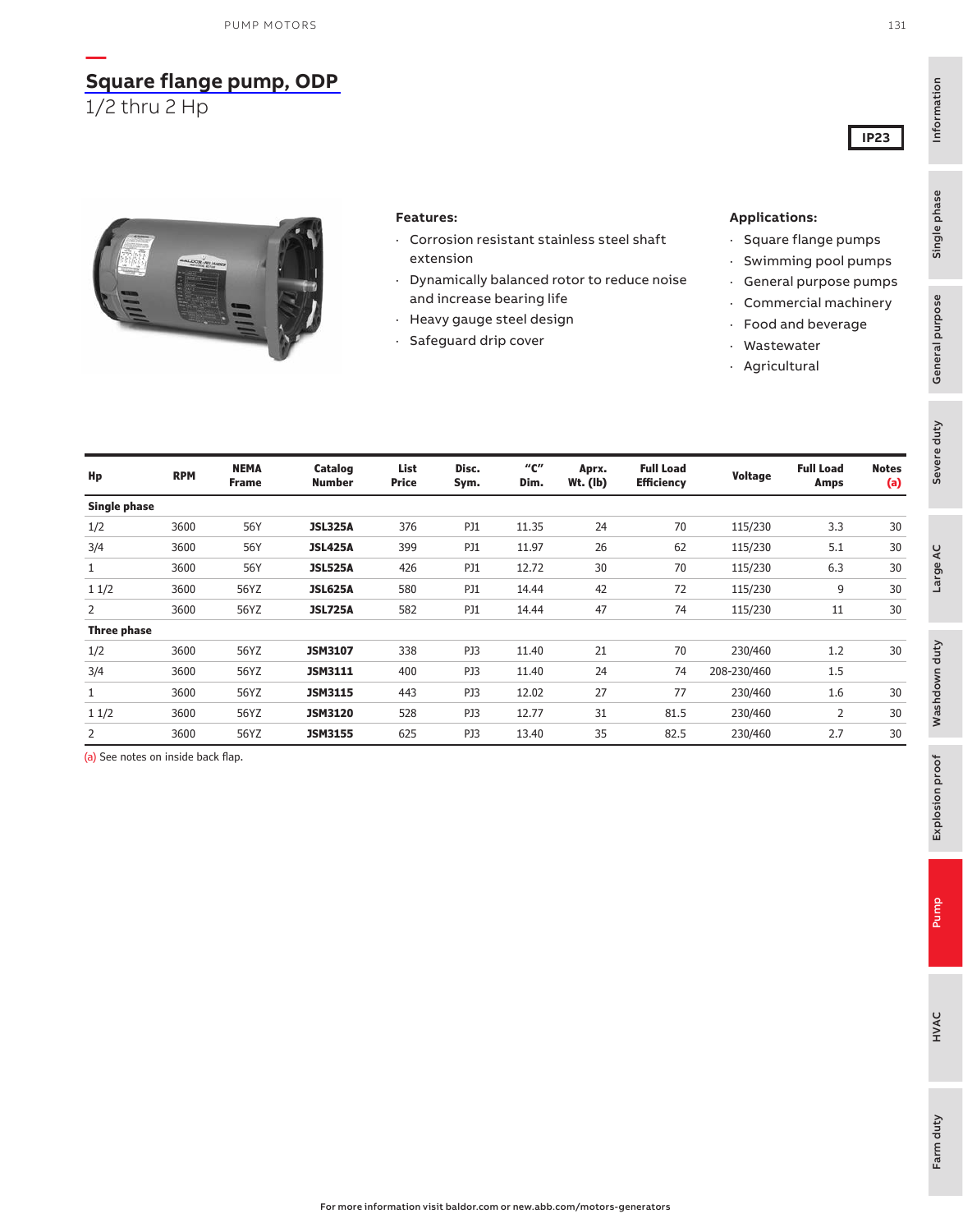## **[Square flange pump, ODP](https://www.baldor.com/brands/baldor-reliance/products/motors/ac-motors/pump)**

1/2 thru 2 Hp

**—**



#### **Features:**

- · Corrosion resistant stainless steel shaft extension
- · Dynamically balanced rotor to reduce noise and increase bearing life
- · Heavy gauge steel design
- · Safeguard drip cover

#### **Applications:**

- · Square flange pumps
- · Swimming pool pumps
- · General purpose pumps
- · Commercial machinery
- · Food and beverage
- · Wastewater
- · Agricultural

| Hp                  | <b>RPM</b> | <b>NEMA</b><br><b>Frame</b> | Catalog<br><b>Number</b> | List<br>Price | Disc.<br>Sym. | "с"<br>Dim. | Aprx.<br>$Wt.$ (lb) | <b>Full Load</b><br><b>Efficiency</b> | <b>Voltage</b> | <b>Full Load</b><br>Amps | <b>Notes</b><br>(a) |
|---------------------|------------|-----------------------------|--------------------------|---------------|---------------|-------------|---------------------|---------------------------------------|----------------|--------------------------|---------------------|
| <b>Single phase</b> |            |                             |                          |               |               |             |                     |                                       |                |                          |                     |
| 1/2                 | 3600       | 56Y                         | <b>JSL325A</b>           | 376           | <b>PJ1</b>    | 11.35       | 24                  | 70                                    | 115/230        | 3.3                      | 30                  |
| 3/4                 | 3600       | 56Y                         | <b>JSL425A</b>           | 399           | <b>PJ1</b>    | 11.97       | 26                  | 62                                    | 115/230        | 5.1                      | 30                  |
|                     | 3600       | 56Y                         | <b>JSL525A</b>           | 426           | PJ1           | 12.72       | 30                  | 70                                    | 115/230        | 6.3                      | 30                  |
| 11/2                | 3600       | 56YZ                        | <b>JSL625A</b>           | 580           | <b>PJ1</b>    | 14.44       | 42                  | 72                                    | 115/230        | 9                        | 30                  |
| 2                   | 3600       | 56YZ                        | <b>JSL725A</b>           | 582           | PJ1           | 14.44       | 47                  | 74                                    | 115/230        | 11                       | 30                  |
| <b>Three phase</b>  |            |                             |                          |               |               |             |                     |                                       |                |                          |                     |
| 1/2                 | 3600       | 56YZ                        | <b>JSM3107</b>           | 338           | PJ3           | 11.40       | 21                  | 70                                    | 230/460        | 1.2                      | 30                  |
| 3/4                 | 3600       | 56YZ                        | <b>JSM3111</b>           | 400           | PJ3           | 11.40       | 24                  | 74                                    | 208-230/460    | 1.5                      |                     |
|                     | 3600       | 56YZ                        | <b>JSM3115</b>           | 443           | PJ3           | 12.02       | 27                  | 77                                    | 230/460        | 1.6                      | 30                  |
| 11/2                | 3600       | 56YZ                        | <b>JSM3120</b>           | 528           | PJ3           | 12.77       | 31                  | 81.5                                  | 230/460        | 2                        | 30                  |
| 2                   | 3600       | 56YZ                        | <b>JSM3155</b>           | 625           | PJ3           | 13.40       | 35                  | 82.5                                  | 230/460        | 2.7                      | 30                  |

(a) See notes on inside back flap.

**IP23**

General purpose

Information

Information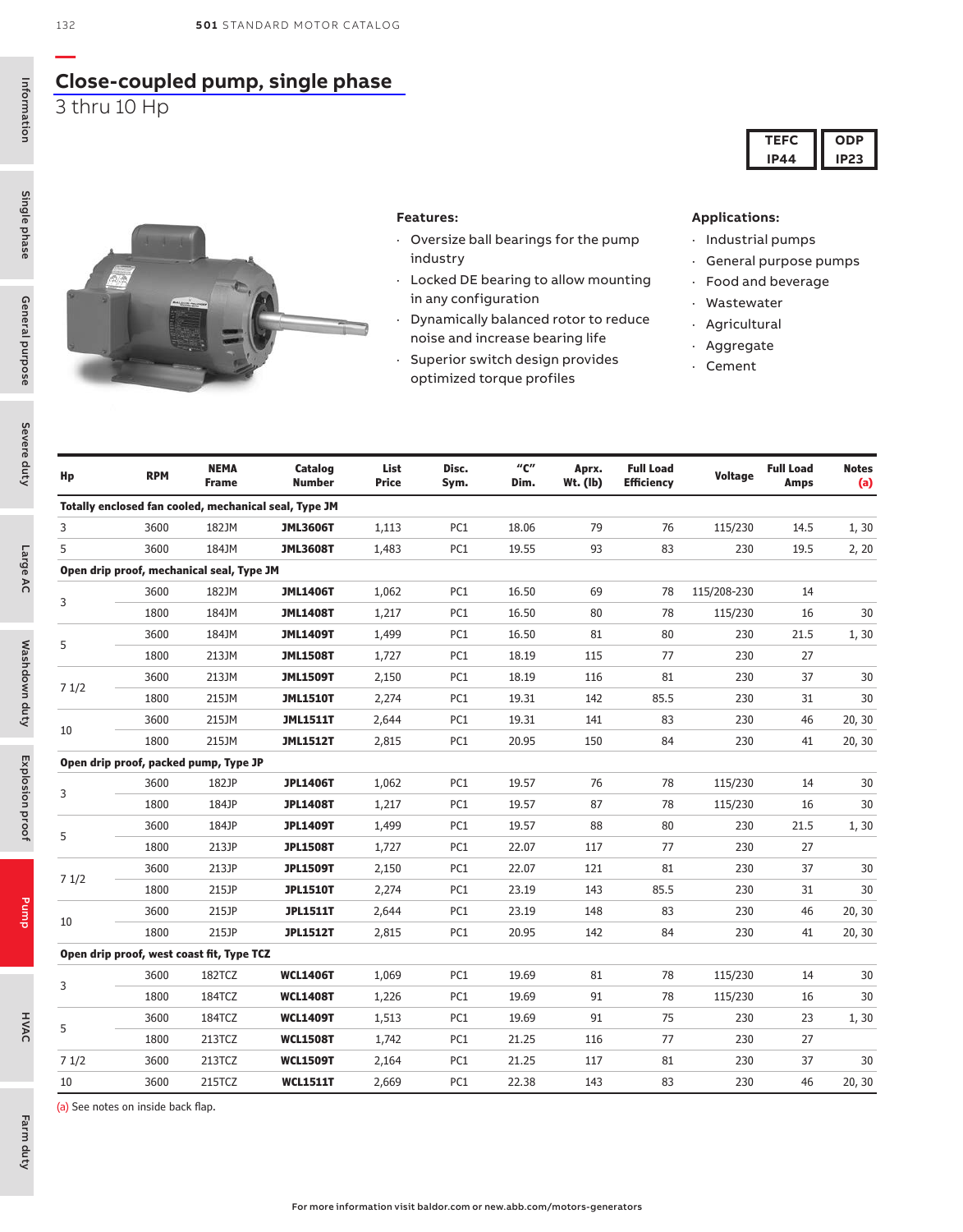## **[Close-coupled pump, single phase](https://www.baldor.com/brands/baldor-reliance/products/motors/ac-motors/pump/jm-jp-wcp-close-coupled-motors)**

3 thru 10 Hp



#### **Features:**

- · Oversize ball bearings for the pump industry
- · Locked DE bearing to allow mounting in any configuration
- · Dynamically balanced rotor to reduce noise and increase bearing life
- · Superior switch design provides optimized torque profiles

### **Applications:**

- · Industrial pumps
- · General purpose pumps

**TEFC IP44**

**ODP IP23**

- · Food and beverage
- · Wastewater
- · Agricultural
- · Aggregate
- · Cement

| Hp   | <b>RPM</b>                                | <b>NEMA</b><br><b>Frame</b> | Catalog<br><b>Number</b>                              | List<br>Price | Disc.<br>Sym.   | "с"<br>Dim. | Aprx.<br>$Wt.$ (lb) | <b>Full Load</b><br><b>Efficiency</b> | <b>Voltage</b> | <b>Full Load</b><br><b>Amps</b> | <b>Notes</b><br>(a) |
|------|-------------------------------------------|-----------------------------|-------------------------------------------------------|---------------|-----------------|-------------|---------------------|---------------------------------------|----------------|---------------------------------|---------------------|
|      |                                           |                             | Totally enclosed fan cooled, mechanical seal, Type JM |               |                 |             |                     |                                       |                |                                 |                     |
| 3    | 3600                                      | 182JM                       | <b>JML3606T</b>                                       | 1,113         | PC1             | 18.06       | 79                  | 76                                    | 115/230        | 14.5                            | 1, 30               |
| 5    | 3600                                      | 184JM                       | <b>JML3608T</b>                                       | 1,483         | PC1             | 19.55       | 93                  | 83                                    | 230            | 19.5                            | 2, 20               |
|      | Open drip proof, mechanical seal, Type JM |                             |                                                       |               |                 |             |                     |                                       |                |                                 |                     |
|      | 3600                                      | 182JM                       | <b>JML1406T</b>                                       | 1,062         | PC1             | 16.50       | 69                  | 78                                    | 115/208-230    | 14                              |                     |
| 3    | 1800                                      | 184JM                       | <b>JML1408T</b>                                       | 1,217         | PC1             | 16.50       | 80                  | 78                                    | 115/230        | 16                              | 30                  |
|      | 3600                                      | 184JM                       | <b>JML1409T</b>                                       | 1,499         | PC1             | 16.50       | 81                  | 80                                    | 230            | 21.5                            | 1, 30               |
| 5    | 1800                                      | 213JM                       | <b>JML1508T</b>                                       | 1,727         | PC1             | 18.19       | 115                 | 77                                    | 230            | 27                              |                     |
|      | 3600                                      | 213JM                       | <b>JML1509T</b>                                       | 2,150         | PC1             | 18.19       | 116                 | 81                                    | 230            | 37                              | 30                  |
| 71/2 | 1800                                      | 215JM                       | <b>JML1510T</b>                                       | 2,274         | PC1             | 19.31       | 142                 | 85.5                                  | 230            | 31                              | 30                  |
|      | 3600                                      | 215JM                       | <b>JML1511T</b>                                       | 2,644         | PC1             | 19.31       | 141                 | 83                                    | 230            | 46                              | 20, 30              |
| 10   | 1800                                      | 215JM                       | <b>JML1512T</b>                                       | 2,815         | PC1             | 20.95       | 150                 | 84                                    | 230            | 41                              | 20, 30              |
|      | Open drip proof, packed pump, Type JP     |                             |                                                       |               |                 |             |                     |                                       |                |                                 |                     |
|      | 3600                                      | 182JP                       | <b>JPL1406T</b>                                       | 1,062         | PC1             | 19.57       | 76                  | 78                                    | 115/230        | 14                              | 30                  |
| 3    | 1800                                      | 184JP                       | <b>JPL1408T</b>                                       | 1,217         | PC1             | 19.57       | 87                  | 78                                    | 115/230        | 16                              | 30                  |
|      | 3600                                      | 184JP                       | <b>JPL1409T</b>                                       | 1,499         | PC1             | 19.57       | 88                  | 80                                    | 230            | 21.5                            | 1, 30               |
| 5    | 1800                                      | 213JP                       | <b>JPL1508T</b>                                       | 1,727         | PC <sub>1</sub> | 22.07       | 117                 | 77                                    | 230            | 27                              |                     |
|      | 3600                                      | 213JP                       | <b>JPL1509T</b>                                       | 2,150         | PC1             | 22.07       | 121                 | 81                                    | 230            | 37                              | 30                  |
| 71/2 | 1800                                      | 215JP                       | <b>JPL1510T</b>                                       | 2,274         | PC1             | 23.19       | 143                 | 85.5                                  | 230            | 31                              | 30                  |
|      | 3600                                      | 215JP                       | <b>JPL1511T</b>                                       | 2,644         | PC1             | 23.19       | 148                 | 83                                    | 230            | 46                              | 20, 30              |
| 10   | 1800                                      | 215JP                       | <b>JPL1512T</b>                                       | 2,815         | PC1             | 20.95       | 142                 | 84                                    | 230            | 41                              | 20, 30              |
|      | Open drip proof, west coast fit, Type TCZ |                             |                                                       |               |                 |             |                     |                                       |                |                                 |                     |
|      | 3600                                      | 182TCZ                      | <b>WCL1406T</b>                                       | 1,069         | PC1             | 19.69       | 81                  | 78                                    | 115/230        | 14                              | 30                  |
| 3    | 1800                                      | 184TCZ                      | <b>WCL1408T</b>                                       | 1,226         | PC1             | 19.69       | 91                  | 78                                    | 115/230        | 16                              | 30                  |
|      | 3600                                      | 184TCZ                      | <b>WCL1409T</b>                                       | 1,513         | PC1             | 19.69       | 91                  | 75                                    | 230            | 23                              | 1, 30               |
| 5    | 1800                                      | 213TCZ                      | <b>WCL1508T</b>                                       | 1,742         | PC1             | 21.25       | 116                 | 77                                    | 230            | 27                              |                     |
| 71/2 | 3600                                      | 213TCZ                      | <b>WCL1509T</b>                                       | 2,164         | PC1             | 21.25       | 117                 | 81                                    | 230            | 37                              | 30                  |
| 10   | 3600                                      | 215TCZ                      | <b>WCL1511T</b>                                       | 2,669         | PC1             | 22.38       | 143                 | 83                                    | 230            | 46                              | 20, 30              |

(a) See notes on inside back flap.

Single phase

Farm duty

Farm duty

Pump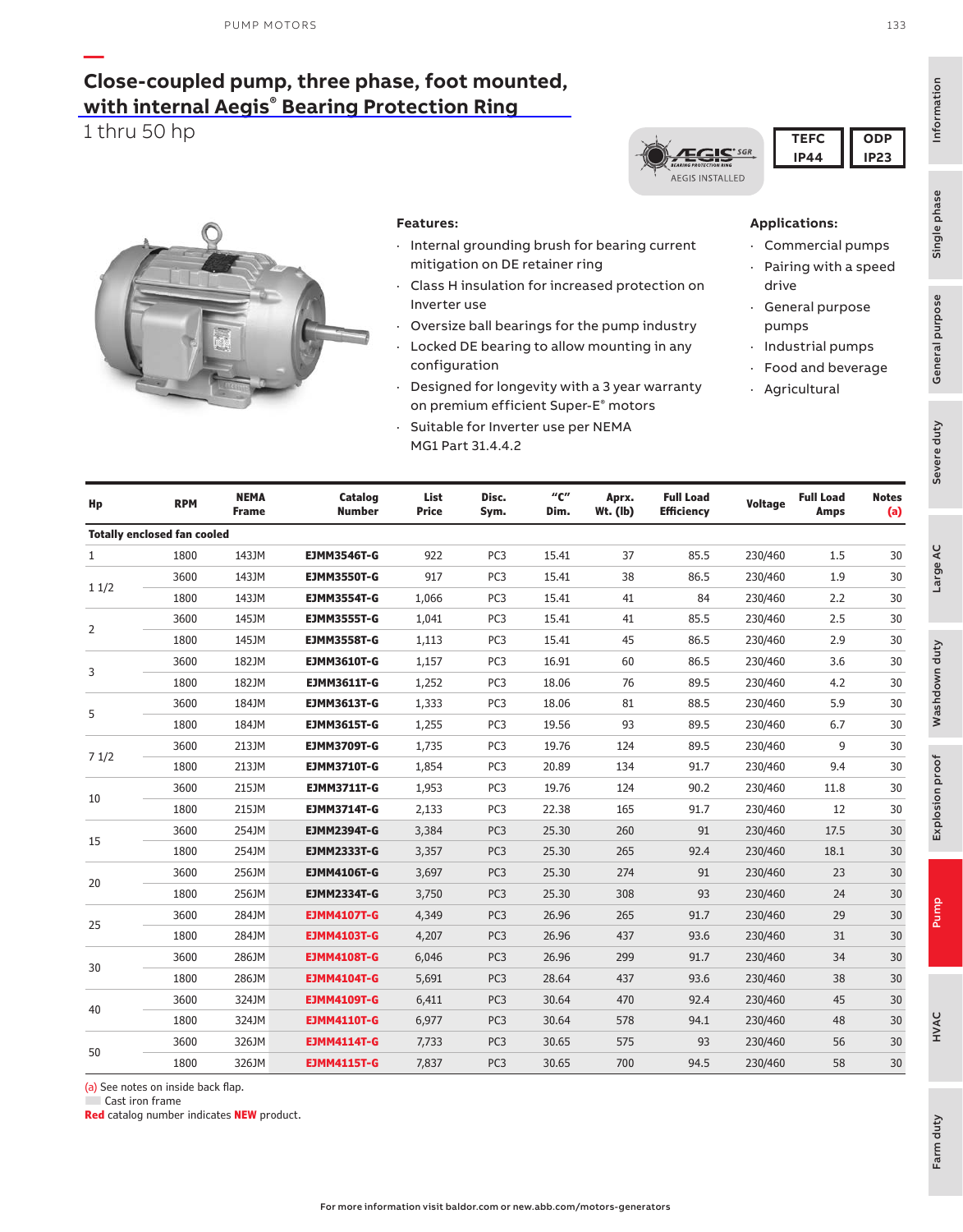### **— [Close-coupled pump, three phase, foot mounted,](https://www.baldor.com/brands/baldor-reliance/products/motors/ac-motors/pump/jm-jp-wcp-close-coupled-motors) with internal Aegis® Bearing Protection Ring**

**Catalog Number**

1 thru 50 hp



**Frame**

**Hp RPM NEMA**

**Totally enclosed fan cooled**

1 1/2

 $\overline{2}$ 

3

5

7 1/2

10

15

20

25

30

40

50

#### **Features:**

**List Price**

- Internal grounding brush for bearing current mitigation on DE retainer ring
- · Class H insulation for increased protection on Inverter use
- Oversize ball bearings for the pump industry
	- Locked DE bearing to allow mounting in any configuration
- · Designed for longevity with a 3 year warranty on premium efficient Super-E® motors

**"C" Dim.**

3600 143JM **EJMM3550T-G** 917 PC3 15.41 38 86.5 230/460 1.9 30 1800 143JM **EJMM3554T-G** 1,066 PC3 15.41 41 84 230/460 2.2 30

3600 213JM **EJMM3709T-G** 1,735 PC3 19.76 124 89.5 230/460 9 30 1800 213JM **EJMM3710T-G** 1,854 PC3 20.89 134 91.7 230/460 9.4 30

3600 215JM **EJMM3711T-G** 1,953 PC3 19.76 124 90.2 230/460 11.8 30 1800 215JM **EJMM3714T-G** 2,133 PC3 22.38 165 91.7 230/460 12 30

3600 254JM **EJMM2394T-G** 3,384 PC3 25.30 260 91 230/460 17.5 30 1800 254JM **EJMM2333T-G** 3,357 PC3 25.30 265 92.4 230/460 18.1 30

3600 256JM **EJMM4106T-G** 3,697 PC3 25.30 274 91 230/460 23 30 1800 256JM **EJMM2334T-G** 3,750 PC3 25.30 308 93 230/460 24 30

3600 284JM **EJMM4107T-G** 4,349 PC3 26.96 265 91.7 230/460 29 30 1800 284JM **EJMM4103T-G** 4,207 PC3 26.96 437 93.6 230/460 31 30

3600 286JM **EJMM4108T-G** 6,046 PC3 26.96 299 91.7 230/460 34 30 1800 286JM **EJMM4104T-G** 5,691 PC3 28.64 437 93.6 230/460 38 30

3600 324JM **EJMM4109T-G** 6,411 PC3 30.64 470 92.4 230/460 45 30

**Aprx. Wt. (lb)** **Full Load**

**Efficiency Voltage Full Load**

Suitable for Inverter use per NEMA MG1 Part 31.4.4.2

> **Disc. Sym.**

1 1800 143JM **EJMM3546T-G** 922 PC3 15.41 37 85.5 230/460 1.5 30

#### **Applications:**

- · Commercial pumps
- · Pairing with a speed drive
- · General purpose pumps
- · Industrial pumps
- Food and beverage
- · Agricultural

**Amps**

General purpose

Farm duty

Farm duty

| (a) See notes on inside back flap. |  |
|------------------------------------|--|
| Cast iron frame                    |  |

**Red** catalog number indicates **NEW** product.



| <b>IEFC</b> | one  |
|-------------|------|
| IP4         | IP23 |



#### 3600 145JM **EJMM3555T-G** 1,041 PC3 15.41 41 85.5 230/460 2.5 30 1800 145JM **EJMM3558T-G** 1,113 PC3 15.41 45 86.5 230/460 2.9 30 3600 182JM **EJMM3610T-G** 1,157 PC3 16.91 60 86.5 230/460 3.6 30 1800 182JM **EJMM3611T-G** 1,252 PC3 18.06 76 89.5 230/460 4.2 30 3600 184JM **EJMM3613T-G** 1,333 PC3 18.06 81 88.5 230/460 5.9 30 1800 184JM **EJMM3615T-G** 1,255 PC3 19.56 93 89.5 230/460 6.7 30

**Notes (a)**

| 3600 | 326JM | <b>EJMM4114T-G</b> | 7.733 | PC <sub>3</sub> | 30.65 | 575 | 93   | 230/460 | 56 | 30 |
|------|-------|--------------------|-------|-----------------|-------|-----|------|---------|----|----|
| 1800 | 326JM | <b>EJMM4115T-G</b> | 7,837 | PC <sub>3</sub> | 30.65 | 700 | 94.5 | 230/460 | 58 | 30 |
|      |       |                    |       |                 |       |     |      |         |    |    |
|      |       |                    |       |                 |       |     |      |         |    |    |

Information

Information

Single phase

Single phase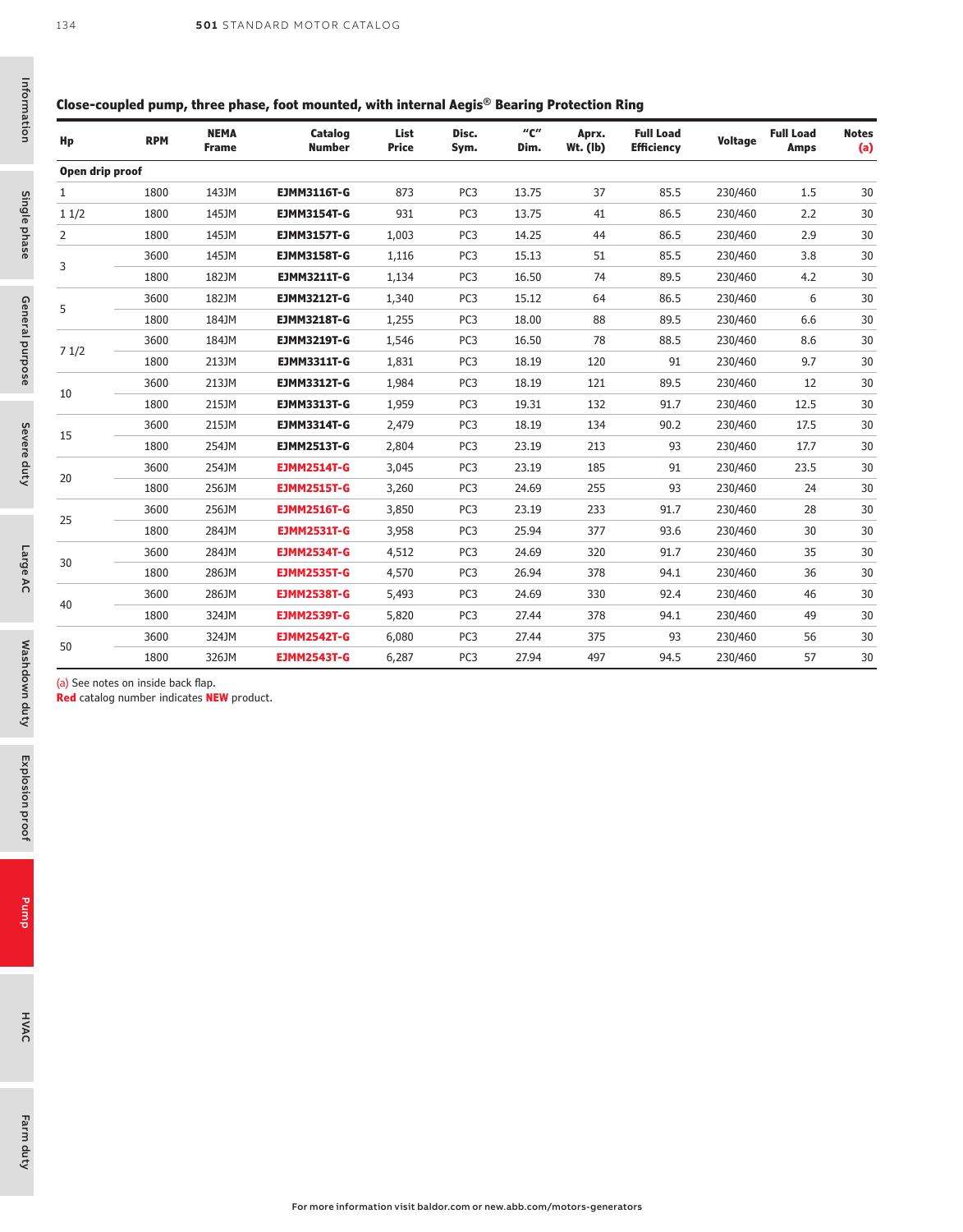#### **Close-coupled pump, three phase, foot mounted, with internal Aegis® Bearing Protection Ring**

| Hp              | <b>RPM</b> | <b>NEMA</b><br><b>Frame</b> | Catalog<br><b>Number</b> | List<br><b>Price</b> | Disc.<br>Sym.   | $^{\prime\prime}$ C $^{\prime\prime}$<br>Dim. | Aprx.<br>Wt. (lb) | <b>Full Load</b><br><b>Efficiency</b> | Voltage | <b>Full Load</b><br><b>Amps</b> | <b>Notes</b><br>(a) |
|-----------------|------------|-----------------------------|--------------------------|----------------------|-----------------|-----------------------------------------------|-------------------|---------------------------------------|---------|---------------------------------|---------------------|
| Open drip proof |            |                             |                          |                      |                 |                                               |                   |                                       |         |                                 |                     |
| 1               | 1800       | 143JM                       | <b>EJMM3116T-G</b>       | 873                  | PC <sub>3</sub> | 13.75                                         | 37                | 85.5                                  | 230/460 | 1.5                             | 30                  |
| 11/2            | 1800       | 145JM                       | <b>EJMM3154T-G</b>       | 931                  | PC <sub>3</sub> | 13.75                                         | 41                | 86.5                                  | 230/460 | 2.2                             | 30                  |
| 2               | 1800       | 145JM                       | <b>EJMM3157T-G</b>       | 1,003                | PC <sub>3</sub> | 14.25                                         | 44                | 86.5                                  | 230/460 | 2.9                             | 30                  |
| 3               | 3600       | 145JM                       | <b>EJMM3158T-G</b>       | 1,116                | PC <sub>3</sub> | 15.13                                         | 51                | 85.5                                  | 230/460 | 3.8                             | 30                  |
|                 | 1800       | 182JM                       | <b>EJMM3211T-G</b>       | 1,134                | PC <sub>3</sub> | 16.50                                         | 74                | 89.5                                  | 230/460 | 4.2                             | 30                  |
|                 | 3600       | 182JM                       | <b>EJMM3212T-G</b>       | 1,340                | PC <sub>3</sub> | 15.12                                         | 64                | 86.5                                  | 230/460 | 6                               | 30                  |
| 5               | 1800       | 184JM                       | <b>EJMM3218T-G</b>       | 1,255                | PC <sub>3</sub> | 18.00                                         | 88                | 89.5                                  | 230/460 | 6.6                             | 30                  |
|                 | 3600       | 184JM                       | <b>EJMM3219T-G</b>       | 1,546                | PC <sub>3</sub> | 16.50                                         | 78                | 88.5                                  | 230/460 | 8.6                             | 30                  |
| 71/2            | 1800       | 213JM                       | <b>EJMM3311T-G</b>       | 1,831                | PC <sub>3</sub> | 18.19                                         | 120               | 91                                    | 230/460 | 9.7                             | 30                  |
|                 | 3600       | 213JM                       | <b>EJMM3312T-G</b>       | 1,984                | PC <sub>3</sub> | 18.19                                         | 121               | 89.5                                  | 230/460 | 12                              | $30\,$              |
| 10              | 1800       | 215JM                       | <b>EJMM3313T-G</b>       | 1,959                | PC <sub>3</sub> | 19.31                                         | 132               | 91.7                                  | 230/460 | 12.5                            | 30                  |
| 15              | 3600       | 215JM                       | <b>EJMM3314T-G</b>       | 2,479                | PC <sub>3</sub> | 18.19                                         | 134               | 90.2                                  | 230/460 | 17.5                            | 30                  |
|                 | 1800       | 254JM                       | <b>EJMM2513T-G</b>       | 2,804                | PC <sub>3</sub> | 23.19                                         | 213               | 93                                    | 230/460 | 17.7                            | 30                  |
| 20              | 3600       | 254JM                       | <b>EJMM2514T-G</b>       | 3,045                | PC <sub>3</sub> | 23.19                                         | 185               | 91                                    | 230/460 | 23.5                            | 30                  |
|                 | 1800       | 256JM                       | <b>EJMM2515T-G</b>       | 3,260                | PC <sub>3</sub> | 24.69                                         | 255               | 93                                    | 230/460 | 24                              | 30                  |
| 25              | 3600       | 256JM                       | <b>EJMM2516T-G</b>       | 3,850                | PC <sub>3</sub> | 23.19                                         | 233               | 91.7                                  | 230/460 | 28                              | 30                  |
|                 | 1800       | 284JM                       | <b>EJMM2531T-G</b>       | 3,958                | PC3             | 25.94                                         | 377               | 93.6                                  | 230/460 | 30                              | 30                  |
|                 | 3600       | 284JM                       | <b>EJMM2534T-G</b>       | 4,512                | PC <sub>3</sub> | 24.69                                         | 320               | 91.7                                  | 230/460 | 35                              | 30                  |
| 30              | 1800       | 286JM                       | <b>EJMM2535T-G</b>       | 4,570                | PC3             | 26.94                                         | 378               | 94.1                                  | 230/460 | 36                              | 30                  |
|                 | 3600       | 286JM                       | <b>EJMM2538T-G</b>       | 5,493                | PC <sub>3</sub> | 24.69                                         | 330               | 92.4                                  | 230/460 | 46                              | 30                  |
| 40              | 1800       | 324JM                       | <b>EJMM2539T-G</b>       | 5,820                | PC <sub>3</sub> | 27.44                                         | 378               | 94.1                                  | 230/460 | 49                              | 30                  |
|                 | 3600       | 324JM                       | <b>EJMM2542T-G</b>       | 6,080                | PC <sub>3</sub> | 27.44                                         | 375               | 93                                    | 230/460 | 56                              | 30                  |
| 50              | 1800       | 326JM                       | <b>EJMM2543T-G</b>       | 6,287                | PC <sub>3</sub> | 27.94                                         | 497               | 94.5                                  | 230/460 | 57                              | 30                  |

Information

Information

(a) See notes on inside back flap.

**Red** catalog number indicates **NEW** product.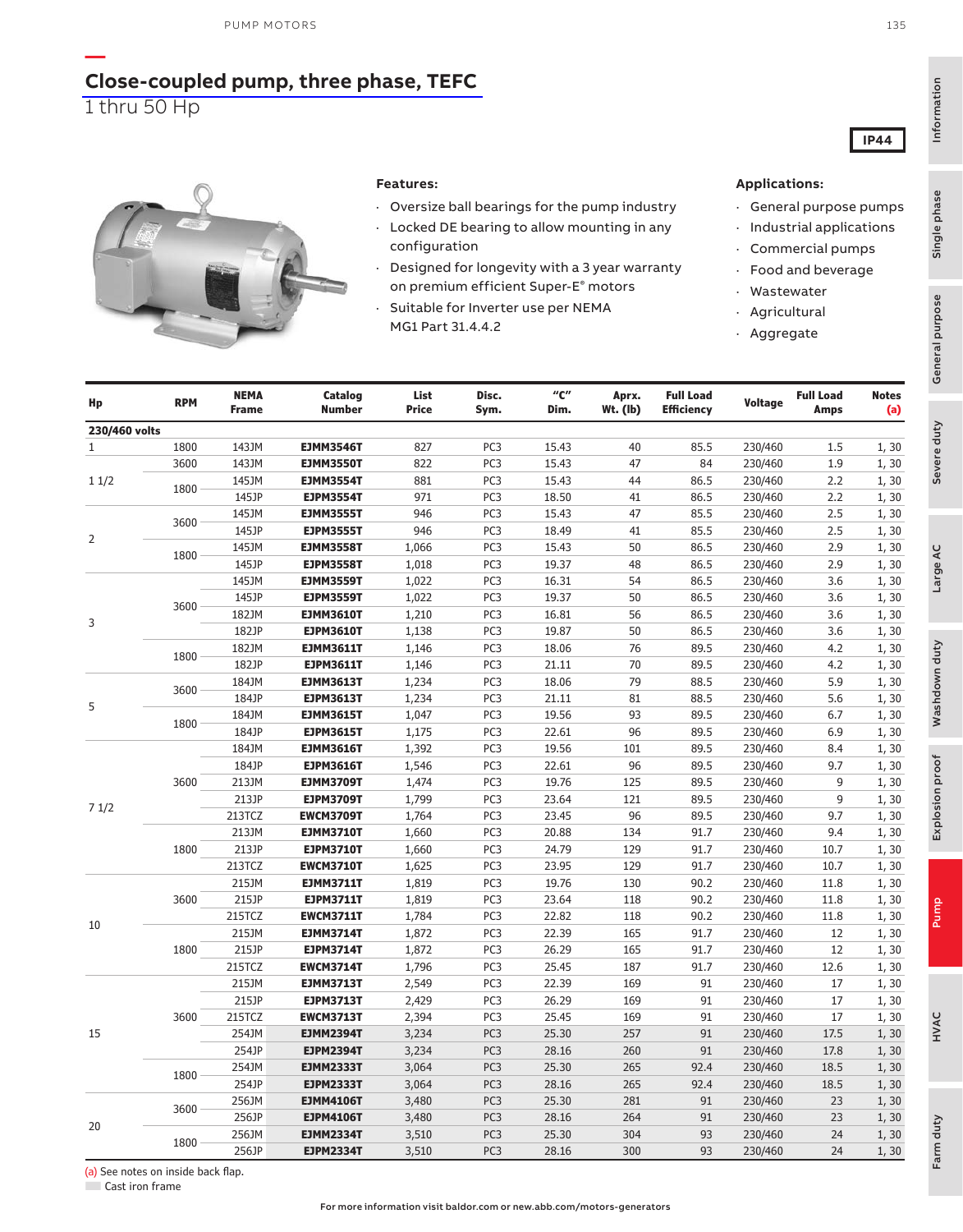### **[Close-coupled pump, three phase, TEFC](https://www.baldor.com/brands/baldor-reliance/products/motors/ac-motors/pump/jm-jp-wcp-close-coupled-motors)** 1 thru 50 Hp

**—**

#### **Features:**

- · Oversize ball bearings for the pump industry
- · Locked DE bearing to allow mounting in any configuration
- · Designed for longevity with a 3 year warranty on premium efficient Super-E® motors
- · Suitable for Inverter use per NEMA MG1 Part 31.4.4.2

#### **Applications:**

- · General purpose pumps
- · Industrial applications
- · Commercial pumps
- · Food and beverage
- · Wastewater
- · Agricultural
- · Aggregate

| Hp             | <b>RPM</b> | <b>NEMA</b><br><b>Frame</b> | Catalog<br><b>Number</b>             | List<br><b>Price</b> | Disc.<br>Sym.   | $^{\prime\prime}$ C $^{\prime\prime}$<br>Dim. | Aprx.<br>$Wt.$ (lb) | <b>Full Load</b><br><b>Efficiency</b> | Voltage            | <b>Full Load</b><br>Amps | <b>Notes</b><br>(a) |
|----------------|------------|-----------------------------|--------------------------------------|----------------------|-----------------|-----------------------------------------------|---------------------|---------------------------------------|--------------------|--------------------------|---------------------|
| 230/460 volts  |            |                             |                                      |                      |                 |                                               |                     |                                       |                    |                          |                     |
| 1              | 1800       | 143JM                       | <b>EJMM3546T</b>                     | 827                  | PC <sub>3</sub> | 15.43                                         | 40                  | 85.5                                  | 230/460            | 1.5                      | 1, 30               |
|                | 3600       | 143JM                       | <b>EJMM3550T</b>                     | 822                  | PC3             | 15.43                                         | 47                  | 84                                    | 230/460            | 1.9                      | 1, 30               |
| 11/2           | 1800       | 145JM                       | <b>EJMM3554T</b>                     | 881                  | PC <sub>3</sub> | 15.43                                         | 44                  | 86.5                                  | 230/460            | 2.2                      | 1, 30               |
|                |            | 145JP                       | <b>EJPM3554T</b>                     | 971                  | PC <sub>3</sub> | 18.50                                         | 41                  | 86.5                                  | 230/460            | 2.2                      | 1, 30               |
|                | 3600       | 145JM                       | <b>EJMM3555T</b>                     | 946                  | PC <sub>3</sub> | 15.43                                         | 47                  | 85.5                                  | 230/460            | 2.5                      | 1, 30               |
| $\overline{2}$ |            | 145JP                       | <b>EJPM3555T</b>                     | 946                  | PC <sub>3</sub> | 18.49                                         | 41                  | 85.5                                  | 230/460            | 2.5                      | 1, 30               |
|                | 1800       | 145JM                       | <b>EJMM3558T</b>                     | 1,066                | PC <sub>3</sub> | 15.43                                         | 50                  | 86.5                                  | 230/460            | 2.9                      | 1, 30               |
|                |            | 145JP                       | <b>EJPM3558T</b>                     | 1,018                | PC <sub>3</sub> | 19.37                                         | 48                  | 86.5                                  | 230/460            | 2.9                      | 1,30                |
|                |            | 145JM                       | <b>EJMM3559T</b>                     | 1,022                | PC <sub>3</sub> | 16.31                                         | 54                  | 86.5                                  | 230/460            | 3.6                      | 1,30                |
|                | 3600       | 145JP                       | <b>EJPM3559T</b>                     | 1,022                | PC <sub>3</sub> | 19.37                                         | 50                  | 86.5                                  | 230/460            | 3.6                      | 1, 30               |
| 3              |            | 182JM                       | <b>EJMM3610T</b>                     | 1,210                | PC3             | 16.81                                         | 56                  | 86.5                                  | 230/460            | 3.6                      | 1,30                |
|                |            | 182JP                       | <b>EJPM3610T</b>                     | 1,138                | PC3             | 19.87                                         | 50                  | 86.5                                  | 230/460            | 3.6                      | 1, 30               |
|                | 1800       | 182JM                       | <b>EJMM3611T</b>                     | 1,146                | PC3             | 18.06                                         | 76                  | 89.5                                  | 230/460            | 4.2                      | 1, 30               |
|                |            | 182JP                       | <b>EJPM3611T</b>                     | 1,146                | PC <sub>3</sub> | 21.11                                         | 70                  | 89.5                                  | 230/460            | 4.2                      | 1, 30               |
|                | 3600       | 184JM                       | <b>EJMM3613T</b>                     | 1,234                | PC3             | 18.06                                         | 79                  | 88.5                                  | 230/460            | 5.9                      | 1, 30               |
| 5              |            | 184JP                       | <b>EJPM3613T</b>                     | 1,234                | PC3             | 21.11                                         | 81                  | 88.5                                  | 230/460            | 5.6                      | 1, 30               |
|                | 1800       | 184JM                       | <b>EJMM3615T</b>                     | 1,047                | PC3             | 19.56                                         | 93                  | 89.5                                  | 230/460            | 6.7                      | 1, 30               |
|                |            | 184JP                       | <b>EJPM3615T</b>                     | 1,175                | PC3             | 22.61                                         | 96                  | 89.5                                  | 230/460            | 6.9                      | 1, 30               |
|                |            | 184JM                       | <b>EJMM3616T</b>                     | 1,392                | PC <sub>3</sub> | 19.56                                         | 101                 | 89.5                                  | 230/460            | 8.4                      | 1, 30               |
|                |            | 184JP                       | <b>EJPM3616T</b>                     | 1,546                | PC3             | 22.61                                         | 96                  | 89.5                                  | 230/460            | 9.7                      | 1, 30               |
|                | 3600       | 213JM                       | <b>EJMM3709T</b>                     | 1,474                | PC <sub>3</sub> | 19.76                                         | 125                 | 89.5                                  | 230/460            | 9                        | 1, 30               |
| 71/2           |            | 213JP                       | <b>EJPM3709T</b>                     | 1,799                | PC <sub>3</sub> | 23.64                                         | 121                 | 89.5                                  | 230/460            | 9                        | 1, 30               |
|                |            | 213TCZ                      | <b>EWCM3709T</b>                     | 1,764                | PC <sub>3</sub> | 23.45                                         | 96                  | 89.5                                  | 230/460            | 9.7                      | 1, 30               |
|                |            | 213JM                       | <b>EJMM3710T</b>                     | 1,660                | PC3             | 20.88                                         | 134                 | 91.7                                  | 230/460            | 9.4                      | 1, 30               |
|                | 1800       | 213JP                       | <b>EJPM3710T</b>                     | 1,660                | PC3             | 24.79                                         | 129                 | 91.7                                  | 230/460            | 10.7                     | 1, 30               |
|                |            | 213TCZ                      | <b>EWCM3710T</b>                     | 1,625                | PC3             | 23.95                                         | 129                 | 91.7                                  | 230/460            | 10.7                     | 1,30                |
|                |            | 215JM                       | <b>EJMM3711T</b>                     | 1,819                | PC3             | 19.76                                         | 130                 | 90.2                                  | 230/460            | 11.8                     | 1, 30               |
|                | 3600       | 215JP                       | <b>EJPM3711T</b>                     | 1,819                | PC3             | 23.64                                         | 118                 | 90.2                                  | 230/460            | 11.8                     | 1, 30               |
| 10             |            | 215TCZ                      | <b>EWCM3711T</b>                     | 1,784                | PC3             | 22.82                                         | 118                 | 90.2                                  | 230/460            | 11.8                     | 1, 30               |
|                |            | 215JM<br>215JP              | <b>EJMM3714T</b>                     | 1,872                | PC3<br>PC3      | 22.39<br>26.29                                | 165                 | 91.7                                  | 230/460            | 12<br>12                 | 1, 30               |
|                | 1800       | 215TCZ                      | <b>EJPM3714T</b>                     | 1,872                | PC <sub>3</sub> | 25.45                                         | 165<br>187          | 91.7<br>91.7                          | 230/460<br>230/460 | 12.6                     | 1, 30               |
|                |            | 215JM                       | <b>EWCM3714T</b>                     | 1,796<br>2,549       | PC3             | 22.39                                         | 169                 | 91                                    |                    | 17                       | 1, 30               |
|                |            | 215JP                       | <b>EJMM3713T</b><br><b>EJPM3713T</b> | 2,429                | PC3             | 26.29                                         | 169                 | 91                                    | 230/460<br>230/460 | 17                       | 1, 30               |
|                | 3600       | 215TCZ                      | <b>EWCM3713T</b>                     | 2,394                | PC3             | 25.45                                         | 169                 | 91                                    | 230/460            | 17                       | 1, 30<br>1, 30      |
| 15             |            | 254JM                       | <b>EJMM2394T</b>                     | 3,234                | PC <sub>3</sub> | 25.30                                         | 257                 | 91                                    | 230/460            | 17.5                     | 1, 30               |
|                |            | 254JP                       | <b>EJPM2394T</b>                     |                      | PC <sub>3</sub> | 28.16                                         | 260                 | 91                                    | 230/460            | 17.8                     |                     |
|                |            | 254JM                       | <b>EJMM2333T</b>                     | 3,234<br>3,064       | PC <sub>3</sub> | 25.30                                         | 265                 | 92.4                                  | 230/460            | 18.5                     | 1, 30<br>1, 30      |
|                | 1800       | 254JP                       | <b>EJPM2333T</b>                     | 3,064                | PC <sub>3</sub> | 28.16                                         | 265                 | 92.4                                  | 230/460            | 18.5                     |                     |
|                |            | 256JM                       | <b>EJMM4106T</b>                     | 3,480                | PC <sub>3</sub> | 25.30                                         | 281                 | 91                                    | 230/460            | 23                       | 1, 30<br>1, 30      |
|                | 3600       | 256JP                       | <b>EJPM4106T</b>                     | 3,480                | PC <sub>3</sub> | 28.16                                         | 264                 | 91                                    | 230/460            | 23                       | 1, 30               |
| 20             |            | 256JM                       |                                      | 3,510                | PC <sub>3</sub> | 25.30                                         | 304                 | 93                                    | 230/460            | 24                       |                     |
|                | 1800       |                             | <b>EJMM2334T</b>                     |                      | PC <sub>3</sub> |                                               | 300                 | 93                                    |                    | 24                       | 1, 30               |
|                |            | 256JP                       | <b>EJPM2334T</b>                     | 3,510                |                 | 28.16                                         |                     |                                       | 230/460            |                          | 1, 30               |

Information

Single phase

Single phase

135

**IP44**

(a) See notes on inside back flap.

■ Cast iron frame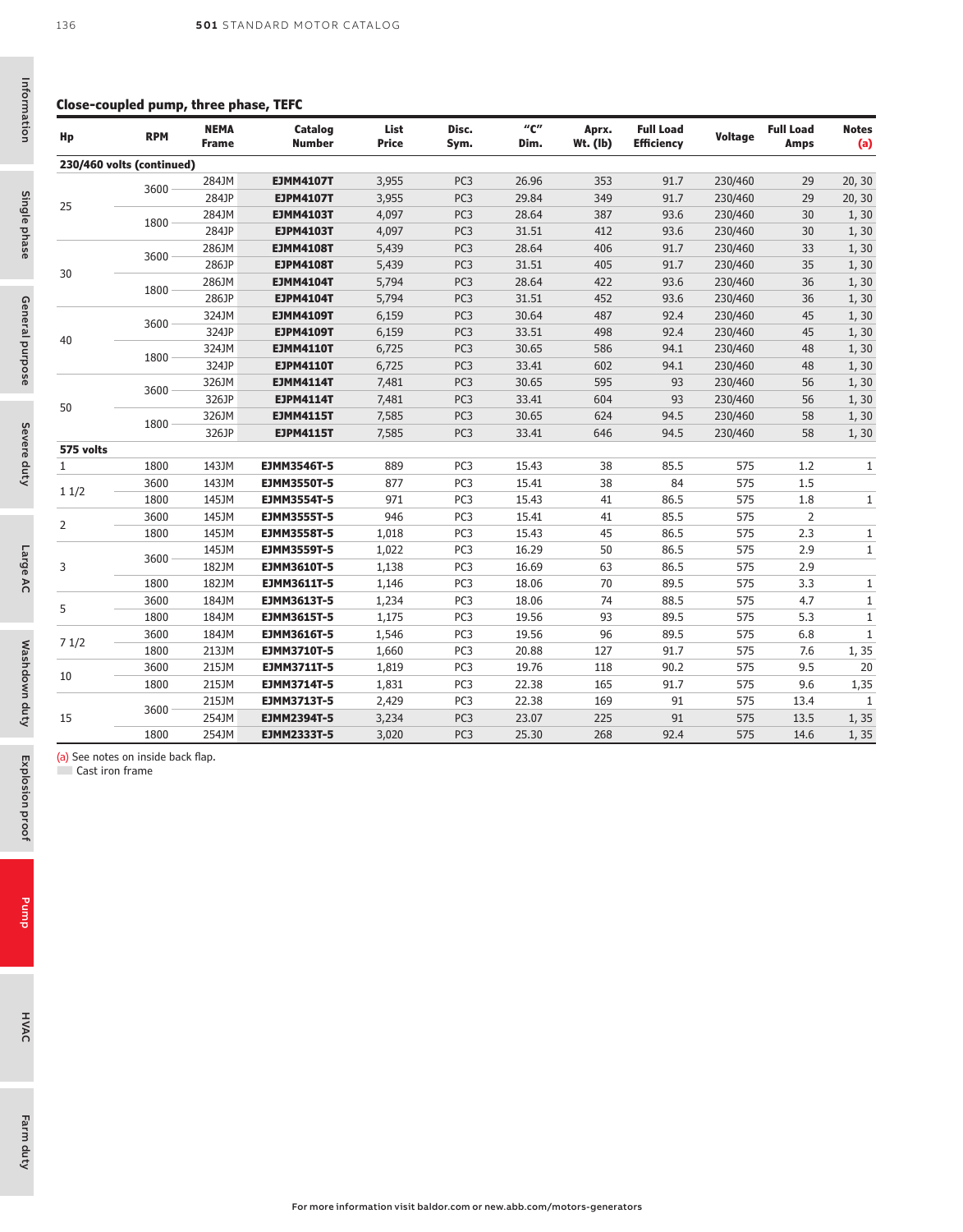#### **Close-coupled pump, three phase, TEFC**

| Hp                                                    | <b>RPM</b> | <b>NEMA</b><br><b>Frame</b> | Catalog<br><b>Number</b> | List<br><b>Price</b> | Disc.<br>Sym.   | $^{\prime\prime}$ C $^{\prime\prime}$<br>Dim. | Aprx.<br>$Wt.$ (lb) | <b>Full Load</b><br>Efficiency | <b>Voltage</b> | <b>Full Load</b><br><b>Amps</b> | <b>Notes</b><br>(a) |
|-------------------------------------------------------|------------|-----------------------------|--------------------------|----------------------|-----------------|-----------------------------------------------|---------------------|--------------------------------|----------------|---------------------------------|---------------------|
| 230/460 volts (continued)                             |            |                             |                          |                      |                 |                                               |                     |                                |                |                                 |                     |
|                                                       | 3600       | 284JM                       | <b>EJMM4107T</b>         | 3,955                | PC <sub>3</sub> | 26.96                                         | 353                 | 91.7                           | 230/460        | 29                              | 20, 30              |
|                                                       |            | 284JP                       | <b>EJPM4107T</b>         | 3,955                | PC <sub>3</sub> | 29.84                                         | 349                 | 91.7                           | 230/460        | 29                              | 20, 30              |
| 25                                                    | 1800       | 284JM                       | <b>EJMM4103T</b>         | 4,097                | PC <sub>3</sub> | 28.64                                         | 387                 | 93.6                           | 230/460        | 30                              | 1, 30               |
|                                                       |            | 284JP                       | <b>EJPM4103T</b>         | 4,097                | PC <sub>3</sub> | 31.51                                         | 412                 | 93.6                           | 230/460        | 30                              | 1, 30               |
|                                                       | 3600       | 286JM                       | <b>EJMM4108T</b>         | 5,439                | PC <sub>3</sub> | 28.64                                         | 406                 | 91.7                           | 230/460        | 33                              | 1, 30               |
|                                                       |            | 286JP                       | <b>EJPM4108T</b>         | 5,439                | PC <sub>3</sub> | 31.51                                         | 405                 | 91.7                           | 230/460        | 35                              | 1, 30               |
| 30                                                    | 1800       | 286JM                       | <b>EJMM4104T</b>         | 5,794                | PC <sub>3</sub> | 28.64                                         | 422                 | 93.6                           | 230/460        | 36                              | 1, 30               |
|                                                       |            | 286JP                       | <b>EJPM4104T</b>         | 5,794                | PC <sub>3</sub> | 31.51                                         | 452                 | 93.6                           | 230/460        | 36                              | 1, 30               |
|                                                       |            | 324JM                       | <b>EJMM4109T</b>         | 6,159                | PC <sub>3</sub> | 30.64                                         | 487                 | 92.4                           | 230/460        | 45                              | 1, 30               |
| 40                                                    | 3600       | 324JP                       | <b>EJPM4109T</b>         | 6,159                | PC <sub>3</sub> | 33.51                                         | 498                 | 92.4                           | 230/460        | 45                              | 1, 30               |
|                                                       |            | 324JM                       | <b>EJMM4110T</b>         | 6,725                | PC <sub>3</sub> | 30.65                                         | 586                 | 94.1                           | 230/460        | 48                              | 1, 30               |
|                                                       | 1800       | 324JP                       | <b>EJPM4110T</b>         | 6,725                | PC <sub>3</sub> | 33.41                                         | 602                 | 94.1                           | 230/460        | 48                              | 1, 30               |
|                                                       |            | 326JM                       | <b>EJMM4114T</b>         | 7,481                | PC <sub>3</sub> | 30.65                                         | 595                 | 93                             | 230/460        | 56                              | 1, 30               |
|                                                       | 3600       | 326JP                       | <b>EJPM4114T</b>         | 7,481                | PC <sub>3</sub> | 33.41                                         | 604                 | 93                             | 230/460        | 56                              | 1, 30               |
| 50                                                    |            | 326JM                       | <b>EJMM4115T</b>         | 7,585                | PC <sub>3</sub> | 30.65                                         | 624                 | 94.5                           | 230/460        | 58                              | 1, 30               |
|                                                       | 1800       | 326JP                       | <b>EJPM4115T</b>         | 7,585                | PC <sub>3</sub> | 33.41                                         | 646                 | 94.5                           | 230/460        | 58                              | 1, 30               |
| 575 volts                                             |            |                             |                          |                      |                 |                                               |                     |                                |                |                                 |                     |
| $\mathbf{1}$                                          | 1800       | 143JM                       | <b>EJMM3546T-5</b>       | 889                  | PC <sub>3</sub> | 15.43                                         | 38                  | 85.5                           | 575            | 1.2                             | $\mathbf{1}$        |
|                                                       | 3600       | 143JM                       | <b>EJMM3550T-5</b>       | 877                  | PC <sub>3</sub> | 15.41                                         | 38                  | 84                             | 575            | 1.5                             |                     |
| 11/2                                                  | 1800       | 145JM                       | <b>EJMM3554T-5</b>       | 971                  | PC <sub>3</sub> | 15.43                                         | 41                  | 86.5                           | 575            | 1.8                             | $\mathbf{1}$        |
|                                                       | 3600       | 145JM                       | <b>EJMM3555T-5</b>       | 946                  | PC <sub>3</sub> | 15.41                                         | 41                  | 85.5                           | 575            | 2                               |                     |
| 2                                                     | 1800       | 145JM                       | <b>EJMM3558T-5</b>       | 1,018                | PC3             | 15.43                                         | 45                  | 86.5                           | 575            | 2.3                             | $\mathbf{1}$        |
|                                                       |            | 145JM                       | <b>EJMM3559T-5</b>       | 1,022                | PC <sub>3</sub> | 16.29                                         | 50                  | 86.5                           | 575            | 2.9                             | $\mathbf{1}$        |
| 3                                                     | 3600       | 182JM                       | EJMM3610T-5              | 1,138                | PC3             | 16.69                                         | 63                  | 86.5                           | 575            | 2.9                             |                     |
|                                                       | 1800       | 182JM                       | EJMM3611T-5              | 1,146                | PC3             | 18.06                                         | 70                  | 89.5                           | 575            | 3.3                             | $\mathbf{1}$        |
| 5                                                     | 3600       | 184JM                       | <b>EJMM3613T-5</b>       | 1,234                | PC3             | 18.06                                         | 74                  | 88.5                           | 575            | 4.7                             | $\mathbf{1}$        |
|                                                       | 1800       | 184JM                       | EJMM3615T-5              | 1,175                | PC3             | 19.56                                         | 93                  | 89.5                           | 575            | 5.3                             | $\mathbf{1}$        |
|                                                       | 3600       | 184JM                       | <b>EJMM3616T-5</b>       | 1,546                | PC <sub>3</sub> | 19.56                                         | 96                  | 89.5                           | 575            | 6.8                             | 1                   |
| 71/2                                                  | 1800       | 213JM                       | <b>EJMM3710T-5</b>       | 1,660                | PC <sub>3</sub> | 20.88                                         | 127                 | 91.7                           | 575            | 7.6                             | 1,35                |
|                                                       | 3600       | 215JM                       | <b>EJMM3711T-5</b>       | 1,819                | PC <sub>3</sub> | 19.76                                         | 118                 | 90.2                           | 575            | 9.5                             | 20                  |
| 10                                                    | 1800       | 215JM                       | EJMM3714T-5              | 1,831                | PC3             | 22.38                                         | 165                 | 91.7                           | 575            | 9.6                             | 1,35                |
|                                                       |            | 215JM                       | <b>EJMM3713T-5</b>       | 2,429                | PC <sub>3</sub> | 22.38                                         | 169                 | 91                             | 575            | 13.4                            | 1                   |
| 15                                                    | 3600       | 254JM                       | EJMM2394T-5              | 3,234                | PC <sub>3</sub> | 23.07                                         | 225                 | 91                             | 575            | 13.5                            | 1,35                |
|                                                       | 1800       | 254JM                       | <b>EJMM2333T-5</b>       | 3,020                | PC <sub>3</sub> | 25.30                                         | 268                 | 92.4                           | 575            | 14.6                            | 1,35                |
| (a) See notes on inside back flap.<br>Cast iron frame |            |                             |                          |                      |                 |                                               |                     |                                |                |                                 |                     |

Single phase

Severe duty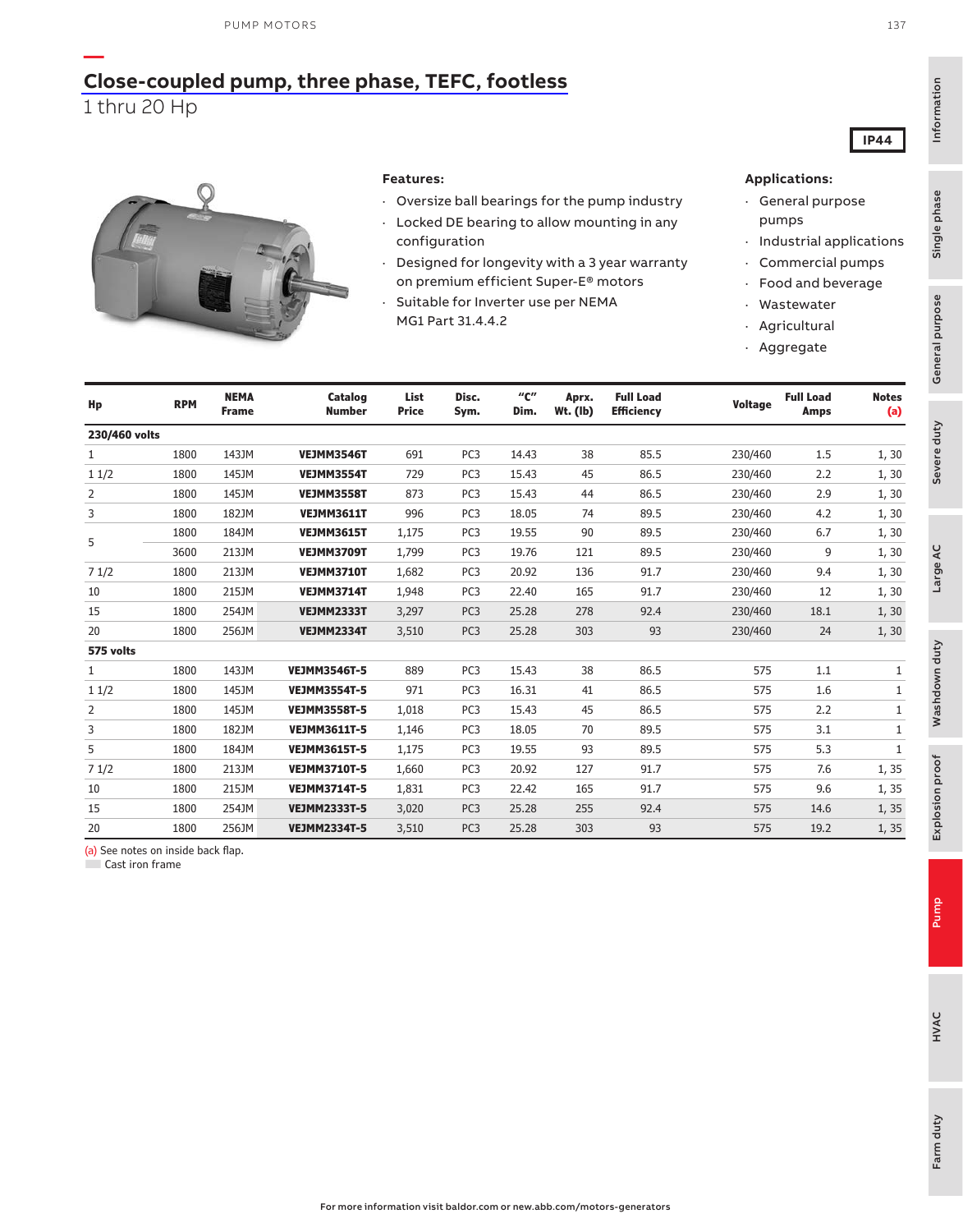

#### **Features:**

- · Oversize ball bearings for the pump industry
- · Locked DE bearing to allow mounting in any
- configuration
- · Designed for longevity with a 3 year warranty on premium efficient Super-E® motors
- · Suitable for Inverter use per NEMA MG1 Part 31.4.4.2

#### **Applications:**

- · General purpose pumps
- · Industrial applications
- · Commercial pumps
- · Food and beverage
	- **Wastewater**
- · Agricultural · Aggregate

| Hp            | <b>RPM</b> | <b>NEMA</b><br><b>Frame</b> | <b>Catalog</b><br><b>Number</b> | List<br><b>Price</b> | Disc.<br>Sym.   | "с"<br>Dim. | Aprx.<br>Wt. (lb) | <b>Full Load</b><br><b>Efficiency</b> | <b>Voltage</b> | <b>Full Load</b><br>Amps | <b>Notes</b><br>(a) |
|---------------|------------|-----------------------------|---------------------------------|----------------------|-----------------|-------------|-------------------|---------------------------------------|----------------|--------------------------|---------------------|
| 230/460 volts |            |                             |                                 |                      |                 |             |                   |                                       |                |                          |                     |
| 1             | 1800       | 143JM                       | <b>VEJMM3546T</b>               | 691                  | PC <sub>3</sub> | 14.43       | 38                | 85.5                                  | 230/460        | 1.5                      | 1,30                |
| 11/2          | 1800       | 145JM                       | VEJMM3554T                      | 729                  | PC <sub>3</sub> | 15.43       | 45                | 86.5                                  | 230/460        | 2.2                      | 1, 30               |
| 2             | 1800       | 145JM                       | <b>VEJMM3558T</b>               | 873                  | PC <sub>3</sub> | 15.43       | 44                | 86.5                                  | 230/460        | 2.9                      | 1, 30               |
| 3             | 1800       | 182JM                       | <b>VEJMM3611T</b>               | 996                  | PC <sub>3</sub> | 18.05       | 74                | 89.5                                  | 230/460        | 4.2                      | 1, 30               |
|               | 1800       | 184JM                       | <b>VEJMM3615T</b>               | 1,175                | PC <sub>3</sub> | 19.55       | 90                | 89.5                                  | 230/460        | 6.7                      | 1, 30               |
| 5             | 3600       | 213JM                       | <b>VEJMM3709T</b>               | 1,799                | PC <sub>3</sub> | 19.76       | 121               | 89.5                                  | 230/460        | 9                        | 1, 30               |
| 71/2          | 1800       | 213JM                       | <b>VEJMM3710T</b>               | 1,682                | PC <sub>3</sub> | 20.92       | 136               | 91.7                                  | 230/460        | 9.4                      | 1, 30               |
| 10            | 1800       | 215JM                       | <b>VEJMM3714T</b>               | 1,948                | PC <sub>3</sub> | 22.40       | 165               | 91.7                                  | 230/460        | 12                       | 1, 30               |
| 15            | 1800       | 254JM                       | <b>VEJMM2333T</b>               | 3,297                | PC <sub>3</sub> | 25.28       | 278               | 92.4                                  | 230/460        | 18.1                     | 1, 30               |
| 20            | 1800       | 256JM                       | <b>VEJMM2334T</b>               | 3,510                | PC <sub>3</sub> | 25.28       | 303               | 93                                    | 230/460        | 24                       | 1, 30               |
| 575 volts     |            |                             |                                 |                      |                 |             |                   |                                       |                |                          |                     |
| $\mathbf{1}$  | 1800       | 143JM                       | <b>VEJMM3546T-5</b>             | 889                  | PC <sub>3</sub> | 15.43       | 38                | 86.5                                  | 575            | 1.1                      | $\mathbf{1}$        |
| 11/2          | 1800       | 145JM                       | <b>VEJMM3554T-5</b>             | 971                  | PC <sub>3</sub> | 16.31       | 41                | 86.5                                  | 575            | 1.6                      | $\mathbf{1}$        |
| 2             | 1800       | 145JM                       | <b>VEJMM3558T-5</b>             | 1,018                | PC <sub>3</sub> | 15.43       | 45                | 86.5                                  | 575            | 2.2                      | 1                   |
| 3             | 1800       | 182JM                       | <b>VEJMM3611T-5</b>             | 1,146                | PC <sub>3</sub> | 18.05       | 70                | 89.5                                  | 575            | 3.1                      | 1                   |
| 5             | 1800       | 184JM                       | <b>VEJMM3615T-5</b>             | 1,175                | PC <sub>3</sub> | 19.55       | 93                | 89.5                                  | 575            | 5.3                      | $\mathbf{1}$        |
| 71/2          | 1800       | 213JM                       | <b>VEJMM3710T-5</b>             | 1,660                | PC <sub>3</sub> | 20.92       | 127               | 91.7                                  | 575            | 7.6                      | 1,35                |
| 10            | 1800       | 215JM                       | <b>VEJMM3714T-5</b>             | 1,831                | PC <sub>3</sub> | 22.42       | 165               | 91.7                                  | 575            | 9.6                      | 1,35                |
| 15            | 1800       | 254JM                       | <b>VEJMM2333T-5</b>             | 3,020                | PC <sub>3</sub> | 25.28       | 255               | 92.4                                  | 575            | 14.6                     | 1,35                |
| 20            | 1800       | 256JM                       | <b>VEJMM2334T-5</b>             | 3,510                | PC <sub>3</sub> | 25.28       | 303               | 93                                    | 575            | 19.2                     | 1,35                |

(a) See notes on inside back flap.

■ Cast iron frame

Explosion proof

Explosion proof

Farm duty

Farm duty

Information

Information

Single phase

Single phase

Severe duty<br>General purpose

Severe duty

General purpose

Large AC

Washdown duty

Washdown duty

137

**IP44**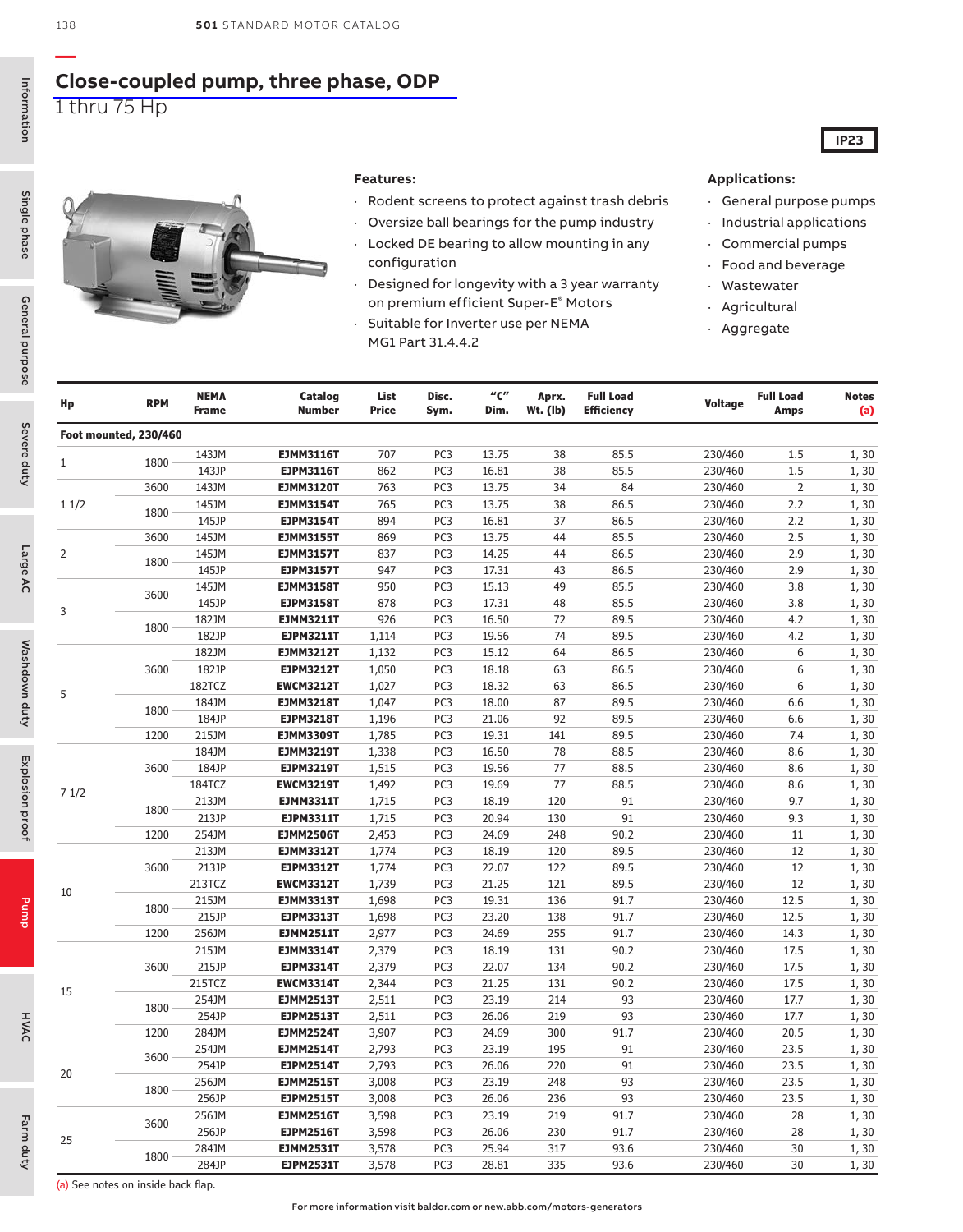### **[Close-coupled pump, three phase, ODP](https://www.baldor.com/brands/baldor-reliance/products/motors/ac-motors/pump/jm-jp-wcp-close-coupled-motors)** 1 thru 75 Hp

Information Information 138

**—**



2

3

5

HVAC

20

25



#### **Features:**

- Rodent screens to protect against trash debris
- Oversize ball bearings for the pump industry
- Locked DE bearing to allow mounting in any configuration
- Designed for longevity with a 3 year warranty on premium efficient Super-E® Motors
- Suitable for Inverter use per NEMA MG1 Part 31.4.4.2

#### **Applications:**

· General purpose pumps

**IP23**

- · Industrial applications
- Commercial pumps Food and beverage
- **Wastewater**
- **Agricultural**
- **Aggregate**
- **Hp RPM NEMA Frame Catalog Number List Price Disc. Sym. "C" Dim. Aprx. Wt. (lb) Full Load Efficiency Voltage Full Load Amps Notes (a) Foot mounted, 230/460** <sup>1</sup> <sup>1800</sup> 143JM **EJMM3116T** <sup>707</sup> PC3 13.75 <sup>38</sup> 85.5 230/460 1.5 1, 30 143JP **EJPM3116T** 862 PC3 16.81 38 85.5 230/460 1.5 1, 30 1 1/2 3600 143JM **EJMM3120T** 763 PC3 13.75 34 84 230/460 2 1, 30 <sup>1800</sup> 145JM **EJMM3154T** <sup>765</sup> PC3 13.75 <sup>38</sup> 86.5 230/460 2.2 1, 30 145JP **EJPM3154T** 894 PC3 16.81 37 86.5 230/460 2.2 1, 30 3600 145JM **EJMM3155T** 869 PC3 13.75 44 85.5 230/460 2.5 1, 30 <sup>1800</sup> 145JM **EJMM3157T** <sup>837</sup> PC3 14.25 <sup>44</sup> 86.5 230/460 2.9 1, 30 145JP **EJPM3157T** 947 PC3 17.31 43 86.5 230/460 2.9 1, 30 <sup>3600</sup> 145JM **EJMM3158T** <sup>950</sup> PC3 15.13 <sup>49</sup> 85.5 230/460 3.8 1, 30 145JP **EJPM3158T** 878 PC3 17.31 48 85.5 230/460 3.8 1, 30 <sup>1800</sup> 182JM **EJMM3211T** <sup>926</sup> PC3 16.50 <sup>72</sup> 89.5 230/460 4.2 1, 30 182JP **EJPM3211T** 1,114 PC3 19.56 74 89.5 230/460 4.2 1, 30 3600 182JM **EJMM3212T** 1,132 PC3 15.12 64 86.5 230/460 6 1, 30 182JP **EJPM3212T** 1,050 PC3 18.18 63 86.5 230/460 6 1, 30 182TCZ **EWCM3212T** 1,027 PC3 18.32 63 86.5 230/460 6 1, 30 <sup>1800</sup> 184JM **EJMM3218T** 1,047 PC3 18.00 <sup>87</sup> 89.5 230/460 6.6 1, 30 184JP **EJPM3218T** 1,196 PC3 21.06 92 89.5 230/460 6.6 1, 30 1200 215JM **EJMM3309T** 1,785 PC3 19.31 141 89.5 230/460 7.4 1, 30 7 1/2 3600 184JM **EJMM3219T** 1,338 PC3 16.50 78 88.5 230/460 8.6 1, 30 184JP **EJPM3219T** 1,515 PC3 19.56 77 88.5 230/460 8.6 1, 30 184TCZ **EWCM3219T** 1,492 PC3 19.69 77 88.5 230/460 8.6 1, 30 <sup>1800</sup> 213JM **EJMM3311T** 1,715 PC3 18.19 <sup>120</sup> <sup>91</sup> 230/460 9.7 1, 30 213JP **EJPM3311T** 1,715 PC3 20.94 130 91 230/460 9.3 1, 30 1200 254JM **EJMM2506T** 2,453 PC3 24.69 248 90.2 230/460 11 1, 30 10 3600 213JM **EJMM3312T** 1,774 PC3 18.19 120 89.5 230/460 12 1, 30 213JP **EJPM3312T** 1,774 PC3 22.07 122 89.5 230/460 12 1, 30 213TCZ **EWCM3312T** 1,739 PC3 21.25 121 89.5 230/460 12 1, 30 <sup>1800</sup> 215JM **EJMM3313T** 1,698 PC3 19.31 <sup>136</sup> 91.7 230/460 12.5 1, 30 215JP **EJPM3313T** 1,698 PC3 23.20 138 91.7 230/460 12.5 1, 30 1200 256JM **EJMM2511T** 2,977 PC3 24.69 255 91.7 230/460 14.3 1, 30 15 3600 215JM **EJMM3314T** 2,379 PC3 18.19 131 90.2 230/460 17.5 1, 30 215JP **EJPM3314T** 2,379 PC3 22.07 134 90.2 230/460 17.5 1, 30 215TCZ **EWCM3314T** 2,344 PC3 21.25 131 90.2 230/460 17.5 1, 30 <sup>1800</sup> 254JM **EJMM2513T** 2,511 PC3 23.19 <sup>214</sup> <sup>93</sup> 230/460 17.7 1, 30 254JP **EJPM2513T** 2,511 PC3 26.06 219 93 230/460 17.7 1, 30 1200 284JM **EJMM2524T** 3,907 PC3 24.69 300 91.7 230/460 20.5 1, 30

(a) See notes on inside back flap.

<sup>3600</sup> 254JM **EJMM2514T** 2,793 PC3 23.19 <sup>195</sup> <sup>91</sup> 230/460 23.5 1, 30 254JP **EJPM2514T** 2,793 PC3 26.06 220 91 230/460 23.5 1, 30

<sup>1800</sup> 256JM **EJMM2515T** 3,008 PC3 23.19 <sup>248</sup> <sup>93</sup> 230/460 23.5 1, 30 256JP **EJPM2515T** 3,008 PC3 26.06 236 93 230/460 23.5 1, 30

<sup>3600</sup> 256JM **EJMM2516T** 3,598 PC3 23.19 <sup>219</sup> 91.7 230/460 <sup>28</sup> 1, 30 256JP **EJPM2516T** 3,598 PC3 26.06 230 91.7 230/460 28 1, 30

<sup>1800</sup> 284JM **EJMM2531T** 3,578 PC3 25.94 <sup>317</sup> 93.6 230/460 <sup>30</sup> 1, 30 284JP **EJPM2531T** 3,578 PC3 28.81 335 93.6 230/460 30 1, 30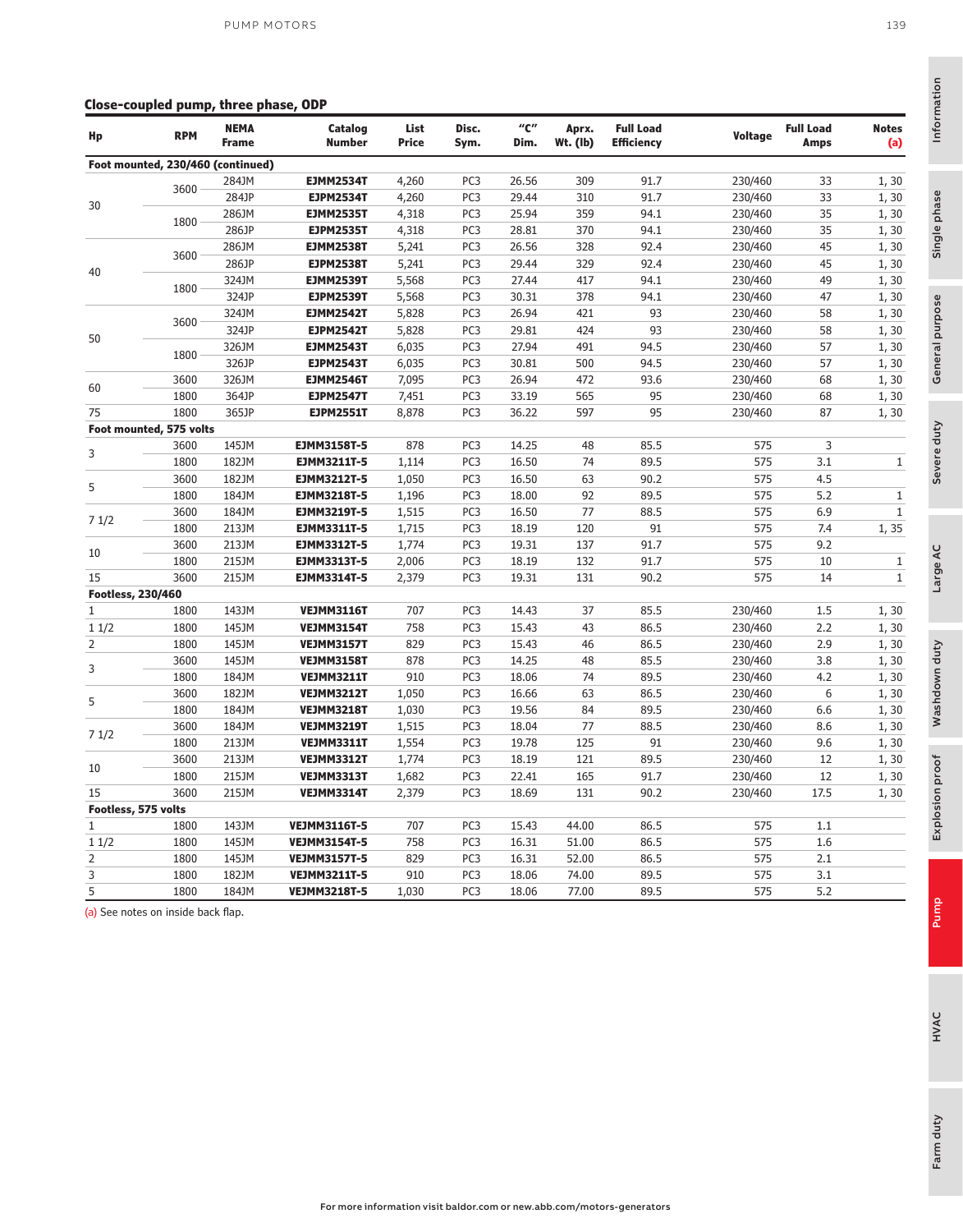#### **Close-coupled pump, three phase, ODP**

| Hp                       | <b>RPM</b>                        | <b>NEMA</b><br><b>Frame</b> | Catalog<br><b>Number</b> | List<br>Price | Disc.<br>Sym.   | "C"<br>Dim. | Aprx.<br>Wt. (lb) | <b>Full Load</b><br><b>Efficiency</b> | Voltage | <b>Full Load</b><br><b>Amps</b> | <b>Notes</b><br>(a) |
|--------------------------|-----------------------------------|-----------------------------|--------------------------|---------------|-----------------|-------------|-------------------|---------------------------------------|---------|---------------------------------|---------------------|
|                          | Foot mounted, 230/460 (continued) |                             |                          |               |                 |             |                   |                                       |         |                                 |                     |
|                          | 3600                              | 284JM                       | <b>EJMM2534T</b>         | 4,260         | PC <sub>3</sub> | 26.56       | 309               | 91.7                                  | 230/460 | 33                              | 1, 30               |
| 30                       |                                   | 284JP                       | <b>EJPM2534T</b>         | 4,260         | PC <sub>3</sub> | 29.44       | 310               | 91.7                                  | 230/460 | 33                              | 1, 30               |
|                          | 1800                              | 286JM                       | <b>EJMM2535T</b>         | 4,318         | PC <sub>3</sub> | 25.94       | 359               | 94.1                                  | 230/460 | 35                              | 1, 30               |
|                          |                                   | 286JP                       | <b>EJPM2535T</b>         | 4,318         | PC <sub>3</sub> | 28.81       | 370               | 94.1                                  | 230/460 | 35                              | 1, 30               |
|                          | 3600                              | 286JM                       | <b>EJMM2538T</b>         | 5,241         | PC <sub>3</sub> | 26.56       | 328               | 92.4                                  | 230/460 | 45                              | 1, 30               |
| 40                       |                                   | 286JP                       | <b>EJPM2538T</b>         | 5,241         | PC <sub>3</sub> | 29.44       | 329               | 92.4                                  | 230/460 | 45                              | 1, 30               |
|                          | 1800                              | 324JM                       | <b>EJMM2539T</b>         | 5,568         | PC <sub>3</sub> | 27.44       | 417               | 94.1                                  | 230/460 | 49                              | 1, 30               |
|                          |                                   | 324JP                       | <b>EJPM2539T</b>         | 5,568         | PC3             | 30.31       | 378               | 94.1                                  | 230/460 | 47                              | 1, 30               |
|                          | 3600                              | 324JM                       | <b>EJMM2542T</b>         | 5,828         | PC <sub>3</sub> | 26.94       | 421               | 93                                    | 230/460 | 58                              | 1, 30               |
| 50                       |                                   | 324JP                       | <b>EJPM2542T</b>         | 5,828         | PC <sub>3</sub> | 29.81       | 424               | 93                                    | 230/460 | 58                              | 1,30                |
|                          |                                   | 326JM                       | <b>EJMM2543T</b>         | 6,035         | PC <sub>3</sub> | 27.94       | 491               | 94.5                                  | 230/460 | 57                              | 1, 30               |
|                          | 1800                              | 326JP                       | <b>EJPM2543T</b>         | 6,035         | PC <sub>3</sub> | 30.81       | 500               | 94.5                                  | 230/460 | 57                              | 1, 30               |
|                          | 3600                              | 326JM                       | <b>EJMM2546T</b>         | 7,095         | PC <sub>3</sub> | 26.94       | 472               | 93.6                                  | 230/460 | 68                              | 1, 30               |
| 60                       | 1800                              | 364JP                       | <b>EJPM2547T</b>         | 7,451         | PC <sub>3</sub> | 33.19       | 565               | 95                                    | 230/460 | 68                              | 1, 30               |
| 75                       | 1800                              | 365JP                       | <b>EJPM2551T</b>         | 8,878         | PC <sub>3</sub> | 36.22       | 597               | 95                                    | 230/460 | 87                              | 1, 30               |
|                          | Foot mounted, 575 volts           |                             |                          |               |                 |             |                   |                                       |         |                                 |                     |
|                          | 3600                              | 145JM                       | <b>EJMM3158T-5</b>       | 878           | PC <sub>3</sub> | 14.25       | 48                | 85.5                                  | 575     | 3                               |                     |
| 3                        | 1800                              | 182JM                       | EJMM3211T-5              | 1,114         | PC <sub>3</sub> | 16.50       | 74                | 89.5                                  | 575     | 3.1                             | $\mathbf{1}$        |
|                          | 3600                              | 182JM                       | <b>EJMM3212T-5</b>       | 1,050         | PC <sub>3</sub> | 16.50       | 63                | 90.2                                  | 575     | 4.5                             |                     |
| 5                        | 1800                              | 184JM                       | <b>EJMM3218T-5</b>       | 1,196         | PC <sub>3</sub> | 18.00       | 92                | 89.5                                  | 575     | 5.2                             | $\mathbf{1}$        |
|                          | 3600                              | 184JM                       | EJMM3219T-5              | 1,515         | PC <sub>3</sub> | 16.50       | 77                | 88.5                                  | 575     | 6.9                             | $\mathbf{1}$        |
| 71/2                     | 1800                              | 213JM                       | EJMM3311T-5              | 1,715         | PC <sub>3</sub> | 18.19       | 120               | 91                                    | 575     | 7.4                             | 1,35                |
|                          | 3600                              | 213JM                       | <b>EJMM3312T-5</b>       | 1,774         | PC <sub>3</sub> | 19.31       | 137               | 91.7                                  | 575     | 9.2                             |                     |
| 10                       | 1800                              | 215JM                       | <b>EJMM3313T-5</b>       | 2,006         | PC <sub>3</sub> | 18.19       | 132               | 91.7                                  | 575     | 10                              | $1\,$               |
| 15                       | 3600                              | 215JM                       | EJMM3314T-5              | 2,379         | PC <sub>3</sub> | 19.31       | 131               | 90.2                                  | 575     | 14                              | $\mathbf{1}$        |
| <b>Footless, 230/460</b> |                                   |                             |                          |               |                 |             |                   |                                       |         |                                 |                     |
| 1                        | 1800                              | 143JM                       | <b>VEJMM3116T</b>        | 707           | PC <sub>3</sub> | 14.43       | 37                | 85.5                                  | 230/460 | 1.5                             | 1, 30               |
| 11/2                     | 1800                              | 145JM                       | <b>VEJMM3154T</b>        | 758           | PC <sub>3</sub> | 15.43       | 43                | 86.5                                  | 230/460 | 2.2                             | 1,30                |
| $\overline{2}$           | 1800                              | 145JM                       | <b>VEJMM3157T</b>        | 829           | PC <sub>3</sub> | 15.43       | 46                | 86.5                                  | 230/460 | 2.9                             | 1, 30               |
|                          | 3600                              | 145JM                       | <b>VEJMM3158T</b>        | 878           | PC <sub>3</sub> | 14.25       | 48                | 85.5                                  | 230/460 | 3.8                             | 1,30                |
| 3                        | 1800                              | 184JM                       | <b>VEJMM3211T</b>        | 910           | PC <sub>3</sub> | 18.06       | 74                | 89.5                                  | 230/460 | 4.2                             | 1, 30               |
|                          | 3600                              | 182JM                       | <b>VEJMM3212T</b>        | 1,050         | PC <sub>3</sub> | 16.66       | 63                | 86.5                                  | 230/460 | 6                               | 1,30                |
| 5                        | 1800                              | 184JM                       | <b>VEJMM3218T</b>        | 1,030         | PC <sub>3</sub> | 19.56       | 84                | 89.5                                  | 230/460 | 6.6                             | 1, 30               |
|                          | 3600                              | 184JM                       | <b>VEJMM3219T</b>        | 1,515         | PC <sub>3</sub> | 18.04       | 77                | 88.5                                  | 230/460 | 8.6                             | 1, 30               |
| 71/2                     | 1800                              | 213JM                       | <b>VEJMM3311T</b>        | 1,554         | PC <sub>3</sub> | 19.78       | 125               | 91                                    | 230/460 | 9.6                             | 1, 30               |
|                          | 3600                              | 213JM                       | <b>VEJMM3312T</b>        | 1,774         | PC <sub>3</sub> | 18.19       | 121               | 89.5                                  | 230/460 | 12                              | 1, 30               |
| 10                       | 1800                              | 215JM                       | <b>VEJMM3313T</b>        | 1,682         | PC <sub>3</sub> | 22.41       | 165               | 91.7                                  | 230/460 | 12                              | 1,30                |
| 15                       | 3600                              | 215JM                       | <b>VEJMM3314T</b>        | 2,379         | PC <sub>3</sub> | 18.69       | 131               | 90.2                                  | 230/460 | 17.5                            | 1, 30               |
| Footless, 575 volts      |                                   |                             |                          |               |                 |             |                   |                                       |         |                                 |                     |
| 1                        | 1800                              | 143JM                       | <b>VEJMM3116T-5</b>      | 707           | PC <sub>3</sub> | 15.43       | 44.00             | 86.5                                  | 575     | 1.1                             |                     |
| 11/2                     | 1800                              | 145JM                       | <b>VEJMM3154T-5</b>      | 758           | PC <sub>3</sub> | 16.31       | 51.00             | 86.5                                  | 575     | 1.6                             |                     |
| 2                        | 1800                              | 145JM                       | <b>VEJMM3157T-5</b>      | 829           | PC <sub>3</sub> | 16.31       | 52.00             | 86.5                                  | 575     | 2.1                             |                     |
| 3                        | 1800                              | 182JM                       | <b>VEJMM3211T-5</b>      | 910           | PC <sub>3</sub> | 18.06       | 74.00             | 89.5                                  | 575     | 3.1                             |                     |
| 5                        | 1800                              | 184JM                       | <b>VEJMM3218T-5</b>      |               | PC <sub>3</sub> | 18.06       | 77.00             | 89.5                                  | 575     | 5.2                             |                     |
|                          |                                   |                             |                          | 1,030         |                 |             |                   |                                       |         |                                 |                     |

(a) See notes on inside back flap.

Information

Information

Single phase

Single phase

Severe duty<br>General purpose

Severe duty

General purpose

Large AC

Washdown duty

Washdown duty

Explosion proof

Explosion proof

Pump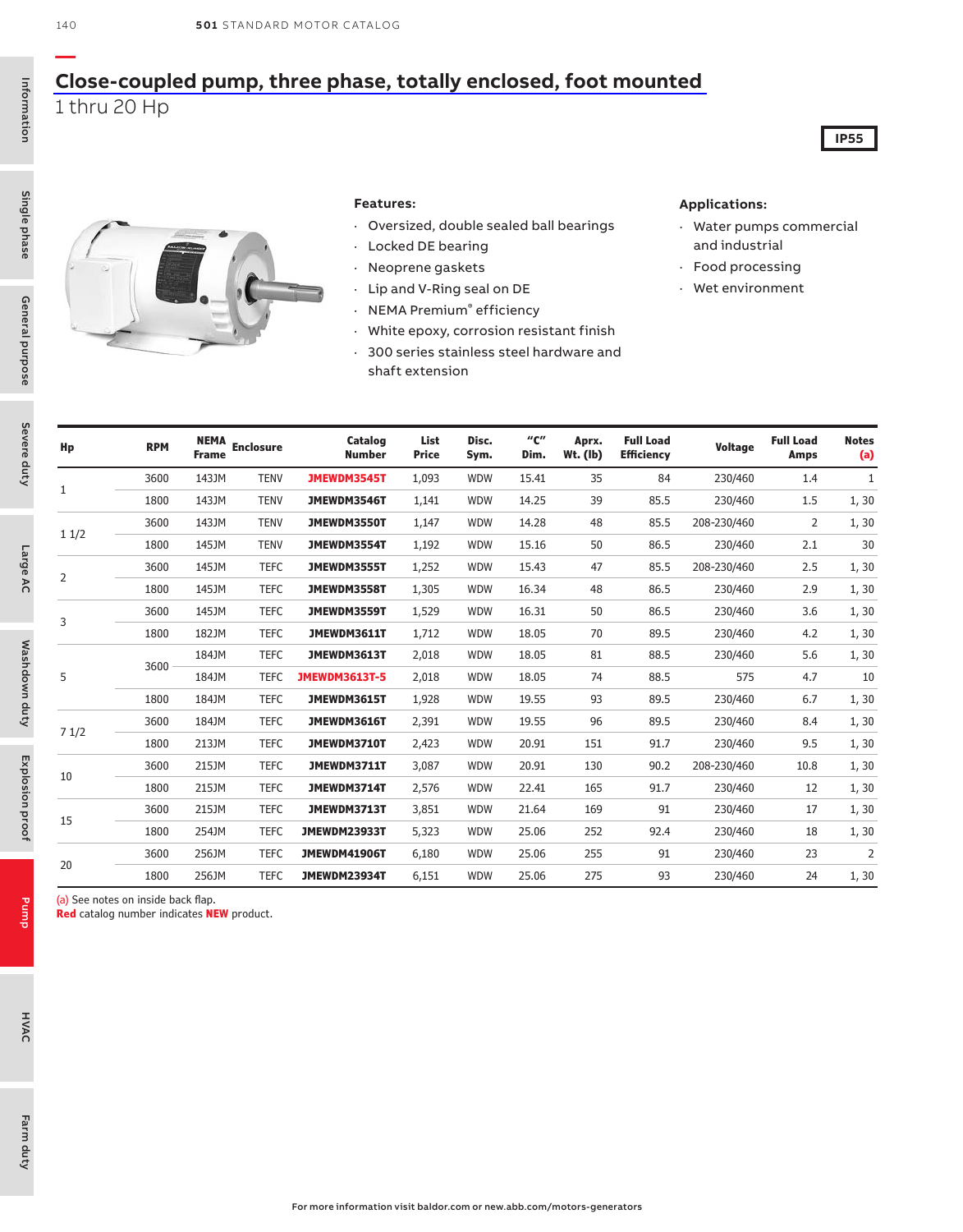### **[Close-coupled pump, three phase, totally enclosed, foot mounted](https://www.baldor.com/brands/baldor-reliance/products/motors/ac-motors/pump/jm-jp-wcp-close-coupled-motors)** 1 thru 20 Hp

Severe duty

Severe duty

Large AC

Washdown duty

Washdown duty

Explosion proof

Explosion proof

Pump



#### **Features:**

- · Oversized, double sealed ball bearings
- · Locked DE bearing
- · Neoprene gaskets
- · Lip and V-Ring seal on DE
- · NEMA Premium® efficiency
- · White epoxy, corrosion resistant finish
- · 300 series stainless steel hardware and shaft extension

#### **Applications:**

· Water pumps commercial and industrial

**IP55**

- · Food processing
- · Wet environment

| Hp             | <b>RPM</b> | <b>NEMA</b><br><b>Frame</b> | <b>Enclosure</b> | Catalog<br><b>Number</b> | List<br><b>Price</b> | Disc.<br>Sym. | "C"<br>Dim. | Aprx.<br>$Wt.$ (lb) | <b>Full Load</b><br><b>Efficiency</b> | <b>Voltage</b> | <b>Full Load</b><br><b>Amps</b> | <b>Notes</b><br>(a) |
|----------------|------------|-----------------------------|------------------|--------------------------|----------------------|---------------|-------------|---------------------|---------------------------------------|----------------|---------------------------------|---------------------|
|                | 3600       | 143JM                       | <b>TENV</b>      | JMEWDM3545T              | 1,093                | <b>WDW</b>    | 15.41       | 35                  | 84                                    | 230/460        | 1.4                             | 1                   |
| $\mathbf{1}$   | 1800       | 143JM                       | <b>TENV</b>      | JMEWDM3546T              | 1,141                | <b>WDW</b>    | 14.25       | 39                  | 85.5                                  | 230/460        | 1.5                             | 1, 30               |
|                | 3600       | 143JM                       | <b>TENV</b>      | JMEWDM3550T              | 1,147                | <b>WDW</b>    | 14.28       | 48                  | 85.5                                  | 208-230/460    | 2                               | 1, 30               |
| 11/2           | 1800       | 145JM                       | <b>TENV</b>      | JMEWDM3554T              | 1,192                | <b>WDW</b>    | 15.16       | 50                  | 86.5                                  | 230/460        | 2.1                             | 30                  |
|                | 3600       | 145JM                       | <b>TEFC</b>      | JMEWDM3555T              | 1,252                | <b>WDW</b>    | 15.43       | 47                  | 85.5                                  | 208-230/460    | 2.5                             | 1, 30               |
| $\overline{2}$ | 1800       | 145JM                       | <b>TEFC</b>      | JMEWDM3558T              | 1,305                | <b>WDW</b>    | 16.34       | 48                  | 86.5                                  | 230/460        | 2.9                             | 1, 30               |
|                | 3600       | 145JM                       | <b>TEFC</b>      | JMEWDM3559T              | 1,529                | <b>WDW</b>    | 16.31       | 50                  | 86.5                                  | 230/460        | 3.6                             | 1,30                |
| 3              | 1800       | 182JM                       | <b>TEFC</b>      | JMEWDM3611T              | 1,712                | <b>WDW</b>    | 18.05       | 70                  | 89.5                                  | 230/460        | 4.2                             | 1, 30               |
|                | 3600       | 184JM                       | <b>TEFC</b>      | JMEWDM3613T              | 2,018                | <b>WDW</b>    | 18.05       | 81                  | 88.5                                  | 230/460        | 5.6                             | 1, 30               |
| 5              |            | 184JM                       | <b>TEFC</b>      | <b>JMEWDM3613T-5</b>     | 2,018                | <b>WDW</b>    | 18.05       | 74                  | 88.5                                  | 575            | 4.7                             | 10                  |
|                | 1800       | 184JM                       | <b>TEFC</b>      | JMEWDM3615T              | 1,928                | <b>WDW</b>    | 19.55       | 93                  | 89.5                                  | 230/460        | 6.7                             | 1, 30               |
| 71/2           | 3600       | 184JM                       | <b>TEFC</b>      | JMEWDM3616T              | 2,391                | WDW           | 19.55       | 96                  | 89.5                                  | 230/460        | 8.4                             | 1, 30               |
|                | 1800       | 213JM                       | <b>TEFC</b>      | JMEWDM3710T              | 2,423                | <b>WDW</b>    | 20.91       | 151                 | 91.7                                  | 230/460        | 9.5                             | 1, 30               |
| 10             | 3600       | 215JM                       | <b>TEFC</b>      | JMEWDM3711T              | 3,087                | <b>WDW</b>    | 20.91       | 130                 | 90.2                                  | 208-230/460    | 10.8                            | 1, 30               |
|                | 1800       | 215JM                       | <b>TEFC</b>      | JMEWDM3714T              | 2,576                | <b>WDW</b>    | 22.41       | 165                 | 91.7                                  | 230/460        | 12                              | 1, 30               |
|                | 3600       | 215JM                       | <b>TEFC</b>      | JMEWDM3713T              | 3,851                | <b>WDW</b>    | 21.64       | 169                 | 91                                    | 230/460        | 17                              | 1, 30               |
| 15             | 1800       | 254JM                       | <b>TEFC</b>      | JMEWDM23933T             | 5,323                | WDW           | 25.06       | 252                 | 92.4                                  | 230/460        | 18                              | 1, 30               |
|                | 3600       | 256JM                       | <b>TEFC</b>      | JMEWDM41906T             | 6,180                | <b>WDW</b>    | 25.06       | 255                 | 91                                    | 230/460        | 23                              | $\overline{2}$      |
| 20             | 1800       | 256JM                       | <b>TEFC</b>      | JMEWDM23934T             | 6,151                | <b>WDW</b>    | 25.06       | 275                 | 93                                    | 230/460        | 24                              | 1, 30               |

(a) See notes on inside back flap.

**Red** catalog number indicates **NEW** product.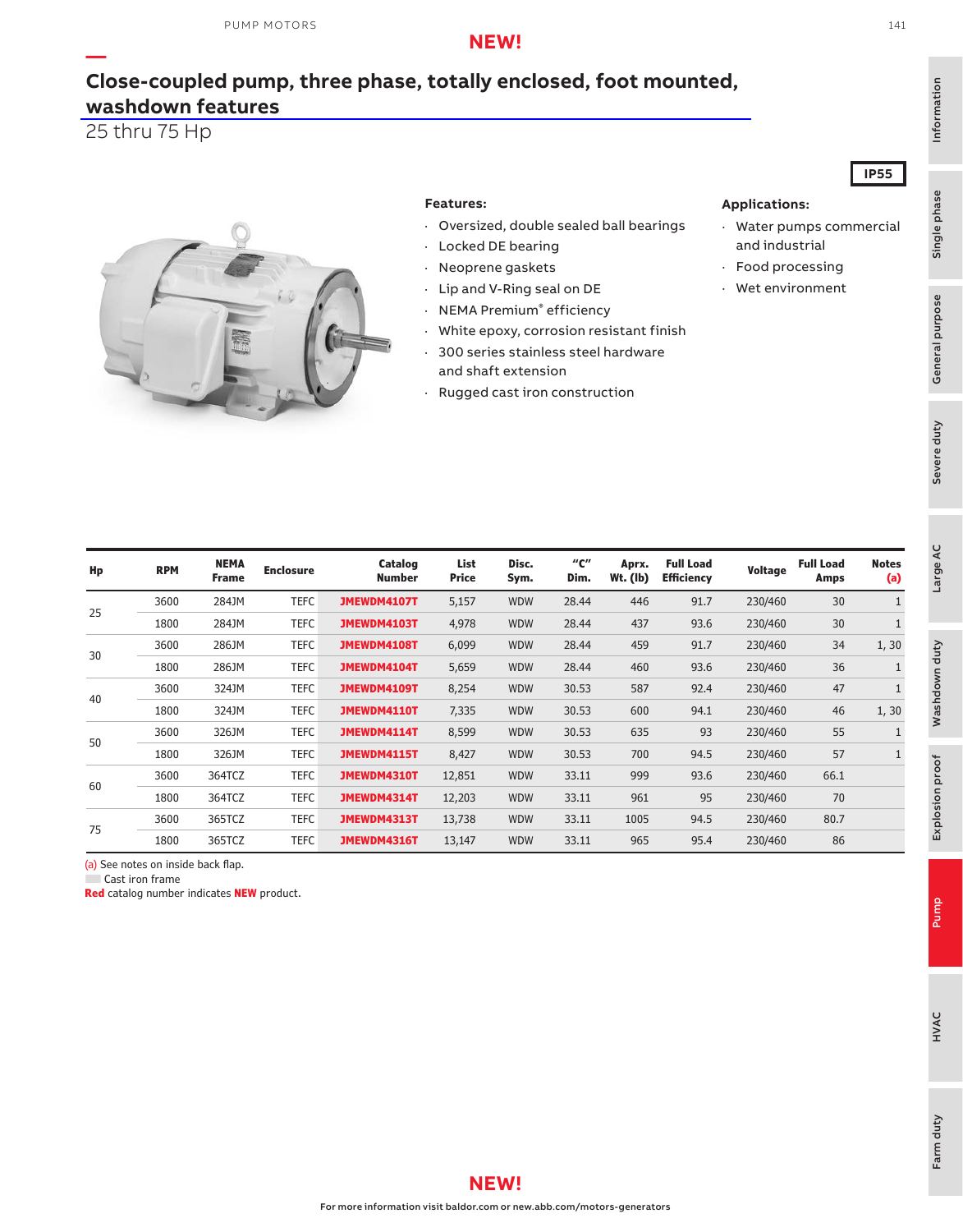### **NEW!**

## **[Close-coupled pump, three phase, totally enclosed, foot mounted,](https://www.baldor.com/brands/baldor-reliance/products/motors/ac-motors/pump/jm-jp-wcp-close-coupled-motors) washdown features**

25 thru 75 Hp

**—**



#### **Features:**

- · Oversized, double sealed ball bearings
	- Locked DE bearing
- · Neoprene gaskets
- · Lip and V-Ring seal on DE
- · NEMA Premium® efficiency
- · White epoxy, corrosion resistant finish
- · 300 series stainless steel hardware and shaft extension
- · Rugged cast iron construction

### **IP55**

#### **Applications:**

- · Water pumps commercial and industrial
- · Food processing
- · Wet environment

| Hp | <b>RPM</b> | <b>NEMA</b><br><b>Frame</b> | <b>Enclosure</b> | Catalog<br><b>Number</b> | List<br><b>Price</b> | Disc.<br>Sym. | "с"<br>Dim. | Aprx.<br>$Wt.$ (lb) | <b>Full Load</b><br><b>Efficiency</b> | Voltage | <b>Full Load</b><br>Amps | <b>Notes</b><br>(a) |
|----|------------|-----------------------------|------------------|--------------------------|----------------------|---------------|-------------|---------------------|---------------------------------------|---------|--------------------------|---------------------|
| 25 | 3600       | 284JM                       | TEFC             | JMEWDM4107T              | 5,157                | <b>WDW</b>    | 28.44       | 446                 | 91.7                                  | 230/460 | 30                       |                     |
|    | 1800       | 284JM                       | <b>TEFC</b>      | JMEWDM4103T              | 4,978                | <b>WDW</b>    | 28.44       | 437                 | 93.6                                  | 230/460 | 30                       |                     |
| 30 | 3600       | 286JM                       | <b>TEFC</b>      | JMEWDM4108T              | 6,099                | <b>WDW</b>    | 28.44       | 459                 | 91.7                                  | 230/460 | 34                       | 1,30                |
|    | 1800       | 286JM                       | <b>TEFC</b>      | JMEWDM4104T              | 5,659                | <b>WDW</b>    | 28.44       | 460                 | 93.6                                  | 230/460 | 36                       |                     |
| 40 | 3600       | 324JM                       | TEFC             | JMEWDM4109T              | 8,254                | <b>WDW</b>    | 30.53       | 587                 | 92.4                                  | 230/460 | 47                       |                     |
|    | 1800       | 324JM                       | TEFC             | JMEWDM4110T              | 7,335                | <b>WDW</b>    | 30.53       | 600                 | 94.1                                  | 230/460 | 46                       | 1,30                |
| 50 | 3600       | 326JM                       | <b>TEFC</b>      | JMEWDM4114T              | 8,599                | <b>WDW</b>    | 30.53       | 635                 | 93                                    | 230/460 | 55                       |                     |
|    | 1800       | 326JM                       | <b>TEFC</b>      | JMEWDM4115T              | 8,427                | <b>WDW</b>    | 30.53       | 700                 | 94.5                                  | 230/460 | 57                       |                     |
| 60 | 3600       | 364TCZ                      | <b>TEFC</b>      | JMEWDM4310T              | 12,851               | <b>WDW</b>    | 33.11       | 999                 | 93.6                                  | 230/460 | 66.1                     |                     |
|    | 1800       | 364TCZ                      | <b>TEFC</b>      | JMEWDM4314T              | 12,203               | <b>WDW</b>    | 33.11       | 961                 | 95                                    | 230/460 | 70                       |                     |
| 75 | 3600       | 365TCZ                      | <b>TEFC</b>      | JMEWDM4313T              | 13,738               | <b>WDW</b>    | 33.11       | 1005                | 94.5                                  | 230/460 | 80.7                     |                     |
|    | 1800       | 365TCZ                      | <b>TEFC</b>      | JMEWDM4316T              | 13,147               | <b>WDW</b>    | 33.11       | 965                 | 95.4                                  | 230/460 | 86                       |                     |

(a) See notes on inside back flap.

Cast iron frame

**Red** catalog number indicates **NEW** product.

141



For more information visit baldor.com or new.abb.com/motors-generators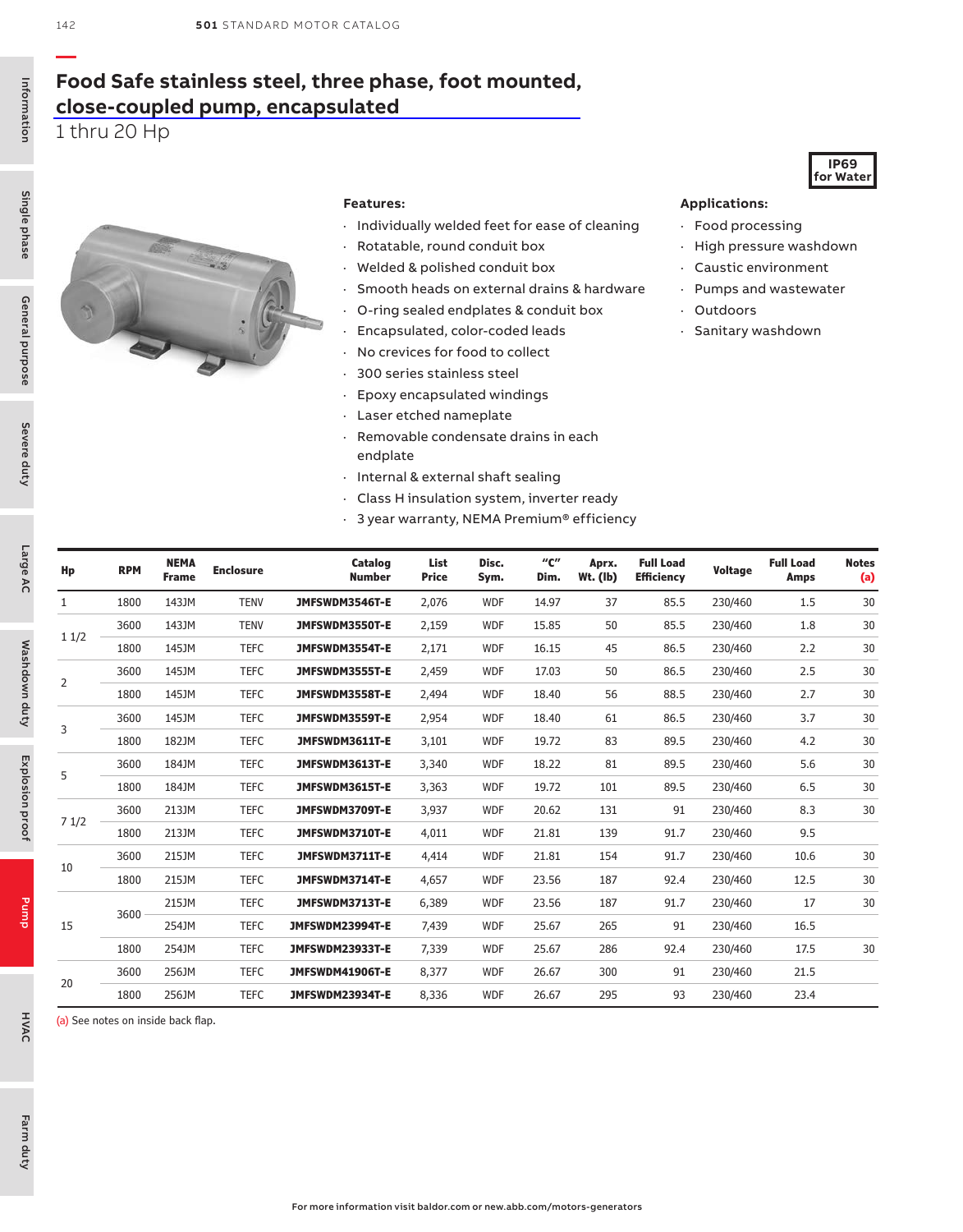## **[Food Safe stainless steel, three phase, foot mounted,](https://www.baldor.com/brands/baldor-reliance/products/motors/ac-motors/washdown-duty/food-safe-stainless-steel-motors) close-coupled pump, encapsulated**

1 thru 20 Hp



#### **Features:**

- · Individually welded feet for ease of cleaning
- · Rotatable, round conduit box
- · Welded & polished conduit box
- · Smooth heads on external drains & hardware
- · O-ring sealed endplates & conduit box
- · Encapsulated, color-coded leads
- · No crevices for food to collect
- · 300 series stainless steel
- · Epoxy encapsulated windings
- · Laser etched nameplate
- · Removable condensate drains in each endplate
- · Internal & external shaft sealing
- · Class H insulation system, inverter ready
- · 3 year warranty, NEMA Premium® efficiency

#### **Applications:**

- · Food processing
- · High pressure washdown

**IP69 for Water**

- · Caustic environment
- · Pumps and wastewater
- · Outdoors
- · Sanitary washdown

| Hp           | <b>RPM</b> | <b>NEMA</b><br><b>Frame</b> | <b>Enclosure</b> | Catalog<br><b>Number</b> | List<br><b>Price</b> | Disc.<br>Sym. | "с"<br>Dim. | Aprx.<br>$Wt.$ (lb) | <b>Full Load</b><br><b>Efficiency</b> | Voltage | <b>Full Load</b><br><b>Amps</b> | <b>Notes</b><br>(a) |
|--------------|------------|-----------------------------|------------------|--------------------------|----------------------|---------------|-------------|---------------------|---------------------------------------|---------|---------------------------------|---------------------|
| $\mathbf{1}$ | 1800       | 143JM                       | <b>TENV</b>      | JMFSWDM3546T-E           | 2,076                | <b>WDF</b>    | 14.97       | 37                  | 85.5                                  | 230/460 | 1.5                             | 30                  |
|              | 3600       | 143JM                       | <b>TENV</b>      | JMFSWDM3550T-E           | 2,159                | <b>WDF</b>    | 15.85       | 50                  | 85.5                                  | 230/460 | 1.8                             | 30                  |
| 11/2         | 1800       | 145JM                       | <b>TEFC</b>      | JMFSWDM3554T-E           | 2,171                | <b>WDF</b>    | 16.15       | 45                  | 86.5                                  | 230/460 | 2.2                             | 30                  |
|              | 3600       | 145JM                       | <b>TEFC</b>      | JMFSWDM3555T-E           | 2,459                | <b>WDF</b>    | 17.03       | 50                  | 86.5                                  | 230/460 | 2.5                             | 30                  |
| 2            | 1800       | 145JM                       | <b>TEFC</b>      | JMFSWDM3558T-E           | 2,494                | <b>WDF</b>    | 18.40       | 56                  | 88.5                                  | 230/460 | 2.7                             | 30                  |
|              | 3600       | 145JM                       | <b>TEFC</b>      | JMFSWDM3559T-E           | 2,954                | <b>WDF</b>    | 18.40       | 61                  | 86.5                                  | 230/460 | 3.7                             | 30                  |
| 3            | 1800       | 182JM                       | <b>TEFC</b>      | JMFSWDM3611T-E           | 3,101                | <b>WDF</b>    | 19.72       | 83                  | 89.5                                  | 230/460 | 4.2                             | 30                  |
|              | 3600       | 184JM                       | <b>TEFC</b>      | JMFSWDM3613T-E           | 3,340                | <b>WDF</b>    | 18.22       | 81                  | 89.5                                  | 230/460 | 5.6                             | 30                  |
| 5            | 1800       | 184JM                       | <b>TEFC</b>      | JMFSWDM3615T-E           | 3,363                | <b>WDF</b>    | 19.72       | 101                 | 89.5                                  | 230/460 | 6.5                             | 30                  |
|              | 3600       | 213JM                       | <b>TEFC</b>      | JMFSWDM3709T-E           | 3,937                | <b>WDF</b>    | 20.62       | 131                 | 91                                    | 230/460 | 8.3                             | 30                  |
| 71/2         | 1800       | 213JM                       | <b>TEFC</b>      | JMFSWDM3710T-E           | 4,011                | <b>WDF</b>    | 21.81       | 139                 | 91.7                                  | 230/460 | 9.5                             |                     |
|              | 3600       | 215JM                       | <b>TEFC</b>      | JMFSWDM3711T-E           | 4,414                | <b>WDF</b>    | 21.81       | 154                 | 91.7                                  | 230/460 | 10.6                            | 30                  |
| 10           | 1800       | 215JM                       | <b>TEFC</b>      | JMFSWDM3714T-E           | 4,657                | <b>WDF</b>    | 23.56       | 187                 | 92.4                                  | 230/460 | 12.5                            | 30                  |
|              |            | 215JM                       | <b>TEFC</b>      | JMFSWDM3713T-E           | 6,389                | <b>WDF</b>    | 23.56       | 187                 | 91.7                                  | 230/460 | 17                              | 30                  |
| 15           | 3600       | 254JM                       | <b>TEFC</b>      | JMFSWDM23994T-E          | 7,439                | <b>WDF</b>    | 25.67       | 265                 | 91                                    | 230/460 | 16.5                            |                     |
|              | 1800       | 254JM                       | <b>TEFC</b>      | JMFSWDM23933T-E          | 7,339                | <b>WDF</b>    | 25.67       | 286                 | 92.4                                  | 230/460 | 17.5                            | 30                  |
|              | 3600       | 256JM                       | <b>TEFC</b>      | JMFSWDM41906T-E          | 8,377                | <b>WDF</b>    | 26.67       | 300                 | 91                                    | 230/460 | 21.5                            |                     |
| 20           | 1800       | 256JM                       | <b>TEFC</b>      | JMFSWDM23934T-E          | 8,336                | <b>WDF</b>    | 26.67       | 295                 | 93                                    | 230/460 | 23.4                            |                     |

(a) See notes on inside back flap.

Information

Information

Single phase

Pump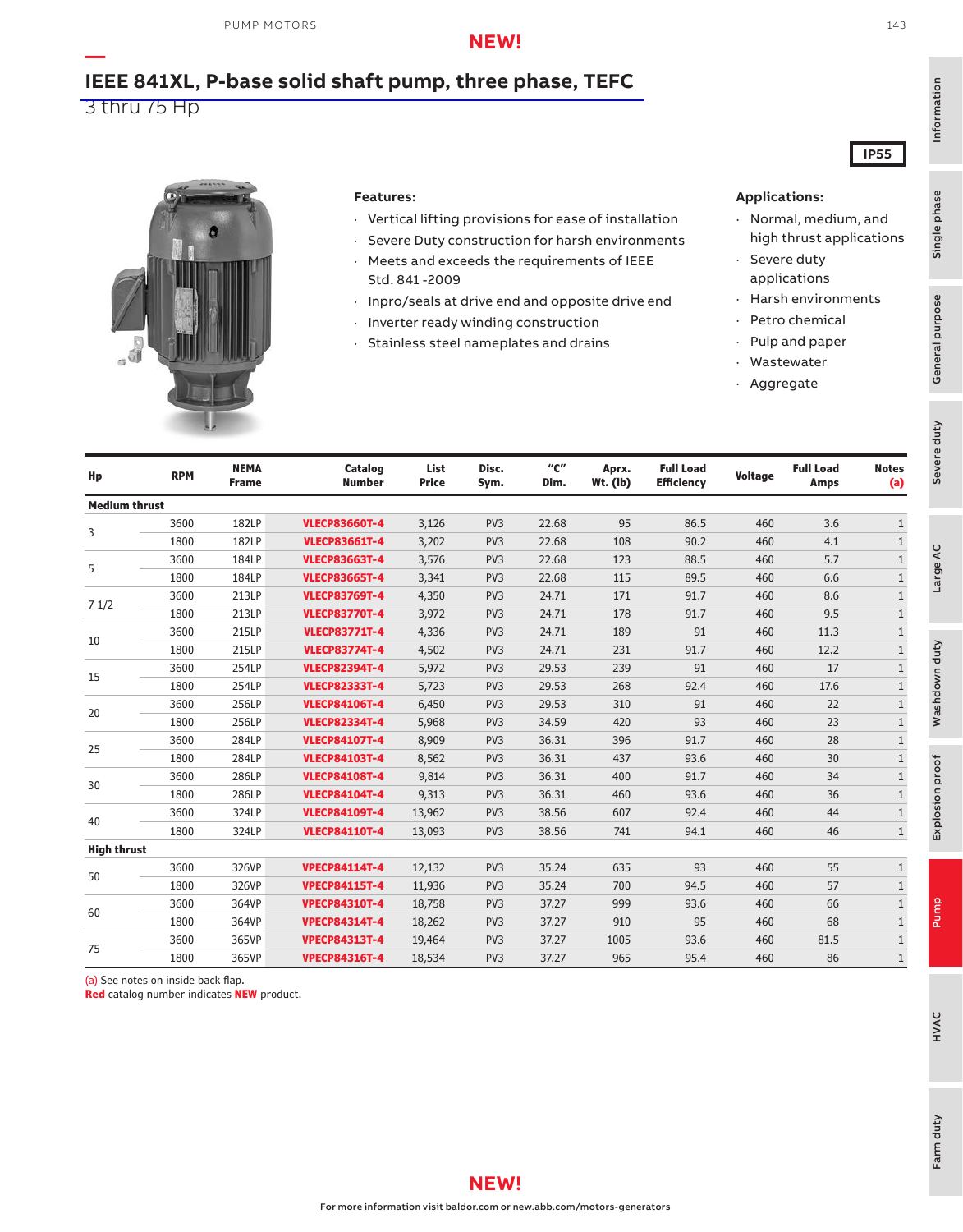### **NEW!**

# **[IEEE 841XL, P-base solid shaft pump, three phase, TEFC](https://www.baldor.com/brands/baldor-reliance/products/motors/ac-motors/pump/vertical-p-base-motors)**

3 thru 75 Hp

**—**



#### **Features:**

- · Vertical lifting provisions for ease of installation
- · Severe Duty construction for harsh environments · Meets and exceeds the requirements of IEEE Std. 841 -2009
- · Inpro/seals at drive end and opposite drive end
- · Inverter ready winding construction
- · Stainless steel nameplates and drains

#### **Applications:**

- · Normal, medium, and high thrust applications
- · Severe duty applications
- · Harsh environments
	- · Petro chemical
	- · Pulp and paper
	- · Wastewater
	- · Aggregate

|                      | $\frac{1}{2}$ |                             |                          |                      |                 |                                               |                     |                                       |         |                                 |                     |
|----------------------|---------------|-----------------------------|--------------------------|----------------------|-----------------|-----------------------------------------------|---------------------|---------------------------------------|---------|---------------------------------|---------------------|
| Hp                   | <b>RPM</b>    | <b>NEMA</b><br><b>Frame</b> | Catalog<br><b>Number</b> | List<br><b>Price</b> | Disc.<br>Sym.   | $^{\prime\prime}$ C $^{\prime\prime}$<br>Dim. | Aprx.<br>$Wt.$ (lb) | <b>Full Load</b><br><b>Efficiency</b> | Voltage | <b>Full Load</b><br><b>Amps</b> | <b>Notes</b><br>(a) |
| <b>Medium thrust</b> |               |                             |                          |                      |                 |                                               |                     |                                       |         |                                 |                     |
| 3                    | 3600          | 182LP                       | <b>VLECP83660T-4</b>     | 3,126                | PV3             | 22.68                                         | 95                  | 86.5                                  | 460     | 3.6                             | $\mathbf{1}$        |
|                      | 1800          | 182LP                       | <b>VLECP83661T-4</b>     | 3,202                | PV3             | 22.68                                         | 108                 | 90.2                                  | 460     | 4.1                             | $\mathbf{1}$        |
| 5                    | 3600          | 184LP                       | <b>VLECP83663T-4</b>     | 3,576                | PV3             | 22.68                                         | 123                 | 88.5                                  | 460     | 5.7                             | $\mathbf{1}$        |
|                      | 1800          | 184LP                       | <b>VLECP83665T-4</b>     | 3,341                | PV3             | 22.68                                         | 115                 | 89.5                                  | 460     | 6.6                             | $\mathbf{1}$        |
| 71/2                 | 3600          | 213LP                       | <b>VLECP83769T-4</b>     | 4,350                | PV3             | 24.71                                         | 171                 | 91.7                                  | 460     | 8.6                             | $\mathbf{1}$        |
|                      | 1800          | 213LP                       | <b>VLECP83770T-4</b>     | 3,972                | PV <sub>3</sub> | 24.71                                         | 178                 | 91.7                                  | 460     | 9.5                             | $\mathbf{1}$        |
| 10                   | 3600          | 215LP                       | <b>VLECP83771T-4</b>     | 4,336                | PV <sub>3</sub> | 24.71                                         | 189                 | 91                                    | 460     | 11.3                            | $\mathbf{1}$        |
|                      | 1800          | 215LP                       | <b>VLECP83774T-4</b>     | 4,502                | PV <sub>3</sub> | 24.71                                         | 231                 | 91.7                                  | 460     | 12.2                            | $\mathbf{1}$        |
|                      | 3600          | 254LP                       | <b>VLECP82394T-4</b>     | 5,972                | PV3             | 29.53                                         | 239                 | 91                                    | 460     | 17                              | $\mathbf{1}$        |
| 15                   | 1800          | 254LP                       | <b>VLECP82333T-4</b>     | 5,723                | PV <sub>3</sub> | 29.53                                         | 268                 | 92.4                                  | 460     | 17.6                            | $\mathbf{1}$        |
| 20                   | 3600          | 256LP                       | <b>VLECP84106T-4</b>     | 6,450                | PV3             | 29.53                                         | 310                 | 91                                    | 460     | 22                              | $\mathbf{1}$        |
|                      | 1800          | 256LP                       | <b>VLECP82334T-4</b>     | 5,968                | PV <sub>3</sub> | 34.59                                         | 420                 | 93                                    | 460     | 23                              | $\mathbf{1}$        |
|                      | 3600          | 284LP                       | <b>VLECP84107T-4</b>     | 8,909                | PV3             | 36.31                                         | 396                 | 91.7                                  | 460     | 28                              | $\mathbf{1}$        |
| 25                   | 1800          | 284LP                       | <b>VLECP84103T-4</b>     | 8,562                | PV3             | 36.31                                         | 437                 | 93.6                                  | 460     | 30                              | $\mathbf{1}$        |
|                      | 3600          | 286LP                       | <b>VLECP84108T-4</b>     | 9,814                | PV3             | 36.31                                         | 400                 | 91.7                                  | 460     | 34                              | $\mathbf{1}$        |
| 30                   | 1800          | 286LP                       | <b>VLECP84104T-4</b>     | 9,313                | PV3             | 36.31                                         | 460                 | 93.6                                  | 460     | 36                              | $\mathbf{1}$        |
|                      | 3600          | 324LP                       | <b>VLECP84109T-4</b>     | 13,962               | PV3             | 38.56                                         | 607                 | 92.4                                  | 460     | 44                              | $\mathbf{1}$        |
| 40                   | 1800          | 324LP                       | <b>VLECP84110T-4</b>     | 13,093               | PV3             | 38.56                                         | 741                 | 94.1                                  | 460     | 46                              | $\mathbf{1}$        |
| <b>High thrust</b>   |               |                             |                          |                      |                 |                                               |                     |                                       |         |                                 |                     |
| 50                   | 3600          | 326VP                       | <b>VPECP84114T-4</b>     | 12,132               | PV3             | 35.24                                         | 635                 | 93                                    | 460     | 55                              | $\mathbf{1}$        |
|                      | 1800          | 326VP                       | <b>VPECP84115T-4</b>     | 11,936               | PV3             | 35.24                                         | 700                 | 94.5                                  | 460     | 57                              | $\mathbf{1}$        |
|                      | 3600          | 364VP                       | <b>VPECP84310T-4</b>     | 18,758               | PV <sub>3</sub> | 37.27                                         | 999                 | 93.6                                  | 460     | 66                              | $\mathbf{1}$        |
| 60                   | 1800          | 364VP                       | <b>VPECP84314T-4</b>     | 18,262               | PV <sub>3</sub> | 37.27                                         | 910                 | 95                                    | 460     | 68                              | $\mathbf{1}$        |
|                      | 3600          | 365VP                       | <b>VPECP84313T-4</b>     | 19,464               | PV <sub>3</sub> | 37.27                                         | 1005                | 93.6                                  | 460     | 81.5                            | $\mathbf{1}$        |
| 75                   | 1800          | 365VP                       | <b>VPECP84316T-4</b>     | 18,534               | PV <sub>3</sub> | 37.27                                         | 965                 | 95.4                                  | 460     | 86                              | $\mathbf{1}$        |

(a) See notes on inside back flap.

**Red** catalog number indicates **NEW** product.

143

**IP55**

Severe duty<br>General purpose

General purpose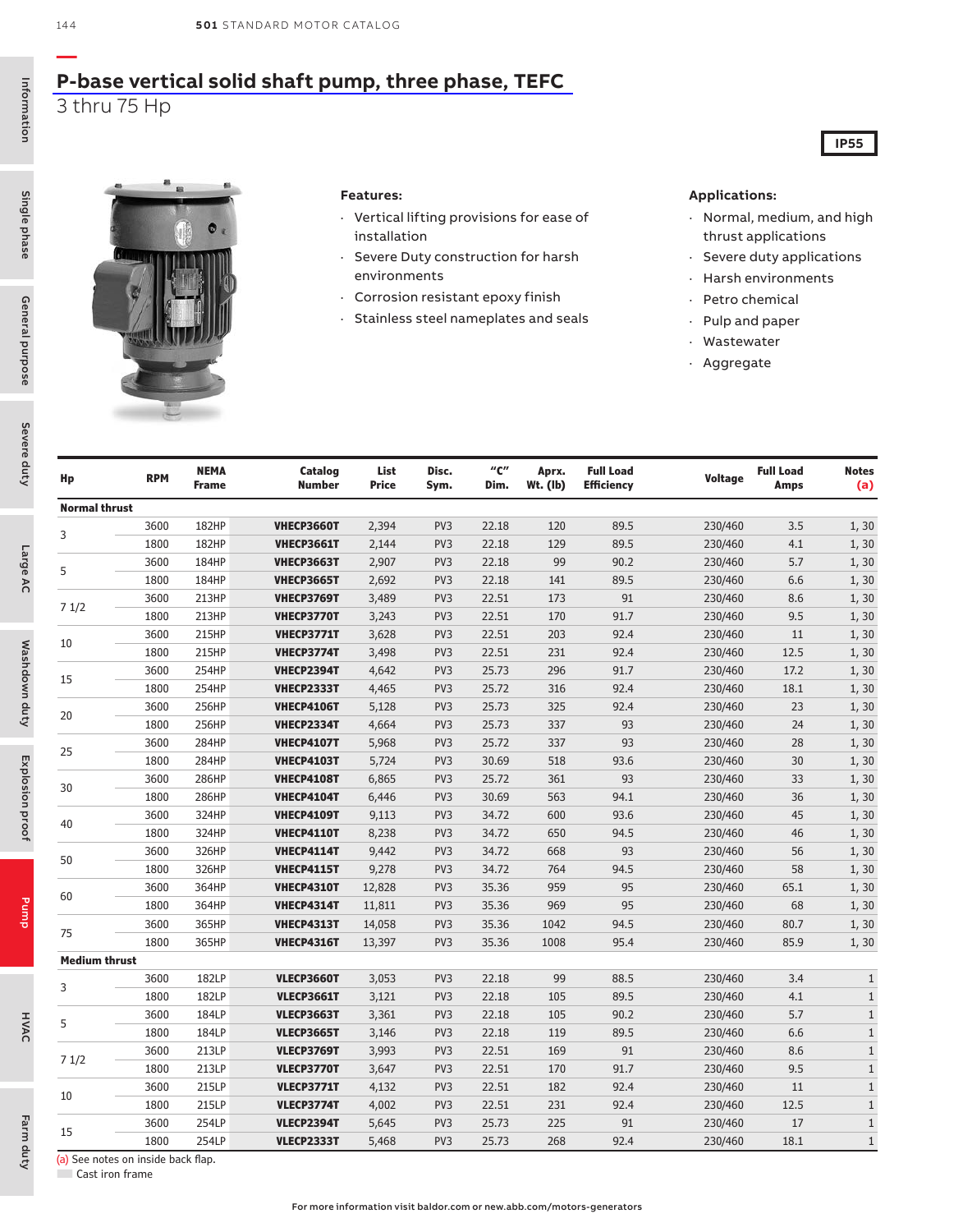### **[P-base vertical solid shaft pump, three phase, TEFC](https://www.baldor.com/brands/baldor-reliance/products/motors/ac-motors/pump/vertical-p-base-motors)** 3 thru 75 Hp





#### **Features:**

- · Vertical lifting provisions for ease of installation
- · Severe Duty construction for harsh environments
- · Corrosion resistant epoxy finish
- · Stainless steel nameplates and seals

#### **Applications:**

· Normal, medium, and high thrust applications

**IP55**

- · Severe duty applications
- · Harsh environments
- · Petro chemical
- · Pulp and paper
- · Wastewater
- · Aggregate

| Hp                   | <b>RPM</b> | <b>NEMA</b><br>Frame | Catalog<br><b>Number</b> | List<br>Price | Disc.<br>Sym.   | "C"<br>Dim. | Aprx.<br>Wt. (lb) | <b>Full Load</b><br><b>Efficiency</b> | <b>Voltage</b> | <b>Full Load</b><br><b>Amps</b> | <b>Notes</b><br>(a) |
|----------------------|------------|----------------------|--------------------------|---------------|-----------------|-------------|-------------------|---------------------------------------|----------------|---------------------------------|---------------------|
| <b>Normal thrust</b> |            |                      |                          |               |                 |             |                   |                                       |                |                                 |                     |
|                      | 3600       | <b>182HP</b>         | <b>VHECP3660T</b>        | 2,394         | PV3             | 22.18       | 120               | 89.5                                  | 230/460        | 3.5                             | 1, 30               |
| 3                    | 1800       | <b>182HP</b>         | <b>VHECP3661T</b>        | 2,144         | PV <sub>3</sub> | 22.18       | 129               | 89.5                                  | 230/460        | 4.1                             | 1, 30               |
|                      | 3600       | 184HP                | <b>VHECP3663T</b>        | 2,907         | PV3             | 22.18       | 99                | 90.2                                  | 230/460        | 5.7                             | 1, 30               |
| 5                    | 1800       | 184HP                | <b>VHECP3665T</b>        | 2,692         | PV <sub>3</sub> | 22.18       | 141               | 89.5                                  | 230/460        | 6.6                             | 1, 30               |
|                      | 3600       | 213HP                | <b>VHECP3769T</b>        | 3,489         | PV <sub>3</sub> | 22.51       | 173               | 91                                    | 230/460        | 8.6                             | 1, 30               |
| 71/2                 | 1800       | 213HP                | VHECP3770T               | 3,243         | PV3             | 22.51       | 170               | 91.7                                  | 230/460        | 9.5                             | 1, 30               |
| 10                   | 3600       | 215HP                | VHECP3771T               | 3,628         | PV3             | 22.51       | 203               | 92.4                                  | 230/460        | 11                              | 1, 30               |
|                      | 1800       | 215HP                | VHECP3774T               | 3,498         | PV3             | 22.51       | 231               | 92.4                                  | 230/460        | 12.5                            | 1, 30               |
| 15                   | 3600       | 254HP                | VHECP2394T               | 4,642         | PV <sub>3</sub> | 25.73       | 296               | 91.7                                  | 230/460        | 17.2                            | 1, 30               |
|                      | 1800       | 254HP                | VHECP2333T               | 4,465         | PV3             | 25.72       | 316               | 92.4                                  | 230/460        | 18.1                            | 1, 30               |
| 20                   | 3600       | 256HP                | <b>VHECP4106T</b>        | 5,128         | PV3             | 25.73       | 325               | 92.4                                  | 230/460        | 23                              | 1, 30               |
|                      | 1800       | 256HP                | VHECP2334T               | 4,664         | PV3             | 25.73       | 337               | 93                                    | 230/460        | 24                              | 1, 30               |
|                      | 3600       | 284HP                | <b>VHECP4107T</b>        | 5,968         | PV3             | 25.72       | 337               | 93                                    | 230/460        | 28                              | 1, 30               |
| 25                   | 1800       | <b>284HP</b>         | <b>VHECP4103T</b>        | 5,724         | PV <sub>3</sub> | 30.69       | 518               | 93.6                                  | 230/460        | 30                              | 1, 30               |
| 30                   | 3600       | 286HP                | <b>VHECP4108T</b>        | 6,865         | PV3             | 25.72       | 361               | 93                                    | 230/460        | 33                              | 1, 30               |
|                      | 1800       | 286HP                | <b>VHECP4104T</b>        | 6,446         | PV3             | 30.69       | 563               | 94.1                                  | 230/460        | 36                              | 1, 30               |
| 40                   | 3600       | 324HP                | <b>VHECP4109T</b>        | 9,113         | PV3             | 34.72       | 600               | 93.6                                  | 230/460        | 45                              | 1, 30               |
|                      | 1800       | 324HP                | <b>VHECP4110T</b>        | 8,238         | PV3             | 34.72       | 650               | 94.5                                  | 230/460        | 46                              | 1, 30               |
| 50                   | 3600       | 326HP                | <b>VHECP4114T</b>        | 9,442         | PV <sub>3</sub> | 34.72       | 668               | 93                                    | 230/460        | 56                              | 1, 30               |
|                      | 1800       | 326HP                | <b>VHECP4115T</b>        | 9,278         | PV3             | 34.72       | 764               | 94.5                                  | 230/460        | 58                              | 1, 30               |
| 60                   | 3600       | 364HP                | <b>VHECP4310T</b>        | 12,828        | PV3             | 35.36       | 959               | 95                                    | 230/460        | 65.1                            | 1, 30               |
|                      | 1800       | 364HP                | <b>VHECP4314T</b>        | 11,811        | PV3             | 35.36       | 969               | 95                                    | 230/460        | 68                              | 1, 30               |
| 75                   | 3600       | 365HP                | <b>VHECP4313T</b>        | 14,058        | PV3             | 35.36       | 1042              | 94.5                                  | 230/460        | 80.7                            | 1, 30               |
|                      | 1800       | 365HP                | <b>VHECP4316T</b>        | 13,397        | PV <sub>3</sub> | 35.36       | 1008              | 95.4                                  | 230/460        | 85.9                            | 1, 30               |
| <b>Medium thrust</b> |            |                      |                          |               |                 |             |                   |                                       |                |                                 |                     |
| 3                    | 3600       | 182LP                | VLECP3660T               | 3,053         | PV <sub>3</sub> | 22.18       | 99                | 88.5                                  | 230/460        | 3.4                             | $\mathbf{1}$        |
|                      | 1800       | 182LP                | <b>VLECP3661T</b>        | 3,121         | PV3             | 22.18       | 105               | 89.5                                  | 230/460        | 4.1                             | $\mathbf{1}$        |
| 5                    | 3600       | 184LP                | <b>VLECP3663T</b>        | 3,361         | PV <sub>3</sub> | 22.18       | 105               | 90.2                                  | 230/460        | 5.7                             | $\mathbf{1}$        |
|                      | 1800       | 184LP                | <b>VLECP3665T</b>        | 3,146         | PV3             | 22.18       | 119               | 89.5                                  | 230/460        | 6.6                             | $\mathbf{1}$        |
|                      | 3600       | 213LP                | VLECP3769T               | 3,993         | PV3             | 22.51       | 169               | 91                                    | 230/460        | 8.6                             | $\mathbf{1}$        |
| 71/2                 | 1800       | 213LP                | VLECP3770T               | 3,647         | PV <sub>3</sub> | 22.51       | 170               | 91.7                                  | 230/460        | 9.5                             | $\mathbf{1}$        |
|                      | 3600       | 215LP                | VLECP3771T               | 4,132         | PV3             | 22.51       | 182               | 92.4                                  | 230/460        | 11                              | $\mathbf{1}$        |
| 10                   | 1800       | 215LP                | VLECP3774T               | 4,002         | PV <sub>3</sub> | 22.51       | 231               | 92.4                                  | 230/460        | 12.5                            | $\mathbf{1}$        |
| 15                   | 3600       | 254LP                | <b>VLECP2394T</b>        | 5,645         | PV3             | 25.73       | 225               | 91                                    | 230/460        | 17                              | $\mathbf{1}$        |
|                      | 1800       | 254LP                | <b>VLECP2333T</b>        | 5,468         | PV <sub>3</sub> | 25.73       | 268               | 92.4                                  | 230/460        | 18.1                            | $\mathbf{1}$        |

Farm duty Farm duty

(a) See notes on inside back flap.

**Cast iron frame** 

Information

Information

Single phase General purpose

General purpose

Single phase

Severe duty

Severe duty

Large AC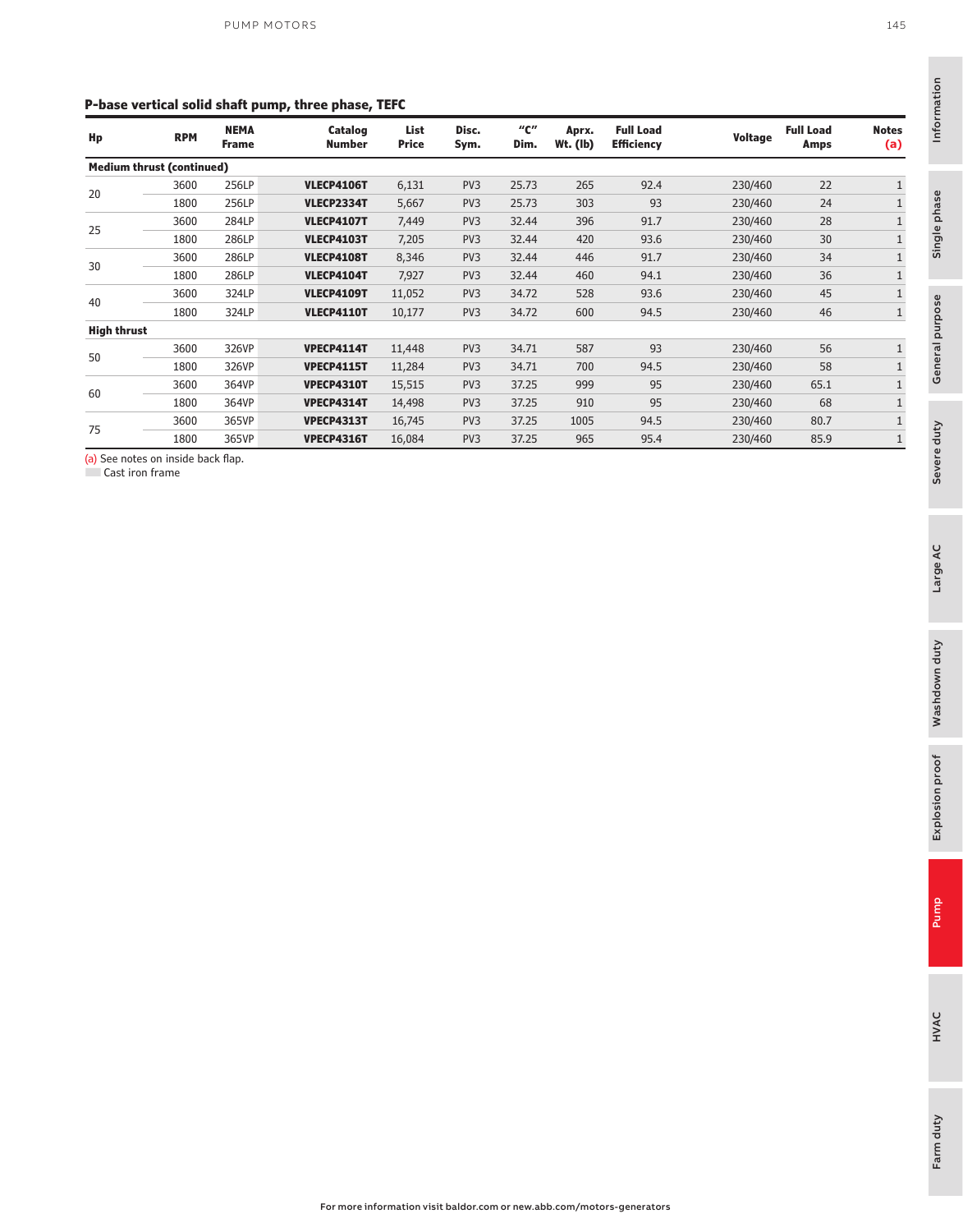#### **P-base vertical solid shaft pump, three phase, TEFC**

|                    |                             | . .                              |                      |                 |             |                     |                                       |                |                          |                     |
|--------------------|-----------------------------|----------------------------------|----------------------|-----------------|-------------|---------------------|---------------------------------------|----------------|--------------------------|---------------------|
| <b>RPM</b>         | <b>NEMA</b><br><b>Frame</b> | Catalog<br><b>Number</b>         | List<br><b>Price</b> | Disc.<br>Sym.   | "с"<br>Dim. | Aprx.<br>$Wt.$ (lb) | <b>Full Load</b><br><b>Efficiency</b> | <b>Voltage</b> | <b>Full Load</b><br>Amps | <b>Notes</b><br>(a) |
|                    |                             |                                  |                      |                 |             |                     |                                       |                |                          |                     |
| 3600               | 256LP                       | <b>VLECP4106T</b>                | 6,131                | PV3             | 25.73       | 265                 | 92.4                                  | 230/460        | 22                       | $\mathbf{1}$        |
| 1800               | 256LP                       | <b>VLECP2334T</b>                | 5,667                | PV3             | 25.73       | 303                 | 93                                    | 230/460        | 24                       |                     |
| 3600               | 284LP                       | <b>VLECP4107T</b>                | 7,449                | PV <sub>3</sub> | 32.44       | 396                 | 91.7                                  | 230/460        | 28                       |                     |
| 1800               | 286LP                       | <b>VLECP4103T</b>                | 7,205                | PV3             | 32.44       | 420                 | 93.6                                  | 230/460        | 30                       |                     |
| 3600               | 286LP                       | <b>VLECP4108T</b>                | 8,346                | PV3             | 32.44       | 446                 | 91.7                                  | 230/460        | 34                       |                     |
| 1800               | 286LP                       | <b>VLECP4104T</b>                | 7,927                | PV <sub>3</sub> | 32.44       | 460                 | 94.1                                  | 230/460        | 36                       |                     |
| 3600               | 324LP                       | <b>VLECP4109T</b>                | 11,052               | PV <sub>3</sub> | 34.72       | 528                 | 93.6                                  | 230/460        | 45                       |                     |
| 1800               | 324LP                       | <b>VLECP4110T</b>                | 10,177               | PV <sub>3</sub> | 34.72       | 600                 | 94.5                                  | 230/460        | 46                       | $\mathbf{1}$        |
| <b>High thrust</b> |                             |                                  |                      |                 |             |                     |                                       |                |                          |                     |
| 3600               | 326VP                       | <b>VPECP4114T</b>                | 11,448               | PV <sub>3</sub> | 34.71       | 587                 | 93                                    | 230/460        | 56                       |                     |
| 1800               | 326VP                       | <b>VPECP4115T</b>                | 11,284               | PV <sub>3</sub> | 34.71       | 700                 | 94.5                                  | 230/460        | 58                       |                     |
| 3600               | 364VP                       | <b>VPECP4310T</b>                | 15,515               | PV3             | 37.25       | 999                 | 95                                    | 230/460        | 65.1                     |                     |
| 1800               | 364VP                       | <b>VPECP4314T</b>                | 14,498               | PV <sub>3</sub> | 37.25       | 910                 | 95                                    | 230/460        | 68                       |                     |
| 3600               | 365VP                       | <b>VPECP4313T</b>                | 16,745               | PV <sub>3</sub> | 37.25       | 1005                | 94.5                                  | 230/460        | 80.7                     |                     |
| 1800               | 365VP                       | <b>VPECP4316T</b>                | 16,084               | PV <sub>3</sub> | 37.25       | 965                 | 95.4                                  | 230/460        | 85.9                     |                     |
|                    |                             | <b>Medium thrust (continued)</b> |                      |                 |             |                     |                                       |                |                          |                     |

(a) See notes on inside back flap.

Cast iron frame

Single phase

Single phase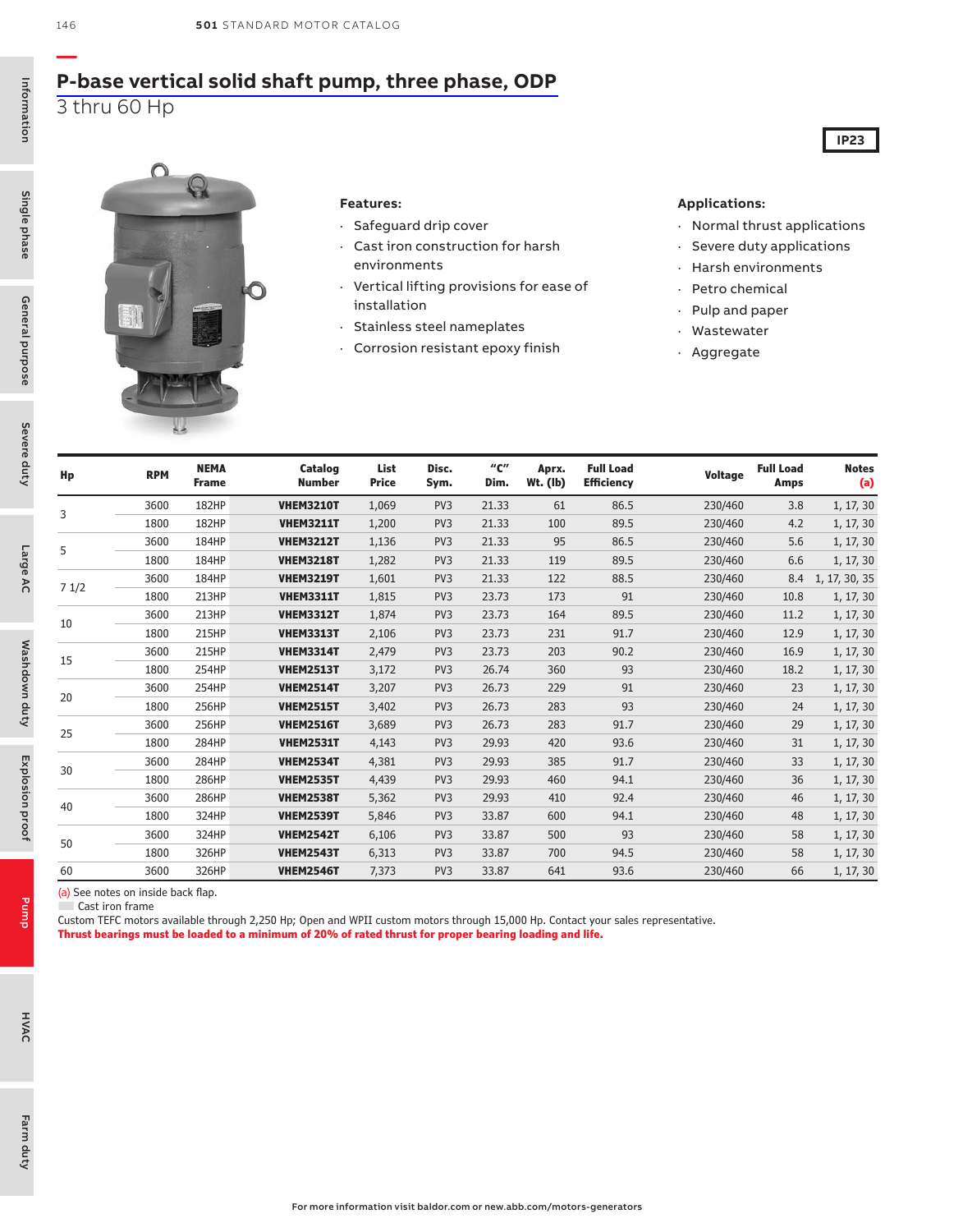### **[P-base vertical solid shaft pump, three phase, ODP](https://www.baldor.com/brands/baldor-reliance/products/motors/ac-motors/pump/vertical-p-base-motors)** 3 thru 60 Hp



#### **Features:**

- · Safeguard drip cover
- · Cast iron construction for harsh environments
- · Vertical lifting provisions for ease of installation
- · Stainless steel nameplates
- · Corrosion resistant epoxy finish

#### **Applications:**

· Normal thrust applications

**IP23**

- · Severe duty applications
- · Harsh environments
- · Petro chemical
- · Pulp and paper
- · Wastewater
- · Aggregate

| Hp   | <b>RPM</b> | <b>NEMA</b><br><b>Frame</b> | Catalog<br><b>Number</b> | List<br><b>Price</b> | Disc.<br>Sym.   | $^{\prime\prime}$ C $^{\prime\prime}$<br>Dim. | Aprx.<br>Wt. (lb) | <b>Full Load</b><br><b>Efficiency</b> | <b>Voltage</b> | <b>Full Load</b><br><b>Amps</b> | <b>Notes</b><br>(a) |
|------|------------|-----------------------------|--------------------------|----------------------|-----------------|-----------------------------------------------|-------------------|---------------------------------------|----------------|---------------------------------|---------------------|
|      | 3600       | <b>182HP</b>                | <b>VHEM3210T</b>         | 1,069                | PV <sub>3</sub> | 21.33                                         | 61                | 86.5                                  | 230/460        | 3.8                             | 1, 17, 30           |
| 3    | 1800       | <b>182HP</b>                | <b>VHEM3211T</b>         | 1,200                | PV <sub>3</sub> | 21.33                                         | 100               | 89.5                                  | 230/460        | 4.2                             | 1, 17, 30           |
|      | 3600       | 184HP                       | <b>VHEM3212T</b>         | 1,136                | PV <sub>3</sub> | 21.33                                         | 95                | 86.5                                  | 230/460        | 5.6                             | 1, 17, 30           |
| 5    | 1800       | 184HP                       | <b>VHEM3218T</b>         | 1,282                | PV <sub>3</sub> | 21.33                                         | 119               | 89.5                                  | 230/460        | 6.6                             | 1, 17, 30           |
|      | 3600       | 184HP                       | <b>VHEM3219T</b>         | 1,601                | PV <sub>3</sub> | 21.33                                         | 122               | 88.5                                  | 230/460        | 8.4                             | 1, 17, 30, 35       |
| 71/2 | 1800       | 213HP                       | <b>VHEM3311T</b>         | 1,815                | PV <sub>3</sub> | 23.73                                         | 173               | 91                                    | 230/460        | 10.8                            | 1, 17, 30           |
|      | 3600       | 213HP                       | <b>VHEM3312T</b>         | 1,874                | PV <sub>3</sub> | 23.73                                         | 164               | 89.5                                  | 230/460        | 11.2                            | 1, 17, 30           |
| 10   | 1800       | 215HP                       | <b>VHEM3313T</b>         | 2,106                | PV <sub>3</sub> | 23.73                                         | 231               | 91.7                                  | 230/460        | 12.9                            | 1, 17, 30           |
|      | 3600       | 215HP                       | <b>VHEM3314T</b>         | 2,479                | PV <sub>3</sub> | 23.73                                         | 203               | 90.2                                  | 230/460        | 16.9                            | 1, 17, 30           |
| 15   | 1800       | 254HP                       | <b>VHEM2513T</b>         | 3,172                | PV <sub>3</sub> | 26.74                                         | 360               | 93                                    | 230/460        | 18.2                            | 1, 17, 30           |
|      | 3600       | 254HP                       | <b>VHEM2514T</b>         | 3,207                | PV <sub>3</sub> | 26.73                                         | 229               | 91                                    | 230/460        | 23                              | 1, 17, 30           |
| 20   | 1800       | 256HP                       | <b>VHEM2515T</b>         | 3,402                | PV <sub>3</sub> | 26.73                                         | 283               | 93                                    | 230/460        | 24                              | 1, 17, 30           |
|      | 3600       | 256HP                       | <b>VHEM2516T</b>         | 3,689                | PV <sub>3</sub> | 26.73                                         | 283               | 91.7                                  | 230/460        | 29                              | 1, 17, 30           |
| 25   | 1800       | 284HP                       | <b>VHEM2531T</b>         | 4,143                | PV <sub>3</sub> | 29.93                                         | 420               | 93.6                                  | 230/460        | 31                              | 1, 17, 30           |
| 30   | 3600       | 284HP                       | <b>VHEM2534T</b>         | 4,381                | PV <sub>3</sub> | 29.93                                         | 385               | 91.7                                  | 230/460        | 33                              | 1, 17, 30           |
|      | 1800       | 286HP                       | <b>VHEM2535T</b>         | 4,439                | PV <sub>3</sub> | 29.93                                         | 460               | 94.1                                  | 230/460        | 36                              | 1, 17, 30           |
|      | 3600       | 286HP                       | <b>VHEM2538T</b>         | 5,362                | PV <sub>3</sub> | 29.93                                         | 410               | 92.4                                  | 230/460        | 46                              | 1, 17, 30           |
| 40   | 1800       | 324HP                       | <b>VHEM2539T</b>         | 5,846                | PV <sub>3</sub> | 33.87                                         | 600               | 94.1                                  | 230/460        | 48                              | 1, 17, 30           |
|      | 3600       | 324HP                       | <b>VHEM2542T</b>         | 6,106                | PV <sub>3</sub> | 33.87                                         | 500               | 93                                    | 230/460        | 58                              | 1, 17, 30           |
| 50   | 1800       | 326HP                       | <b>VHEM2543T</b>         | 6,313                | PV <sub>3</sub> | 33.87                                         | 700               | 94.5                                  | 230/460        | 58                              | 1, 17, 30           |
| 60   | 3600       | 326HP                       | <b>VHEM2546T</b>         | 7,373                | PV <sub>3</sub> | 33.87                                         | 641               | 93.6                                  | 230/460        | 66                              | 1, 17, 30           |

(a) See notes on inside back flap.

Cast iron frame

Custom TEFC motors available through 2,250 Hp; Open and WPII custom motors through 15,000 Hp. Contact your sales representative. **Thrust bearings must be loaded to a minimum of 20% of rated thrust for proper bearing loading and life.**

Single phase

Pump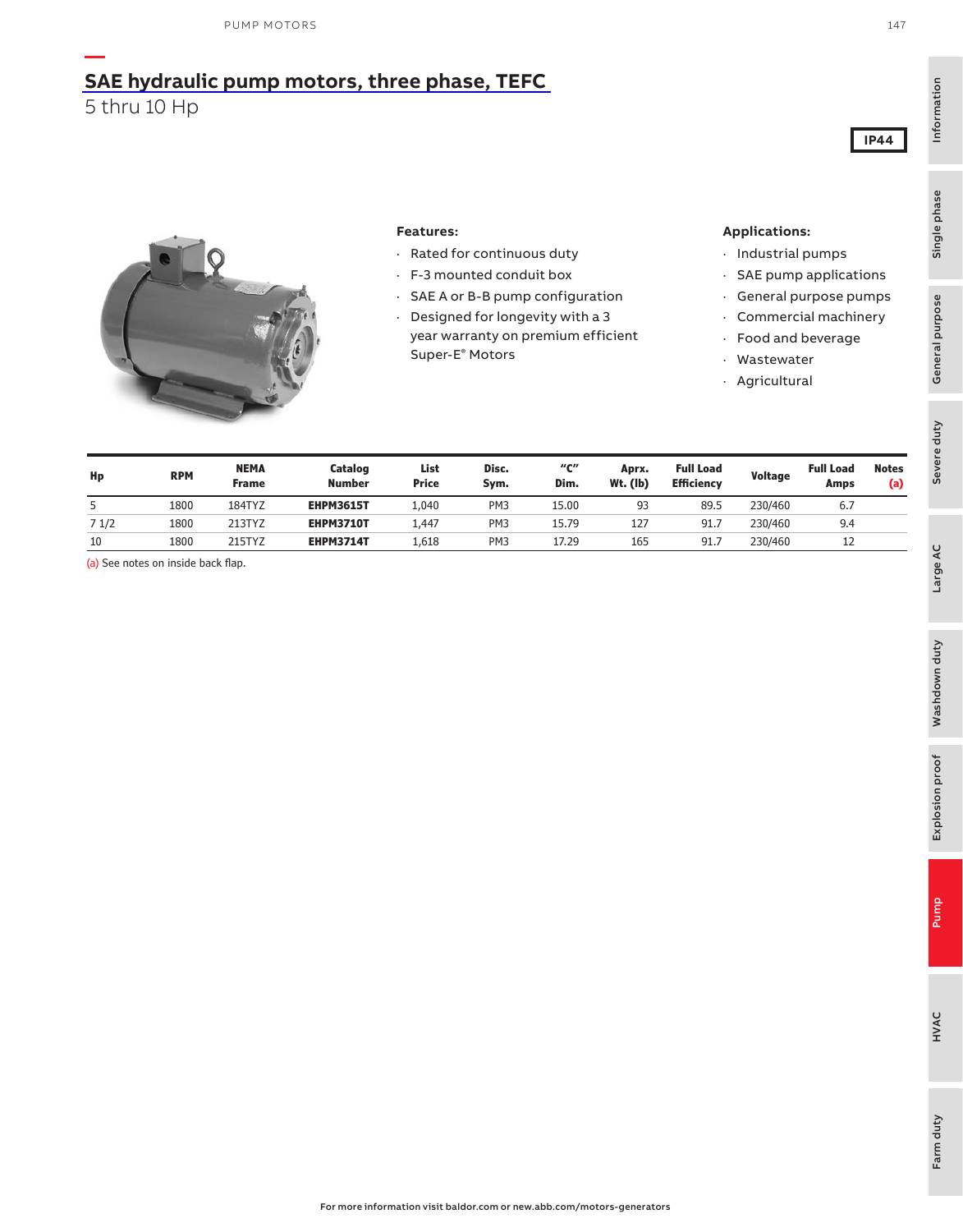### **— [SAE hydraulic pump motors, three phase, TEFC](https://www.baldor.com/brands/baldor-reliance/products/motors/ac-motors/pump)** 5 thru 10 Hp

#### **Features:**

- · Rated for continuous duty
- · F-3 mounted conduit box
- · SAE A or B-B pump configuration
- · Designed for longevity with a 3 year warranty on premium efficient Super-E® Motors

#### **Applications:**

- · Industrial pumps
- · SAE pump applications
- · General purpose pumps
- · Commercial machinery
- · Food and beverage
- · Wastewater
- · Agricultural

| Hp   | <b>RPM</b> | <b>NEMA</b><br><b>Frame</b> | Catalog<br><b>Number</b> | List<br><b>Price</b> | Disc.<br>Sym.   | "с"<br>Dim. | Aprx.<br>$Wt.$ (lb) | <b>Full Load</b><br><b>Efficiency</b> | Voltage | <b>Full Load</b><br>Amps | <b>Notes</b><br>(a) |
|------|------------|-----------------------------|--------------------------|----------------------|-----------------|-------------|---------------------|---------------------------------------|---------|--------------------------|---------------------|
| 5    | 1800       | 184TYZ                      | <b>EHPM3615T</b>         | 1,040                | PM <sub>3</sub> | 15.00       | 93                  | 89.5                                  | 230/460 | 6.7                      |                     |
| 71/2 | 1800       | 213TYZ                      | <b>EHPM3710T</b>         | 1,447                | PM <sub>3</sub> | 15.79       | 127                 | 91.                                   | 230/460 | 9.4                      |                     |
| 10   | 1800       | 215TYZ                      | <b>EHPM3714T</b>         | 1,618                | PM <sub>3</sub> | 17.29       | 165                 | 91.                                   | 230/460 |                          |                     |

(a) See notes on inside back flap.

Information

Information

Single phase

Single phase

Severe duty<br>General purpose

Severe duty

General purpose

**IP44**

HVAC

Large AC

Pump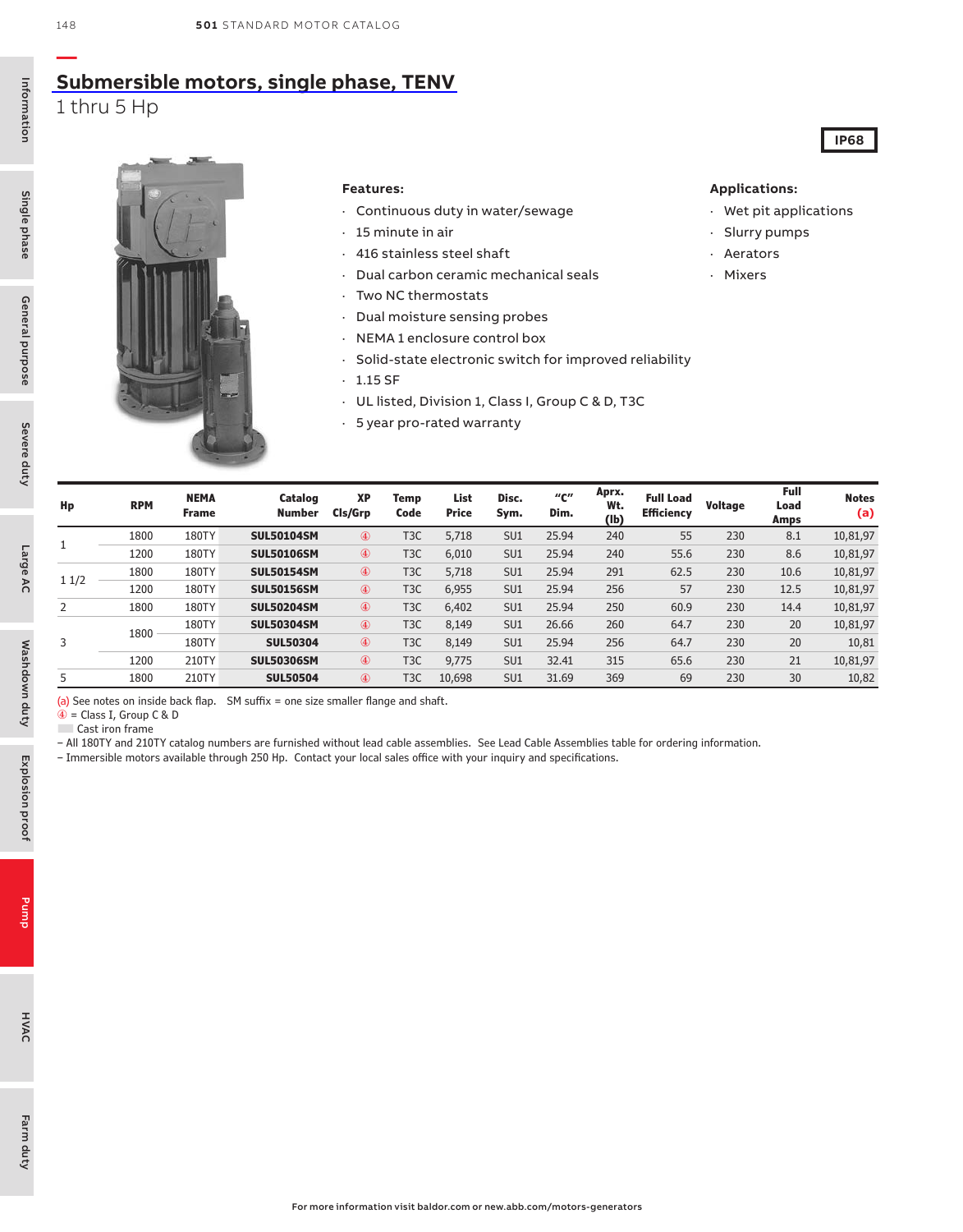## **[Submersible motors, single phase, TENV](https://www.baldor.com/brands/baldor-reliance/products/motors/ac-motors/pump/copy-of-submersible-immersible-motors)**

1 thru 5 Hp



#### **Features:**

- · Continuous duty in water/sewage
- · 15 minute in air
- · 416 stainless steel shaft
- · Dual carbon ceramic mechanical seals
- · Two NC thermostats
- · Dual moisture sensing probes
- · NEMA 1 enclosure control box
- · Solid-state electronic switch for improved reliability
- $\cdot$  1.15 SF
- · UL listed, Division 1, Class I, Group C & D, T3C
- · 5 year pro-rated warranty

#### **Applications:**

· Wet pit applications

**IP68**

- · Slurry pumps
- · Aerators
- · Mixers

| Hp   | <b>RPM</b> | <b>NEMA</b><br><b>Frame</b> | Catalog<br><b>Number</b> | <b>XP</b><br>Cls/Grp | Temp<br>Code     | List<br><b>Price</b> | Disc.<br>Sym.   | "с"<br>Dim. | Aprx.<br>Wt.<br>(1b) | <b>Full Load</b><br><b>Efficiency</b> | Voltage | Full<br>Load<br>Amps | <b>Notes</b><br>(a) |
|------|------------|-----------------------------|--------------------------|----------------------|------------------|----------------------|-----------------|-------------|----------------------|---------------------------------------|---------|----------------------|---------------------|
|      | 1800       | 180TY                       | <b>SUL50104SM</b>        | $^{\circledR}$       | T <sub>3</sub> C | 5,718                | SU1             | 25.94       | 240                  | 55                                    | 230     | 8.1                  | 10,81,97            |
|      | 1200       | 180TY                       | <b>SUL50106SM</b>        | $^{\circledR}$       | T <sub>3</sub> C | 6,010                | SU <sub>1</sub> | 25.94       | 240                  | 55.6                                  | 230     | 8.6                  | 10,81,97            |
| 11/2 | 1800       | 180TY                       | <b>SUL50154SM</b>        | $^{\circledR}$       | T <sub>3</sub> C | 5,718                | SU1             | 25.94       | 291                  | 62.5                                  | 230     | 10.6                 | 10,81,97            |
|      | 1200       | 180TY                       | <b>SUL50156SM</b>        | $^{\circledR}$       | T <sub>3</sub> C | 6,955                | SU1             | 25.94       | 256                  | 57                                    | 230     | 12.5                 | 10,81,97            |
|      | 1800       | 180TY                       | <b>SUL50204SM</b>        | 4                    | T <sub>3</sub> C | 6,402                | SU1             | 25.94       | 250                  | 60.9                                  | 230     | 14.4                 | 10,81,97            |
|      | 1800       | 180TY                       | <b>SUL50304SM</b>        | 4                    | T <sub>3</sub> C | 8,149                | SU <sub>1</sub> | 26.66       | 260                  | 64.7                                  | 230     | 20                   | 10,81,97            |
|      |            | 180TY                       | <b>SUL50304</b>          | $^{\circledR}$       | T <sub>3</sub> C | 8,149                | SU1             | 25.94       | 256                  | 64.7                                  | 230     | 20                   | 10,81               |
|      | 1200       | 210TY                       | <b>SUL50306SM</b>        | $^{\circledR}$       | T <sub>3</sub> C | 9,775                | SU1             | 32.41       | 315                  | 65.6                                  | 230     | 21                   | 10,81,97            |
|      | 1800       | 210TY                       | <b>SUL50504</b>          | $^{\circledR}$       | T <sub>3</sub> C | 10,698               | SU <sub>1</sub> | 31.69       | 369                  | 69                                    | 230     | 30                   | 10,82               |

(a) See notes on inside back flap. SM suffix = one size smaller flange and shaft.

 $\widehat{\Phi}$  = Class I, Group C & D

■ Cast iron frame

– All 180TY and 210TY catalog numbers are furnished without lead cable assemblies. See Lead Cable Assemblies table for ordering information.

– Immersible motors available through 250 Hp. Contact your local sales office with your inquiry and specifications.

**—**

Single phase

Pump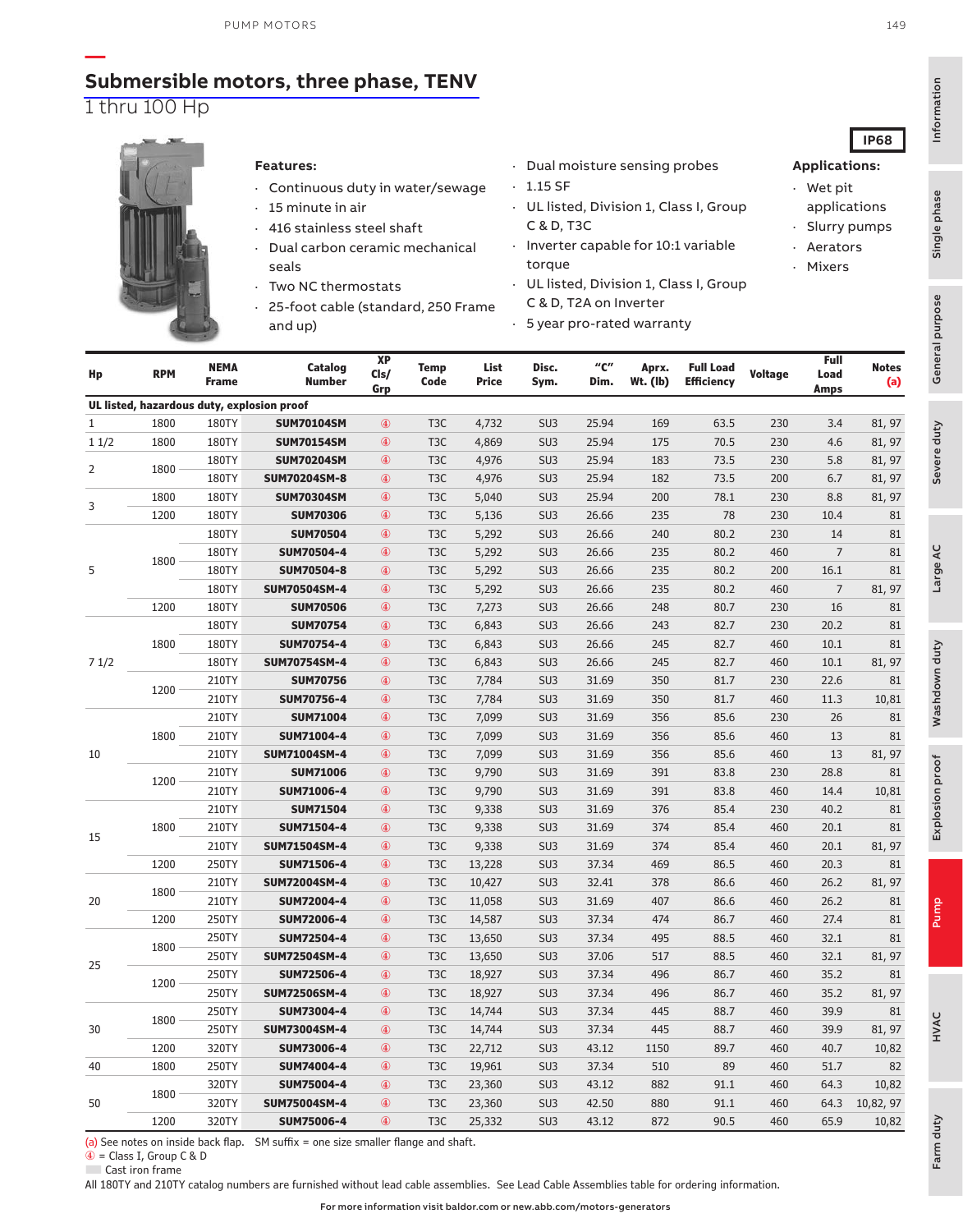### **[Submersible motors, three phase, TENV](https://www.baldor.com/brands/baldor-reliance/products/motors/ac-motors/pump/copy-of-submersible-immersible-motors)** 1 thru 100 Hp



30

50

**—**

#### **Features:**

- · Continuous duty in water/sewage
- 15 minute in air 416 stainless steel shaft
- Dual carbon ceramic mechanical seals
- Two NC thermostats
- 25-foot cable (standard, 250 Frame and up)
- · Dual moisture sensing probes
- $\cdot$  1.15 SF
- · UL listed, Division 1, Class I, Group C & D, T3C
- · Inverter capable for 10:1 variable torque
- · UL listed, Division 1, Class I, Group C & D, T2A on Inverter
- · 5 year pro-rated warranty

| Hp   | <b>RPM</b> | <b>NEMA</b><br><b>Frame</b> | Catalog<br><b>Number</b>                   | XP<br>Cls/<br>Grp | <b>Temp</b><br>Code | List<br><b>Price</b> | Disc.<br>Sym.   | $^{\prime\prime}$ C $^{\prime\prime}$<br>Dim. | Aprx.<br>$Wt.$ (lb) | <b>Full Load</b><br><b>Efficiency</b> | <b>Voltage</b> | Full<br>Load<br><b>Amps</b> | <b>Notes</b><br>(a) | n<br>Con |
|------|------------|-----------------------------|--------------------------------------------|-------------------|---------------------|----------------------|-----------------|-----------------------------------------------|---------------------|---------------------------------------|----------------|-----------------------------|---------------------|----------|
|      |            |                             | UL listed, hazardous duty, explosion proof |                   |                     |                      |                 |                                               |                     |                                       |                |                             |                     |          |
| 1    | 1800       | 180TY                       | <b>SUM70104SM</b>                          | $^\circledR$      | T <sub>3</sub> C    | 4,732                | SU <sub>3</sub> | 25.94                                         | 169                 | 63.5                                  | 230            | 3.4                         | 81, 97              |          |
| 11/2 | 1800       | 180TY                       | <b>SUM70154SM</b>                          | $^{\circledR}$    | T <sub>3</sub> C    | 4,869                | SU <sub>3</sub> | 25.94                                         | 175                 | 70.5                                  | 230            | 4.6                         | 81, 97              |          |
| 2    | 1800       | 180TY                       | <b>SUM70204SM</b>                          | $\circledast$     | T <sub>3</sub> C    | 4,976                | SU <sub>3</sub> | 25.94                                         | 183                 | 73.5                                  | 230            | 5.8                         | 81, 97              |          |
|      |            | 180TY                       | <b>SUM70204SM-8</b>                        | $^{\circledR}$    | T <sub>3</sub> C    | 4,976                | SU <sub>3</sub> | 25.94                                         | 182                 | 73.5                                  | 200            | 6.7                         | 81, 97              |          |
| 3    | 1800       | 180TY                       | <b>SUM70304SM</b>                          | $^{\circledR}$    | T <sub>3</sub> C    | 5,040                | SU <sub>3</sub> | 25.94                                         | 200                 | 78.1                                  | 230            | 8.8                         | 81, 97              |          |
|      | 1200       | 180TY                       | <b>SUM70306</b>                            | $^{\circledR}$    | T <sub>3</sub> C    | 5,136                | SU <sub>3</sub> | 26.66                                         | 235                 | 78                                    | 230            | 10.4                        | 81                  |          |
|      |            | 180TY                       | <b>SUM70504</b>                            | $^\circledR$      | T <sub>3</sub> C    | 5,292                | SU <sub>3</sub> | 26.66                                         | 240                 | 80.2                                  | 230            | 14                          | 81                  |          |
|      | 1800       | 180TY                       | SUM70504-4                                 | $^\circledR$      | T <sub>3</sub> C    | 5,292                | SU <sub>3</sub> | 26.66                                         | 235                 | 80.2                                  | 460            | $\overline{7}$              | 81                  |          |
| 5    |            | 180TY                       | <b>SUM70504-8</b>                          | $^\circledR$      | T <sub>3</sub> C    | 5,292                | SU <sub>3</sub> | 26.66                                         | 235                 | 80.2                                  | 200            | 16.1                        | 81                  |          |
|      |            | 180TY                       | SUM70504SM-4                               | $^{\circledR}$    | T <sub>3</sub> C    | 5,292                | SU <sub>3</sub> | 26.66                                         | 235                 | 80.2                                  | 460            | $\overline{7}$              | 81, 97              |          |
|      | 1200       | 180TY                       | <b>SUM70506</b>                            | $^{\circledR}$    | T <sub>3</sub> C    | 7,273                | SU <sub>3</sub> | 26.66                                         | 248                 | 80.7                                  | 230            | 16                          | 81                  |          |
|      |            | 180TY                       | <b>SUM70754</b>                            | $^{\circledR}$    | T <sub>3</sub> C    | 6,843                | SU <sub>3</sub> | 26.66                                         | 243                 | 82.7                                  | 230            | 20.2                        | 81                  |          |
|      | 1800       | 180TY                       | SUM70754-4                                 | $^{\circledR}$    | T <sub>3</sub> C    | 6,843                | SU <sub>3</sub> | 26.66                                         | 245                 | 82.7                                  | 460            | 10.1                        | 81                  |          |
| 71/2 |            | 180TY                       | <b>SUM70754SM-4</b>                        | $^{\circledR}$    | T <sub>3</sub> C    | 6,843                | SU <sub>3</sub> | 26.66                                         | 245                 | 82.7                                  | 460            | 10.1                        | 81, 97              |          |
|      | 1200       | 210TY                       | <b>SUM70756</b>                            | $^\circledR$      | T <sub>3</sub> C    | 7,784                | SU <sub>3</sub> | 31.69                                         | 350                 | 81.7                                  | 230            | 22.6                        | 81                  |          |
|      |            | 210TY                       | <b>SUM70756-4</b>                          | $\circledast$     | T <sub>3</sub> C    | 7,784                | SU <sub>3</sub> | 31.69                                         | 350                 | 81.7                                  | 460            | 11.3                        | 10,81               |          |
|      |            | 210TY                       | <b>SUM71004</b>                            | $\circledast$     | T <sub>3</sub> C    | 7,099                | SU <sub>3</sub> | 31.69                                         | 356                 | 85.6                                  | 230            | 26                          | 81                  |          |
|      | 1800       | 210TY                       | SUM71004-4                                 | $^{\circledR}$    | T <sub>3</sub> C    | 7,099                | SU <sub>3</sub> | 31.69                                         | 356                 | 85.6                                  | 460            | 13                          | 81                  |          |
| 10   |            | 210TY                       | SUM71004SM-4                               | $^{\circledR}$    | T <sub>3</sub> C    | 7,099                | SU <sub>3</sub> | 31.69                                         | 356                 | 85.6                                  | 460            | 13                          | 81, 97              |          |
|      | 1200       | 210TY                       | <b>SUM71006</b>                            | $^{\circledR}$    | T <sub>3</sub> C    | 9,790                | SU <sub>3</sub> | 31.69                                         | 391                 | 83.8                                  | 230            | 28.8                        | 81                  |          |
|      |            | 210TY                       | SUM71006-4                                 | $\circledast$     | T <sub>3</sub> C    | 9,790                | SU <sub>3</sub> | 31.69                                         | 391                 | 83.8                                  | 460            | 14.4                        | 10,81               |          |
|      |            | 210TY                       | <b>SUM71504</b>                            | $^{\circledR}$    | T <sub>3</sub> C    | 9,338                | SU <sub>3</sub> | 31.69                                         | 376                 | 85.4                                  | 230            | 40.2                        | 81                  |          |
| 15   | 1800       | 210TY                       | <b>SUM71504-4</b>                          | $^{\circledR}$    | T <sub>3</sub> C    | 9,338                | SU <sub>3</sub> | 31.69                                         | 374                 | 85.4                                  | 460            | 20.1                        | 81                  |          |
|      |            | 210TY                       | SUM71504SM-4                               | $^{\circledR}$    | T <sub>3</sub> C    | 9,338                | SU <sub>3</sub> | 31.69                                         | 374                 | 85.4                                  | 460            | 20.1                        | 81, 97              |          |
|      | 1200       | 250TY                       | <b>SUM71506-4</b>                          | $^{\circledR}$    | T <sub>3</sub> C    | 13,228               | SU <sub>3</sub> | 37.34                                         | 469                 | 86.5                                  | 460            | 20.3                        | 81                  |          |
|      | 1800       | 210TY                       | SUM72004SM-4                               | $^{\circledR}$    | T <sub>3</sub> C    | 10,427               | SU <sub>3</sub> | 32.41                                         | 378                 | 86.6                                  | 460            | 26.2                        | 81, 97              |          |
| 20   |            | 210TY                       | SUM72004-4                                 | $^{\circledR}$    | T <sub>3</sub> C    | 11,058               | SU <sub>3</sub> | 31.69                                         | 407                 | 86.6                                  | 460            | 26.2                        | 81                  |          |
|      | 1200       | 250TY                       | SUM72006-4                                 | $^{\circledR}$    | T <sub>3</sub> C    | 14,587               | SU <sub>3</sub> | 37.34                                         | 474                 | 86.7                                  | 460            | 27.4                        | 81                  |          |
|      | 1800       | 250TY                       | <b>SUM72504-4</b>                          | $^\circledR$      | T <sub>3</sub> C    | 13,650               | SU <sub>3</sub> | 37.34                                         | 495                 | 88.5                                  | 460            | 32.1                        | 81                  |          |
| 25   |            | 250TY                       | <b>SUM72504SM-4</b>                        | $^{\circledR}$    | T <sub>3</sub> C    | 13,650               | SU <sub>3</sub> | 37.06                                         | 517                 | 88.5                                  | 460            | 32.1                        | 81, 97              |          |
|      |            | 250TY                       | <b>SUM72506-4</b>                          | $^{\circledR}$    | T <sub>3</sub> C    | 18,927               | SU <sub>3</sub> | 37.34                                         | 496                 | 86.7                                  | 460            | 35.2                        | 81                  |          |
| 1200 | 250TY      | <b>SUM72506SM-4</b>         | $\circledA$                                | T <sub>3C</sub>   | 18.927              | SUB                  | 37.34           | 496                                           | 86.7                | 460                                   | 35.2           | 81.97                       |                     |          |

1200 250TY **SUM72006-4** ④ T3C 14,587 SU3 37.34 474 86.7 460 27.4 81 1800 250TY **SUM72504-4** ④ T3C 13,650 SU3 37.34 495 88.5 460 32.1 81 250TY **SUM72504SM-4** ④ T3C 13,650 SU3 37.06 517 88.5 460 32.1 81, 97 1200 250TY **SUM72506-4** ④ T3C 18,927 SU3 37.34 496 86.7 460 35.2 81 250TY **SUM72506SM-4** ④ T3C 18,927 SU3 37.34 496 86.7 460 35.2 81, 97 1800 250TY **SUM73004-4** ④ T3C 14,744 SU3 37.34 445 88.7 460 39.9 81 250TY **SUM73004SM-4** ④ T3C 14,744 SU3 37.34 445 88.7 460 39.9 81, 97 1200 320TY **SUM73006-4** ④ T3C 22,712 SU3 43.12 1150 89.7 460 40.7 10,82 40 1800 250TY **SUM74004-4** ④ T3C 19,961 SU3 37.34 510 89 460 51.7 82 1800 320TY **SUM75004-4** ④ T3C 23,360 SU3 43.12 882 91.1 460 64.3 10,82 320TY **SUM75004SM-4** ④ T3C 23,360 SU3 42.50 880 91.1 460 64.3 10,82, 97 1200 320TY **SUM75006-4** ④ T3C 25,332 SU3 43.12 872 90.5 460 65.9 10,82

(a) See notes on inside back flap. SM suffix = one size smaller flange and shaft.

④ = Class I, Group C & D

■ Cast iron frame

All 180TY and 210TY catalog numbers are furnished without lead cable assemblies. See Lead Cable Assemblies table for ordering information.

149

**IP68**

**Applications:** · Wet pit applications Slurry pumps **Aerators Mixers** 

Information

Information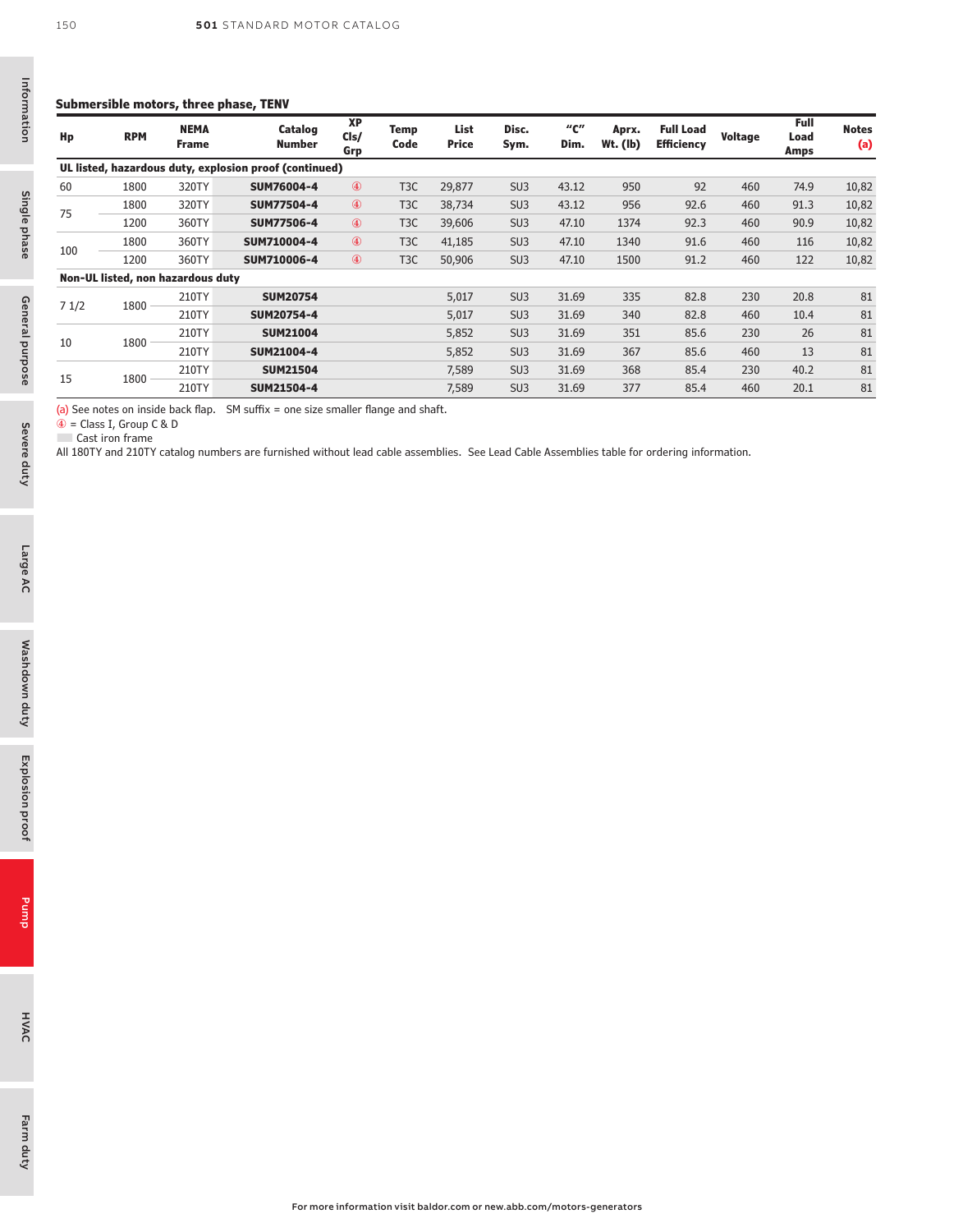#### **Submersible motors, three phase, TENV**

| Hp   | <b>RPM</b>                        | <b>NEMA</b><br><b>Frame</b> | Catalog<br><b>Number</b>                               | <b>XP</b><br>Cls/<br>Grp | Temp<br>Code     | List<br><b>Price</b> | Disc.<br>Sym.   | "с"<br>Dim. | Aprx.<br>$Wt.$ (lb) | <b>Full Load</b><br><b>Efficiency</b> | Voltage | Full<br>Load<br>Amps | <b>Notes</b><br>(a) |
|------|-----------------------------------|-----------------------------|--------------------------------------------------------|--------------------------|------------------|----------------------|-----------------|-------------|---------------------|---------------------------------------|---------|----------------------|---------------------|
|      |                                   |                             | UL listed, hazardous duty, explosion proof (continued) |                          |                  |                      |                 |             |                     |                                       |         |                      |                     |
| 60   | 1800                              | 320TY                       | SUM76004-4                                             | $\circled{4}$            | T <sub>3</sub> C | 29,877               | SU <sub>3</sub> | 43.12       | 950                 | 92                                    | 460     | 74.9                 | 10,82               |
| 75   | 1800                              | 320TY                       | <b>SUM77504-4</b>                                      | 4                        | T <sub>3</sub> C | 38,734               | SU <sub>3</sub> | 43.12       | 956                 | 92.6                                  | 460     | 91.3                 | 10,82               |
|      | 1200                              | 360TY                       | <b>SUM77506-4</b>                                      | $\circled{4}$            | T <sub>3</sub> C | 39,606               | SU <sub>3</sub> | 47.10       | 1374                | 92.3                                  | 460     | 90.9                 | 10,82               |
|      | 1800                              | 360TY                       | SUM710004-4                                            | $\circled{4}$            | T <sub>3</sub> C | 41,185               | SU <sub>3</sub> | 47.10       | 1340                | 91.6                                  | 460     | 116                  | 10,82               |
| 100  | 1200                              | 360TY                       | SUM710006-4                                            | 4                        | T <sub>3</sub> C | 50,906               | SU <sub>3</sub> | 47.10       | 1500                | 91.2                                  | 460     | 122                  | 10,82               |
|      | Non-UL listed, non hazardous duty |                             |                                                        |                          |                  |                      |                 |             |                     |                                       |         |                      |                     |
|      | 1800                              | 210TY                       | <b>SUM20754</b>                                        |                          |                  | 5,017                | SU <sub>3</sub> | 31.69       | 335                 | 82.8                                  | 230     | 20.8                 | 81                  |
| 71/2 |                                   | 210TY                       | SUM20754-4                                             |                          |                  | 5,017                | SU <sub>3</sub> | 31.69       | 340                 | 82.8                                  | 460     | 10.4                 | 81                  |
|      |                                   | 210TY                       | <b>SUM21004</b>                                        |                          |                  | 5,852                | SU <sub>3</sub> | 31.69       | 351                 | 85.6                                  | 230     | 26                   | 81                  |
| 10   | 1800                              | 210TY                       | SUM21004-4                                             |                          |                  | 5,852                | SU <sub>3</sub> | 31.69       | 367                 | 85.6                                  | 460     | 13                   | 81                  |
|      |                                   | 210TY                       | <b>SUM21504</b>                                        |                          |                  | 7,589                | SU <sub>3</sub> | 31.69       | 368                 | 85.4                                  | 230     | 40.2                 | 81                  |
| 15   | 1800                              | 210TY                       | SUM21504-4                                             |                          |                  | 7,589                | SU <sub>3</sub> | 31.69       | 377                 | 85.4                                  | 460     | 20.1                 | 81                  |

(a) See notes on inside back flap. SM suffix = one size smaller flange and shaft.

④ = Class I, Group C & D ■ Cast iron frame

All 180TY and 210TY catalog numbers are furnished without lead cable assemblies. See Lead Cable Assemblies table for ordering information.

Information

Information

150

Severe duty

Farm duty